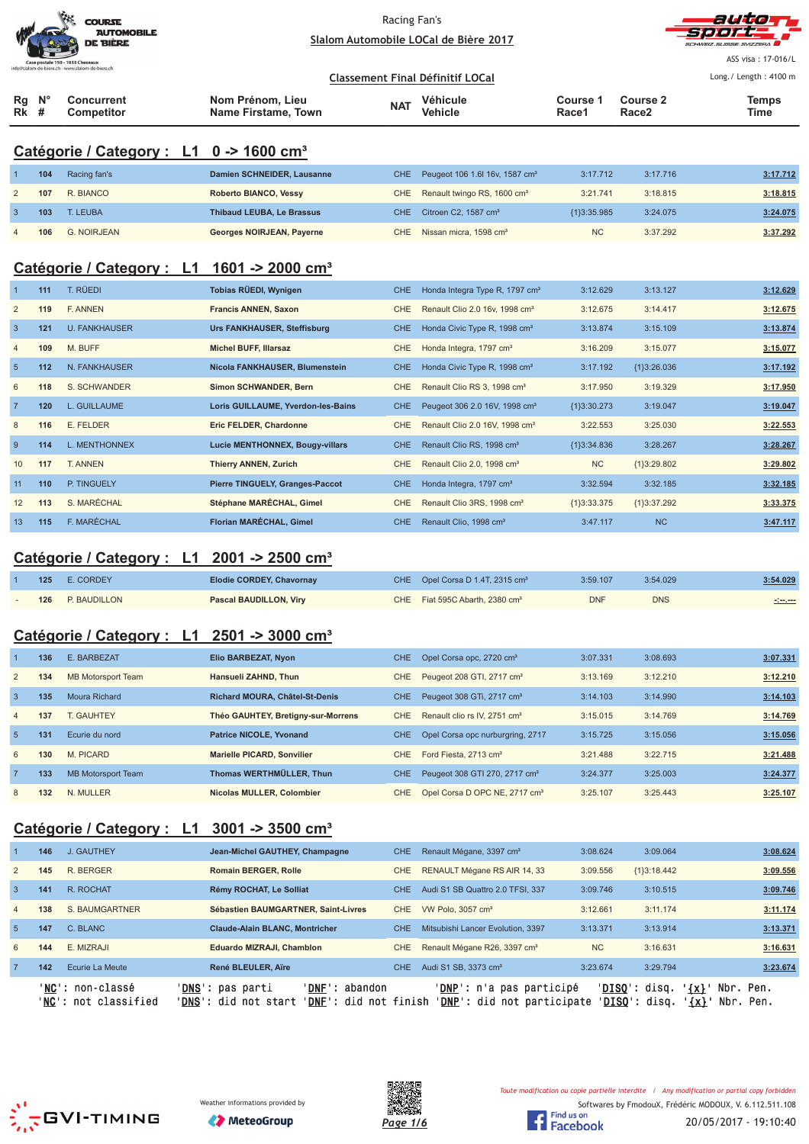|                                                 | <b>COURSE</b><br><b>AUTOMOBILE</b><br><b>DE BIÈRE</b> |
|-------------------------------------------------|-------------------------------------------------------|
| Case postale 150 - 1033 Cheseaux                |                                                       |
| nfo@slalom-de-biere.ch - www.slalom-de-biere.ch |                                                       |
|                                                 |                                                       |



ASS visa : 17-016/L Long./ Length: 4100 m

|                  |                   |                     | Classement Final Définitif LOCal |          |          |                   | Long. / Length: $4100r$ |
|------------------|-------------------|---------------------|----------------------------------|----------|----------|-------------------|-------------------------|
| $Rq$ $N^{\circ}$ | Concurrent        | Nom Prénom. Lieu    | <b>NAT</b>                       | Véhicule | Course 1 | <b>Course 2</b>   | <b>Temps</b>            |
| $Rk$ #           | <b>Competitor</b> | Name Firstame, Town |                                  | Vehicle  | Race1    | Race <sub>2</sub> | Time                    |

# **Catégorie / Category : L1 0 -> 1600 cm³**

| 104 | Racing fan's       | Damien SCHNEIDER, Lausanne       | CHE Peugeot 106 1.6  16v, 1587 cm <sup>3</sup> | 3:17.712      | 3:17.716 | 3:17.712 |
|-----|--------------------|----------------------------------|------------------------------------------------|---------------|----------|----------|
| 107 | R. BIANCO          | <b>Roberto BIANCO, Vessy</b>     | CHE Renault twingo RS, 1600 cm <sup>3</sup>    | 3:21.741      | 3:18.815 | 3:18.815 |
| 103 | T. LEUBA           | <b>Thibaud LEUBA, Le Brassus</b> | CHE Citroen C2, 1587 cm <sup>3</sup>           | ${13:35.985}$ | 3:24.075 | 3:24.075 |
| 106 | <b>G. NOIRJEAN</b> | Georges NOIRJEAN, Payerne        | CHE Nissan micra, 1598 cm <sup>3</sup>         | <b>NC</b>     | 3:37.292 | 3:37.292 |

# **Catégorie / Category : L1 1601 -> 2000 cm³**

| $\overline{1}$ | 111 | T. RÜEDI             | Tobias RÜEDI, Wynigen              | CHE.       | Honda Integra Type R, 1797 cm <sup>3</sup> | 3:12.629      | 3:13.127      | 3:12.629 |
|----------------|-----|----------------------|------------------------------------|------------|--------------------------------------------|---------------|---------------|----------|
| 2              | 119 | F. ANNEN             | <b>Francis ANNEN, Saxon</b>        | <b>CHE</b> | Renault Clio 2.0 16v, 1998 cm <sup>3</sup> | 3:12.675      | 3:14.417      | 3:12.675 |
| $\overline{3}$ | 121 | <b>U. FANKHAUSER</b> | <b>Urs FANKHAUSER, Steffisburg</b> | CHE.       | Honda Civic Type R, 1998 cm <sup>3</sup>   | 3:13.874      | 3:15.109      | 3:13.874 |
| $\overline{4}$ | 109 | M. BUFF              | <b>Michel BUFF, Illarsaz</b>       | <b>CHE</b> | Honda Integra, 1797 cm <sup>3</sup>        | 3:16.209      | 3:15.077      | 3:15.077 |
| 5              | 112 | N. FANKHAUSER        | Nicola FANKHAUSER, Blumenstein     | <b>CHE</b> | Honda Civic Type R, 1998 cm <sup>3</sup>   | 3:17.192      | ${1}3:26.036$ | 3:17.192 |
| 6              | 118 | S. SCHWANDER         | Simon SCHWANDER, Bern              | CHE        | Renault Clio RS 3, 1998 cm <sup>3</sup>    | 3:17.950      | 3:19.329      | 3:17.950 |
| $\overline{7}$ | 120 | L. GUILLAUME         | Loris GUILLAUME, Yverdon-les-Bains | CHE        | Peugeot 306 2.0 16V, 1998 cm <sup>3</sup>  | ${13:30.273}$ | 3:19.047      | 3:19.047 |
| 8              | 116 | E. FELDER            | Eric FELDER, Chardonne             | CHE        | Renault Clio 2.0 16V, 1998 cm <sup>3</sup> | 3:22.553      | 3:25.030      | 3:22.553 |
| 9              | 114 | L. MENTHONNEX        | Lucie MENTHONNEX, Bougy-villars    | CHE.       | Renault Clio RS, 1998 cm <sup>3</sup>      | ${1}3:34.836$ | 3:28.267      | 3:28.267 |
| 10             | 117 | T. ANNEN             | Thierry ANNEN, Zurich              | CHE        | Renault Clio 2.0, 1998 cm <sup>3</sup>     | <b>NC</b>     | {1}3:29.802   | 3:29.802 |
| 11             | 110 | P. TINGUELY          | Pierre TINGUELY, Granges-Paccot    | CHE.       | Honda Integra, 1797 cm <sup>3</sup>        | 3:32.594      | 3:32.185      | 3:32.185 |
| 12             | 113 | S. MARÉCHAL          | Stéphane MARÉCHAL, Gimel           | CHE        | Renault Clio 3RS, 1998 cm <sup>3</sup>     | ${1}3:33.375$ | ${1}3:37.292$ | 3:33.375 |
| 13             | 115 | F. MARÉCHAL          | Florian MARÉCHAL, Gimel            | CHE        | Renault Clio, 1998 cm <sup>3</sup>         | 3:47.117      | <b>NC</b>     | 3:47.117 |

# **Catégorie / Category : L1 2001 -> 2500 cm³**

| 125 | E. CORDEY    | Elodie CORDEY, Chavornay      | CHE Opel Corsa D 1.4T, 2315 cm <sup>3</sup> | 3:59.107   | 3:54.029   | 3:54.029      |
|-----|--------------|-------------------------------|---------------------------------------------|------------|------------|---------------|
| 126 | P. BAUDILLON | <b>Pascal BAUDILLON, Virv</b> | CHE Fiat 595C Abarth, 2380 cm <sup>3</sup>  | <b>DNF</b> | <b>DNS</b> | -:--.--<br>__ |

### **Catégorie / Category : L1 2501 -> 3000 cm³**

|                | 136 | E. BARBEZAT               | Elio BARBEZAT, Nyon                   | <b>CHE</b>       | Opel Corsa opc, 2720 cm <sup>3</sup>      | 3:07.331 | 3:08.693 | 3:07.331 |
|----------------|-----|---------------------------|---------------------------------------|------------------|-------------------------------------------|----------|----------|----------|
| 2              | 134 | <b>MB Motorsport Team</b> | Hansueli ZAHND, Thun                  | CHE.             | Peugeot 208 GTI, 2717 cm <sup>3</sup>     | 3:13.169 | 3:12.210 | 3:12.210 |
| 3              | 135 | <b>Moura Richard</b>      | <b>Richard MOURA, Châtel-St-Denis</b> | CHE <sup>1</sup> | Peugeot 308 GTi, 2717 cm <sup>3</sup>     | 3:14.103 | 3:14.990 | 3:14.103 |
| $\overline{4}$ | 137 | T. GAUHTEY                | Théo GAUHTEY, Bretigny-sur-Morrens    | CHE              | Renault clio rs IV, 2751 cm <sup>3</sup>  | 3:15.015 | 3:14.769 | 3:14.769 |
| 5 <sup>5</sup> | 131 | Ecurie du nord            | <b>Patrice NICOLE, Yvonand</b>        | <b>CHE</b>       | Opel Corsa opc nurburgring, 2717          | 3:15.725 | 3:15.056 | 3:15.056 |
| 6              | 130 | M. PICARD                 | Marielle PICARD, Sonvilier            | CHE              | Ford Fiesta, 2713 cm <sup>3</sup>         | 3:21.488 | 3:22.715 | 3:21.488 |
|                | 133 | <b>MB Motorsport Team</b> | Thomas WERTHMÜLLER, Thun              | <b>CHE</b>       | Peugeot 308 GTI 270, 2717 cm <sup>3</sup> | 3:24.377 | 3:25.003 | 3:24.377 |
| 8              | 132 | N. MULLER                 | Nicolas MULLER, Colombier             | CHE              | Opel Corsa D OPC NE, 2717 cm <sup>3</sup> | 3:25.107 | 3:25.443 | 3:25.107 |

# **Catégorie / Category : L1 3001 -> 3500 cm³**

|                 |     | ' <b>NC':</b> non-classé<br>' <b>NC':</b> not classified | 'DNF': abandon<br>' <b>DNS</b> ': pas parti<br>' <b>DNS</b> ': did not start<br>' <b>DNF</b> ': did not finish |            | ' <b>DNP</b> ': n'a pas participé<br>' <b>DNP</b> ': did not participate |           | ' <b>DISO</b> ': disq.<br>$\{x\}$<br>' <b>DISO</b> ': disq.<br>$\{x\}$ | Nbr. Pen.<br>Nbr. Pen. |
|-----------------|-----|----------------------------------------------------------|----------------------------------------------------------------------------------------------------------------|------------|--------------------------------------------------------------------------|-----------|------------------------------------------------------------------------|------------------------|
|                 | 142 | Ecurie La Meute                                          | René BLEULER, Aïre                                                                                             | CHE.       | Audi S1 SB, 3373 cm <sup>3</sup>                                         | 3:23.674  | 3:29.794                                                               | 3:23.674               |
| 6               | 144 | E. MIZRAJI                                               | <b>Eduardo MIZRAJI, Chamblon</b>                                                                               | CHE.       | Renault Mégane R26, 3397 cm <sup>3</sup>                                 | <b>NC</b> | 3:16.631                                                               | 3:16.631               |
| $5\overline{)}$ | 147 | C. BLANC                                                 | <b>Claude-Alain BLANC, Montricher</b>                                                                          | CHE.       | Mitsubishi Lancer Evolution, 3397                                        | 3:13.371  | 3:13.914                                                               | 3:13.371               |
| $\overline{4}$  | 138 | S. BAUMGARTNER                                           | Sébastien BAUMGARTNER, Saint-Livres                                                                            | CHE        | VW Polo, 3057 cm <sup>3</sup>                                            | 3:12.661  | 3:11.174                                                               | 3:11.174               |
| 3               | 141 | R. ROCHAT                                                | Rémy ROCHAT, Le Solliat                                                                                        | CHE.       | Audi S1 SB Quattro 2.0 TFSI, 337                                         | 3:09.746  | 3:10.515                                                               | 3:09.746               |
| $\overline{2}$  | 145 | R. BERGER                                                | <b>Romain BERGER, Rolle</b>                                                                                    | <b>CHE</b> | RENAULT Mégane RS AIR 14, 33                                             | 3:09.556  | ${1}3:18.442$                                                          | 3:09.556               |
|                 | 146 | J. GAUTHEY                                               | Jean-Michel GAUTHEY, Champagne                                                                                 | CHE.       | Renault Mégane, 3397 cm <sup>3</sup>                                     | 3:08.624  | 3:09.064                                                               | 3:08.624               |
|                 |     |                                                          |                                                                                                                |            |                                                                          |           |                                                                        |                        |







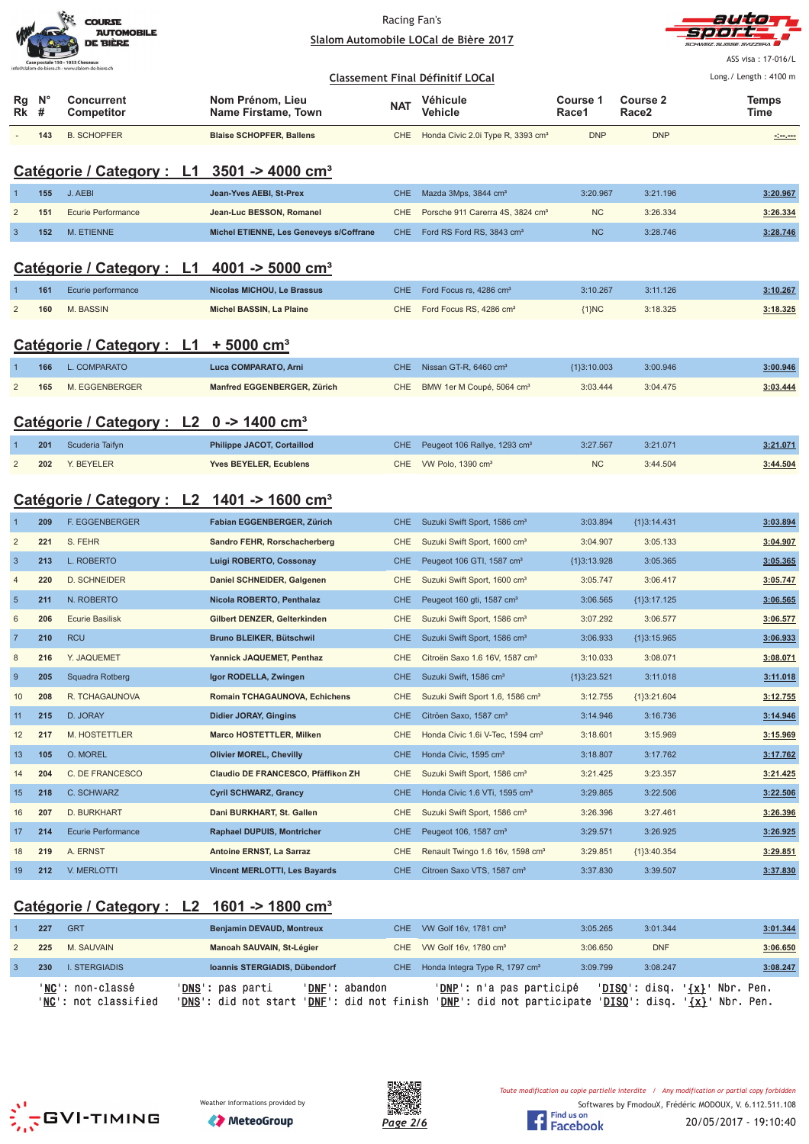|                                                                                     | <b>COURSE</b><br><b>AUTOMOBILE</b><br><b>DE BIÈRE</b> |
|-------------------------------------------------------------------------------------|-------------------------------------------------------|
| Case postale 150 - 1033 Cheseaux<br>nfo@slalom-de-biere.ch - www.slalom-de-biere.ch |                                                       |



ASS visa : 17-016/L Long./ Length: 4100 m

#### **Classement Final Définitif LOCal**

| Rq<br>$Rk$ # | N°  | Concurrent<br><b>Competitor</b> | Nom Prénom, Lieu<br>Name Firstame, Town | <b>NAT</b> | Véhicule<br>Vehicle                               | Course 1<br>Race1 | Course 2<br>Race <sub>2</sub> | Temps<br>Time |
|--------------|-----|---------------------------------|-----------------------------------------|------------|---------------------------------------------------|-------------------|-------------------------------|---------------|
|              | 143 | B. SCHOPFER                     | <b>Blaise SCHOPFER, Ballens</b>         |            | CHE Honda Civic 2.0i Type R, 3393 cm <sup>3</sup> | <b>DNP</b>        | <b>DNP</b>                    | مسرمين        |

# **Catégorie / Category : L1 3501 -> 4000 cm³**

| 155 | J. AEBI            | Jean-Yves AEBI, St-Prex                 | CHE Mazda 3Mps, 3844 cm <sup>3</sup>             | 3:20.967  | 3:21.196 | 3:20.967 |
|-----|--------------------|-----------------------------------------|--------------------------------------------------|-----------|----------|----------|
| 151 | Ecurie Performance | Jean-Luc BESSON, Romanel                | CHE Porsche 911 Carerra 4S, 3824 cm <sup>3</sup> | <b>NC</b> | 3:26.334 | 3:26.334 |
| 152 | M. ETIENNE         | Michel ETIENNE, Les Geneveys s/Coffrane | CHE Ford RS Ford RS, 3843 cm <sup>3</sup>        | <b>NC</b> | 3:28.746 | 3:28.746 |

# **Catégorie / Category : L1 4001 -> 5000 cm³**

| 161 | Ecurie performance | Nicolas MICHOU, Le Brassus | CHE Ford Focus rs. 4286 cm <sup>3</sup> | 3:10.267 | 3:11.126 | 3:10.267 |
|-----|--------------------|----------------------------|-----------------------------------------|----------|----------|----------|
|     | 160 M. BASSIN      | Michel BASSIN, La Plaine   | CHE Ford Focus RS, 4286 cm <sup>3</sup> | $1$ }NC  | 3:18.325 | 3:18.325 |

# **Catégorie / Category : L1 + 5000 cm³**

| 166 | L. COMPARATO   | Luca COMPARATO, Arni        | CHE Nissan GT-R, 6460 cm <sup>3</sup>     | ${1}3:10.003$ | 3:00.946 | 3:00.946 |
|-----|----------------|-----------------------------|-------------------------------------------|---------------|----------|----------|
| 165 | M. EGGENBERGER | Manfred EGGENBERGER, Zürich | CHE BMW 1er M Coupé, 5064 cm <sup>3</sup> | 3:03.444      | 3:04.475 | 3:03.444 |

### **Catégorie / Category : L2 0 -> 1400 cm³**

| 201 | Scuderia Taifyn | <b>Philippe JACOT, Cortaillod</b> | CHE Peugeot 106 Rallye, 1293 cm <sup>3</sup> | 3:27.567  | 3:21.071 | 3:21.071 |
|-----|-----------------|-----------------------------------|----------------------------------------------|-----------|----------|----------|
|     | 202 Y. BEYELER  | <b>Yves BEYELER, Ecublens</b>     | CHE VW Polo, 1390 cm <sup>3</sup>            | <b>NC</b> | 3:44.504 | 3:44.504 |

# **Catégorie / Category : L2 1401 -> 1600 cm³**

|                | 209 | <b>F. EGGENBERGER</b>     | Fabian EGGENBERGER, Zürich           | <b>CHE</b> | Suzuki Swift Sport, 1586 cm <sup>3</sup>     | 3:03.894      | ${1}3:14.431$ | 3:03.894 |
|----------------|-----|---------------------------|--------------------------------------|------------|----------------------------------------------|---------------|---------------|----------|
| $\overline{2}$ | 221 | S. FEHR                   | Sandro FEHR, Rorschacherberg         | <b>CHE</b> | Suzuki Swift Sport, 1600 cm <sup>3</sup>     | 3:04.907      | 3:05.133      | 3:04.907 |
| $\overline{3}$ | 213 | L. ROBERTO                | Luigi ROBERTO, Cossonay              | <b>CHE</b> | Peugeot 106 GTI, 1587 cm <sup>3</sup>        | ${13:13.928}$ | 3:05.365      | 3:05.365 |
| $\overline{4}$ | 220 | <b>D. SCHNEIDER</b>       | Daniel SCHNEIDER, Galgenen           | <b>CHE</b> | Suzuki Swift Sport, 1600 cm <sup>3</sup>     | 3:05.747      | 3:06.417      | 3:05.747 |
| $5\phantom{1}$ | 211 | N. ROBERTO                | Nicola ROBERTO, Penthalaz            | <b>CHE</b> | Peugeot 160 gti, 1587 cm <sup>3</sup>        | 3:06.565      | {1}3:17.125   | 3:06.565 |
| 6              | 206 | <b>Ecurie Basilisk</b>    | Gilbert DENZER, Gelterkinden         | <b>CHE</b> | Suzuki Swift Sport, 1586 cm <sup>3</sup>     | 3:07.292      | 3:06.577      | 3:06.577 |
| $\overline{7}$ | 210 | <b>RCU</b>                | Bruno BLEIKER, Bütschwil             | <b>CHE</b> | Suzuki Swift Sport, 1586 cm <sup>3</sup>     | 3:06.933      | ${1}3:15.965$ | 3:06.933 |
| 8              | 216 | Y. JAQUEMET               | Yannick JAQUEMET, Penthaz            | CHE        | Citroën Saxo 1.6 16V, 1587 cm <sup>3</sup>   | 3:10.033      | 3:08.071      | 3:08.071 |
| 9              | 205 | Squadra Rotberg           | Igor RODELLA, Zwingen                | <b>CHE</b> | Suzuki Swift, 1586 cm <sup>3</sup>           | {1}3:23.521   | 3:11.018      | 3:11.018 |
| 10             | 208 | R. TCHAGAUNOVA            | Romain TCHAGAUNOVA, Echichens        | <b>CHE</b> | Suzuki Swift Sport 1.6, 1586 cm <sup>3</sup> | 3:12.755      | {1}3:21.604   | 3:12.755 |
| 11             | 215 | D. JORAY                  | <b>Didier JORAY, Gingins</b>         | <b>CHE</b> | Citröen Saxo, 1587 cm <sup>3</sup>           | 3:14.946      | 3:16.736      | 3:14.946 |
| 12             | 217 | M. HOSTETTLER             | Marco HOSTETTLER, Milken             | <b>CHE</b> | Honda Civic 1.6i V-Tec, 1594 cm <sup>3</sup> | 3:18.601      | 3:15.969      | 3:15.969 |
| 13             | 105 | O. MOREL                  | <b>Olivier MOREL, Chevilly</b>       | <b>CHE</b> | Honda Civic, 1595 cm <sup>3</sup>            | 3:18.807      | 3:17.762      | 3:17.762 |
| 14             | 204 | C. DE FRANCESCO           | Claudio DE FRANCESCO, Pfäffikon ZH   | <b>CHE</b> | Suzuki Swift Sport, 1586 cm <sup>3</sup>     | 3:21.425      | 3:23.357      | 3:21.425 |
| 15             | 218 | C. SCHWARZ                | <b>Cyril SCHWARZ, Grancy</b>         | <b>CHE</b> | Honda Civic 1.6 VTi, 1595 cm <sup>3</sup>    | 3:29.865      | 3:22.506      | 3:22.506 |
| 16             | 207 | D. BURKHART               | Dani BURKHART, St. Gallen            | <b>CHE</b> | Suzuki Swift Sport, 1586 cm <sup>3</sup>     | 3:26.396      | 3:27.461      | 3:26.396 |
| 17             | 214 | <b>Ecurie Performance</b> | <b>Raphael DUPUIS, Montricher</b>    | <b>CHE</b> | Peugeot 106, 1587 cm <sup>3</sup>            | 3:29.571      | 3:26.925      | 3:26.925 |
| 18             | 219 | A. ERNST                  | Antoine ERNST, La Sarraz             | <b>CHE</b> | Renault Twingo 1.6 16v, 1598 cm <sup>3</sup> | 3:29.851      | {1}3:40.354   | 3:29.851 |
| 19             | 212 | V. MERLOTTI               | <b>Vincent MERLOTTI, Les Bayards</b> | <b>CHE</b> | Citroen Saxo VTS, 1587 cm <sup>3</sup>       | 3:37.830      | 3:39.507      | 3:37.830 |

# **Catégorie / Category : L2 1601 -> 1800 cm³**

| 227 | <b>GRT</b>                               | <b>Benjamin DEVAUD, Montreux</b>                                                                     | CHE VW Golf 16v. 1781 cm <sup>3</sup>                  | 3:05.265        | 3:01.344                                             | 3:01.344  |
|-----|------------------------------------------|------------------------------------------------------------------------------------------------------|--------------------------------------------------------|-----------------|------------------------------------------------------|-----------|
| 225 | M. SAUVAIN                               | Manoah SAUVAIN, St-Légier                                                                            | CHE VW Golf 16v, 1780 cm <sup>3</sup>                  | 3:06.650        | <b>DNF</b>                                           | 3:06.650  |
| 230 | <b>L. STERGIADIS</b>                     | Ioannis STERGIADIS, Dübendorf                                                                        | CHE Honda Integra Type R, 1797 cm <sup>3</sup>         | 3:09.799        | 3:08.247                                             | 3:08.247  |
|     | 'NC': non-classé<br>'NC': not classified | ' <b>DNS</b> ': pas parti<br>'DNF': abandon<br>'DNS': did not start'<br><b>'DNF':</b> did not finish | 'DNP': n'a pas participé<br>'DNP': did not participate | $'DISO':$ disq. | $\{x\}$<br>'DISQ': disq.<br>' <u>{x}</u> ' Nbr. Pen. | Nbr. Pen. |







Softwares by FmodouX, Frédéric MODOUX, V. 6.112.511.108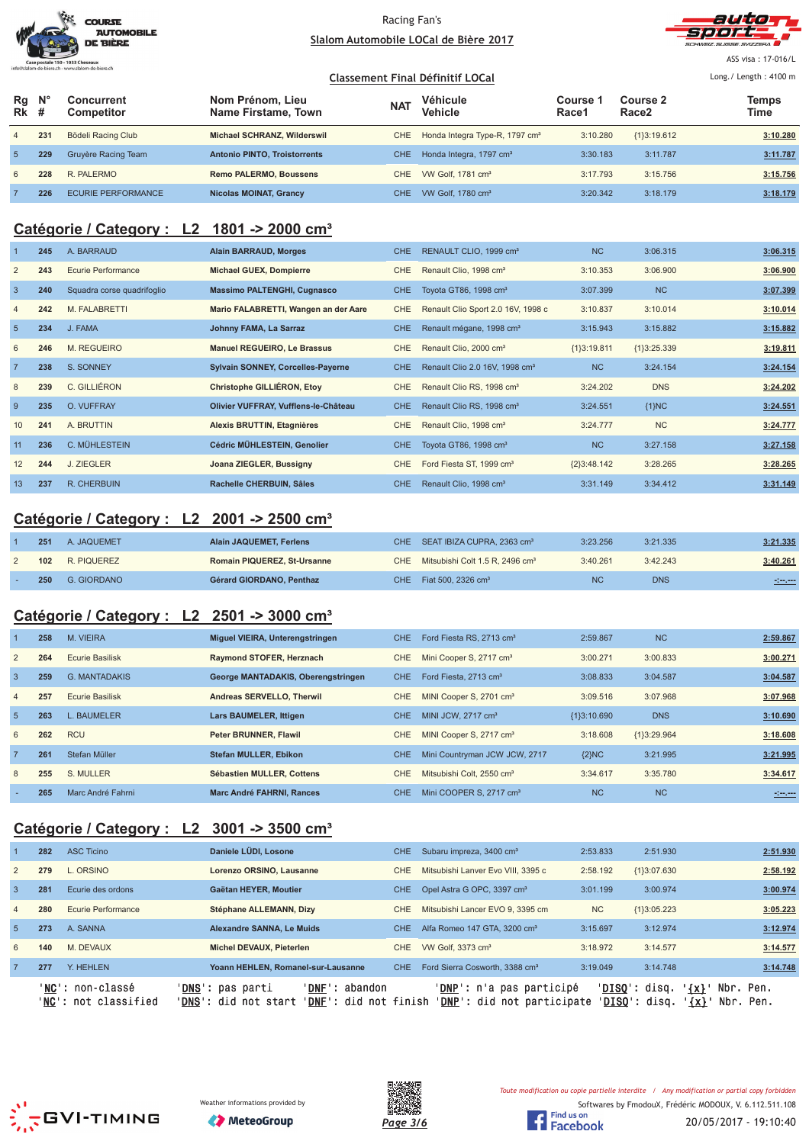|                                                                                     | <b>COURSE</b><br><b>AUTOMOBILE</b><br><b>DE BIÈRE</b> |
|-------------------------------------------------------------------------------------|-------------------------------------------------------|
| Case postale 150 - 1033 Cheseaux<br>ifo@slalom-de-biere.ch - www.slalom-de-biere.ch |                                                       |



ASS visa : 17-016/L

#### **Classement Final Définitif LOCal** Long./ Length: 4100 m **Rg Rk N° # Concurrent Competitor Nom Prénom, Lieu Name Firstame, Town Véhicule Vehicle Course 1 Race1 Course 2 Race2 Temps NAT Vehicle The Course Figure 2 The Vehicle The Race 2 Time** 4 **231** Bödeli Racing Club **Michael SCHRANZ, Wilderswil** CHE Honda Integra Type-R, 1797 cm<sup>3</sup> 3:10.280 {1}3:19.612 **3:10.280** 5 **229** Gruyère Racing Team **Antonio PINTO, Troistorrents** CHE Honda Integra, 1797 cm³ 3:30.183 3:11.787 **3:11.787** 6 **228** R. PALERMO **Remo PALERMO, Boussens** CHE VW Golf, 1781 cm³ 3:17.793 3:15.756 **3:15.756** 7 **226** ECURIE PERFORMANCE **Nicolas MOINAT, Grancy** CHE VW Golf, 1780 cm³ 3:20.342 3:18.179 **3:18.179**

# **Catégorie / Category : L2 1801 -> 2000 cm³**

|                 | 245 | A. BARRAUD                 | <b>Alain BARRAUD, Morges</b>         | CHE        | RENAULT CLIO, 1999 cm <sup>3</sup>         | <b>NC</b>     | 3:06.315      | 3:06.315 |
|-----------------|-----|----------------------------|--------------------------------------|------------|--------------------------------------------|---------------|---------------|----------|
| $\overline{2}$  | 243 | Ecurie Performance         | <b>Michael GUEX, Dompierre</b>       | CHE.       | Renault Clio, 1998 cm <sup>3</sup>         | 3:10.353      | 3:06.900      | 3:06.900 |
| $\mathbf{3}$    | 240 | Squadra corse quadrifoglio | <b>Massimo PALTENGHI, Cugnasco</b>   | CHE.       | Toyota GT86, 1998 cm <sup>3</sup>          | 3:07.399      | <b>NC</b>     | 3:07.399 |
| 4               | 242 | M. FALABRETTI              | Mario FALABRETTI, Wangen an der Aare | <b>CHE</b> | Renault Clio Sport 2.0 16V, 1998 c         | 3:10.837      | 3:10.014      | 3:10.014 |
| $5\overline{5}$ | 234 | J. FAMA                    | Johnny FAMA, La Sarraz               | CHE.       | Renault mégane, 1998 cm <sup>3</sup>       | 3:15.943      | 3:15.882      | 3:15.882 |
| 6               | 246 | M. REGUEIRO                | <b>Manuel REGUEIRO, Le Brassus</b>   | CHE.       | Renault Clio, 2000 cm <sup>3</sup>         | ${1}3:19.811$ | ${1}3:25.339$ | 3:19.811 |
| $\overline{7}$  | 238 | S. SONNEY                  | Sylvain SONNEY, Corcelles-Payerne    | CHE        | Renault Clio 2.0 16V, 1998 cm <sup>3</sup> | <b>NC</b>     | 3:24.154      | 3:24.154 |
| 8               | 239 | C. GILLIÉRON               | Christophe GILLIÉRON, Etoy           | CHE.       | Renault Clio RS, 1998 cm <sup>3</sup>      | 3:24.202      | <b>DNS</b>    | 3:24.202 |
| 9               | 235 | O. VUFFRAY                 | Olivier VUFFRAY, Vufflens-le-Château | CHE        | Renault Clio RS, 1998 cm <sup>3</sup>      | 3:24.551      | ${1}NC$       | 3:24.551 |
| 10              | 241 | A. BRUTTIN                 | Alexis BRUTTIN, Etagnières           | CHE.       | Renault Clio, 1998 cm <sup>3</sup>         | 3:24.777      | <b>NC</b>     | 3:24.777 |
| 11              | 236 | C. MÜHLESTEIN              | Cédric MÜHLESTEIN, Genolier          | CHE        | Toyota GT86, 1998 cm <sup>3</sup>          | <b>NC</b>     | 3:27.158      | 3:27.158 |
| 12              | 244 | J. ZIEGLER                 | Joana ZIEGLER, Bussigny              | CHE.       | Ford Fiesta ST, 1999 cm <sup>3</sup>       | ${2}3:48.142$ | 3:28.265      | 3:28.265 |
| 13              | 237 | <b>R. CHERBUIN</b>         | Rachelle CHERBUIN, Sâles             | CHE.       | Renault Clio, 1998 cm <sup>3</sup>         | 3:31.149      | 3:34.412      | 3:31.149 |

### **Catégorie / Category : L2 2001 -> 2500 cm³**

| 251 | A. JAQUEMET | <b>Alain JAQUEMET, Ferlens</b>     | CHE SEAT IBIZA CUPRA, 2363 cm <sup>3</sup>      | 3:23.256  | 3:21.335   | 3:21.335 |
|-----|-------------|------------------------------------|-------------------------------------------------|-----------|------------|----------|
| 102 | R. PIQUEREZ | <b>Romain PIQUEREZ, St-Ursanne</b> | CHE Mitsubishi Colt 1.5 R, 2496 cm <sup>3</sup> | 3:40.261  | 3:42.243   | 3:40.261 |
| 250 | G. GIORDANO | Gérard GIORDANO, Penthaz           | CHE Fiat 500, 2326 cm <sup>3</sup>              | <b>NC</b> | <b>DNS</b> | -1-1-    |

# **Catégorie / Category : L2 2501 -> 3000 cm³**

|                | 258 | M. VIEIRA              | Miguel VIEIRA, Unterengstringen    | CHE. | Ford Fiesta RS, 2713 cm <sup>3</sup>  | 2:59.867      | <b>NC</b>   | 2:59.867 |
|----------------|-----|------------------------|------------------------------------|------|---------------------------------------|---------------|-------------|----------|
| $\overline{2}$ | 264 | Ecurie Basilisk        | Raymond STOFER, Herznach           | CHE. | Mini Cooper S, 2717 cm <sup>3</sup>   | 3:00.271      | 3:00.833    | 3:00.271 |
| $\overline{3}$ | 259 | <b>G. MANTADAKIS</b>   | George MANTADAKIS, Oberengstringen | CHE. | Ford Fiesta, 2713 cm <sup>3</sup>     | 3:08.833      | 3:04.587    | 3:04.587 |
| $\overline{4}$ | 257 | <b>Ecurie Basilisk</b> | Andreas SERVELLO, Therwil          | CHE. | MINI Cooper S, 2701 cm <sup>3</sup>   | 3:09.516      | 3:07.968    | 3:07.968 |
| 5              | 263 | L. BAUMELER            | Lars BAUMELER, Ittigen             | CHE. | MINI JCW, 2717 cm <sup>3</sup>        | ${13:10.690}$ | <b>DNS</b>  | 3:10.690 |
| 6              | 262 | <b>RCU</b>             | <b>Peter BRUNNER, Flawil</b>       | CHE. | MINI Cooper S, 2717 cm <sup>3</sup>   | 3:18.608      | {1}3:29.964 | 3:18.608 |
| $\overline{7}$ | 261 | Stefan Müller          | <b>Stefan MULLER, Ebikon</b>       | CHE. | Mini Countryman JCW JCW, 2717         | ${2}NC$       | 3:21.995    | 3:21.995 |
| 8              | 255 | S. MULLER              | Sébastien MULLER, Cottens          | CHE. | Mitsubishi Colt. 2550 cm <sup>3</sup> | 3:34.617      | 3:35.780    | 3:34.617 |
|                | 265 | Marc André Fahrni      | <b>Marc André FAHRNI, Rances</b>   | CHE. | Mini COOPER S. 2717 cm <sup>3</sup>   | <b>NC</b>     | <b>NC</b>   | مسرمرة   |

# **Catégorie / Category : L2 3001 -> 3500 cm³**

|                 |     | ' <b>NC':</b> non-classé<br>' <b>NC</b> ': not classified | 'DNF': abandon<br>' <b>DNS</b> ': pas parti<br>' <b>DNS</b> ': did not start<br>' <b>DNF</b> ': did not finish |      | ' <b>DNP</b> ': n'a pas participé<br>' <b>DNP</b> ': did not participate |           | ' <b>DISO</b> ': disq.<br>' <u>DISO</u> ': disq. | $\{x\}$<br>Nbr. Pen.<br>Nbr. Pen.<br>'{x}' |
|-----------------|-----|-----------------------------------------------------------|----------------------------------------------------------------------------------------------------------------|------|--------------------------------------------------------------------------|-----------|--------------------------------------------------|--------------------------------------------|
|                 | 277 | Y. HEHLEN                                                 | Yoann HEHLEN, Romanel-sur-Lausanne                                                                             | CHE. | Ford Sierra Cosworth, 3388 cm <sup>3</sup>                               | 3:19.049  | 3:14.748                                         | 3:14.748                                   |
| 6               | 140 | M. DEVAUX                                                 | <b>Michel DEVAUX, Pieterlen</b>                                                                                | CHE. | VW Golf, 3373 cm <sup>3</sup>                                            | 3:18.972  | 3:14.577                                         | 3:14.577                                   |
| $5\overline{5}$ | 273 | A. SANNA                                                  | Alexandre SANNA, Le Muids                                                                                      | CHE. | Alfa Romeo 147 GTA, 3200 cm <sup>3</sup>                                 | 3:15.697  | 3:12.974                                         | 3:12.974                                   |
| $\overline{4}$  | 280 | Ecurie Performance                                        | Stéphane ALLEMANN, Dizy                                                                                        | CHE. | Mitsubishi Lancer EVO 9, 3395 cm                                         | <b>NC</b> | ${13:05.223}$                                    | 3:05.223                                   |
| 3               | 281 | Ecurie des ordons                                         | Gaëtan HEYER, Moutier                                                                                          | CHE. | Opel Astra G OPC, 3397 cm <sup>3</sup>                                   | 3:01.199  | 3:00.974                                         | 3:00.974                                   |
| 2               | 279 | L. ORSINO                                                 | Lorenzo ORSINO, Lausanne                                                                                       | CHE. | Mitsubishi Lanver Evo VIII, 3395 c                                       | 2:58.192  | ${13:07.630}$                                    | 2:58.192                                   |
|                 | 282 | <b>ASC Ticino</b>                                         | Daniele LÜDI, Losone                                                                                           | CHE. | Subaru impreza, 3400 cm <sup>3</sup>                                     | 2:53.833  | 2:51.930                                         | 2:51.930                                   |
|                 |     |                                                           |                                                                                                                |      |                                                                          |           |                                                  |                                            |





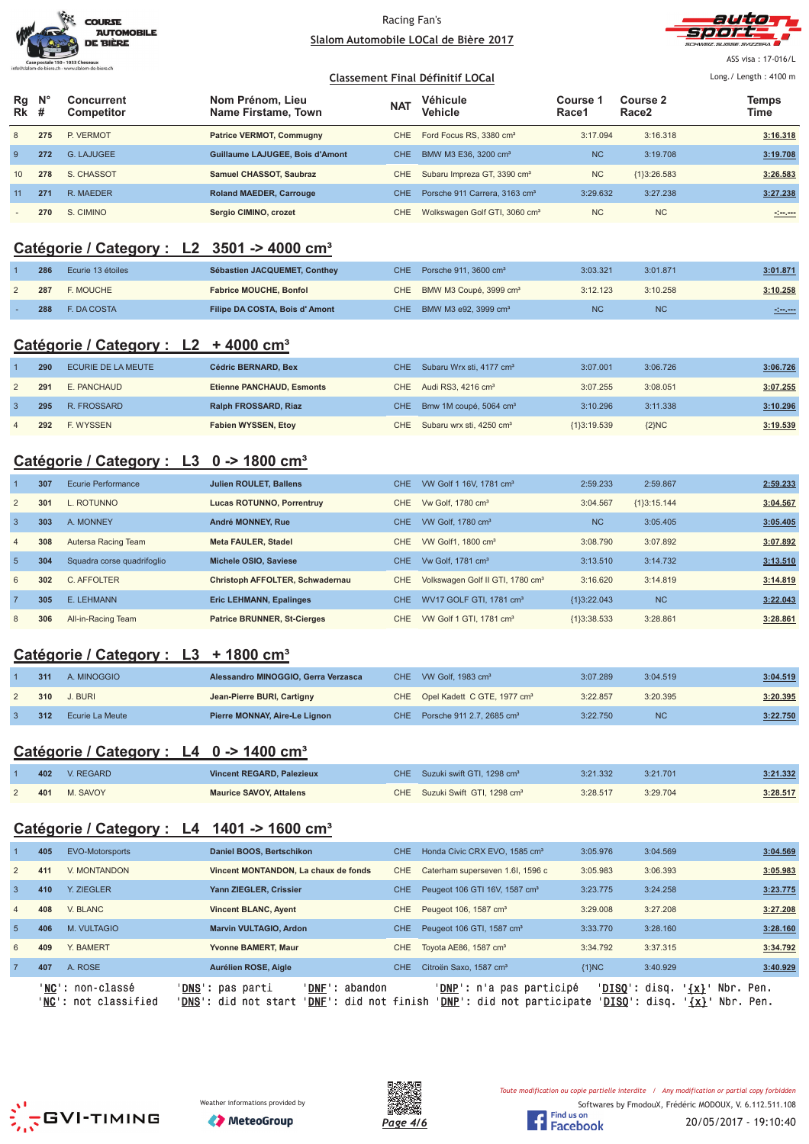



ASS visa : 17-016/L Long./ Length: 4100 m

#### **Classement Final Définitif LOCal**

| Rq<br>Rk                 | $N^{\circ}$ | Concurrent<br><b>Competitor</b> | Nom Prénom. Lieu<br>Name Firstame, Town | <b>NAT</b> | Véhicule<br><b>Vehicle</b>                | Course 1<br>Race1 | Course 2<br>Race <sub>2</sub> | Temps<br>Time |
|--------------------------|-------------|---------------------------------|-----------------------------------------|------------|-------------------------------------------|-------------------|-------------------------------|---------------|
| 8                        | 275         | P. VERMOT                       | <b>Patrice VERMOT, Commugny</b>         | CHE.       | Ford Focus RS, 3380 cm <sup>3</sup>       | 3:17.094          | 3:16.318                      | 3:16.318      |
| 9                        | 272         | G. LAJUGEE                      | <b>Guillaume LAJUGEE, Bois d'Amont</b>  | <b>CHE</b> | BMW M3 E36, 3200 cm <sup>3</sup>          | <b>NC</b>         | 3:19.708                      | 3:19.708      |
| 10                       | 278         | S. CHASSOT                      | Samuel CHASSOT, Saubraz                 | CHE        | Subaru Impreza GT, 3390 cm <sup>3</sup>   | <b>NC</b>         | ${13:26.583}$                 | 3:26.583      |
| 11                       | 271         | R. MAEDER                       | <b>Roland MAEDER, Carrouge</b>          | CHE.       | Porsche 911 Carrera, 3163 cm <sup>3</sup> | 3:29.632          | 3:27.238                      | 3:27.238      |
| $\overline{\phantom{a}}$ | 270         | S. CIMINO                       | Sergio CIMINO, crozet                   | <b>CHE</b> | Wolkswagen Golf GTI, 3060 cm <sup>3</sup> | <b>NC</b>         | <b>NC</b>                     | المسرسين      |

# **Catégorie / Category : L2 3501 -> 4000 cm³**

| 286 | Ecurie 13 étoiles | Sébastien JACQUEMET, Conthey  | CHE Porsche 911, 3600 $cm3$            | 3:03.321  | 3:01.871  | 3:01.871       |
|-----|-------------------|-------------------------------|----------------------------------------|-----------|-----------|----------------|
| 287 | <b>E. MOUCHE</b>  | <b>Fabrice MOUCHE, Bonfol</b> | CHE BMW M3 Coupé, 3999 cm <sup>3</sup> | 3:12.123  | 3:10.258  | 3:10.258       |
| 288 | E. DA COSTA       | Filipe DA COSTA, Bois d'Amont | CHE BMW M3 e92, 3999 cm <sup>3</sup>   | <b>NC</b> | <b>NC</b> | <b>Simpson</b> |

### **Catégorie / Category : L2 + 4000 cm³**

| 290 | ECURIE DE LA MEUTE | Cédric BERNARD, Bex         | CHE Subaru Wrx sti, 4177 cm <sup>3</sup> | 3:07.001      | 3:06.726 | 3:06.726 |
|-----|--------------------|-----------------------------|------------------------------------------|---------------|----------|----------|
| 291 | E. PANCHAUD        | Etienne PANCHAUD, Esmonts   | CHE Audi RS3, 4216 cm <sup>3</sup>       | 3:07.255      | 3:08.051 | 3:07.255 |
| 295 | R. FROSSARD        | <b>Ralph FROSSARD, Riaz</b> | CHE Bmw 1M coupé, 5064 cm <sup>3</sup>   | 3:10.296      | 3:11.338 | 3:10.296 |
| 292 | <b>F. WYSSEN</b>   | <b>Fabien WYSSEN, Etoy</b>  | CHE Subaru wrx sti, 4250 cm <sup>3</sup> | ${13:19.539}$ | ${2}NC$  | 3:19.539 |

### **Catégorie / Category : L3 0 -> 1800 cm³**

|                | 307 | Ecurie Performance         | <b>Julien ROULET, Ballens</b>      | <b>CHE</b> | VW Golf 1 16V, 1781 cm <sup>3</sup>          | 2:59.233       | 2:59.867      | 2:59.233 |
|----------------|-----|----------------------------|------------------------------------|------------|----------------------------------------------|----------------|---------------|----------|
| 2              | 301 | L. ROTUNNO                 | <b>Lucas ROTUNNO, Porrentruy</b>   | CHE.       | Vw Golf, 1780 cm <sup>3</sup>                | 3:04.567       | ${13:15.144}$ | 3:04.567 |
| $\overline{3}$ | 303 | A. MONNEY                  | <b>André MONNEY, Rue</b>           | CHE.       | VW Golf, 1780 cm <sup>3</sup>                | N <sub>C</sub> | 3:05.405      | 3:05.405 |
| $\overline{4}$ | 308 | Autersa Racing Team        | <b>Meta FAULER, Stadel</b>         | CHE.       | VW Golf1, 1800 cm <sup>3</sup>               | 3:08.790       | 3:07.892      | 3:07.892 |
| 5              | 304 | Squadra corse quadrifoglio | Michele OSIO, Saviese              | CHE.       | Vw Golf, 1781 cm <sup>3</sup>                | 3:13.510       | 3:14.732      | 3:13.510 |
| 6              | 302 | C. AFFOLTER                | Christoph AFFOLTER, Schwadernau    | CHE.       | Volkswagen Golf II GTI, 1780 cm <sup>3</sup> | 3:16.620       | 3:14.819      | 3:14.819 |
| $\overline{7}$ | 305 | E. LEHMANN                 | <b>Eric LEHMANN, Epalinges</b>     | CHE.       | WV17 GOLF GTI, 1781 cm <sup>3</sup>          | ${1}3:22.043$  | <b>NC</b>     | 3:22.043 |
| 8              | 306 | All-in-Racing Team         | <b>Patrice BRUNNER, St-Cierges</b> | CHE.       | VW Golf 1 GTI, 1781 cm <sup>3</sup>          | ${1}3:38.533$  | 3:28.861      | 3:28.861 |

# **Catégorie / Category : L3 + 1800 cm³**

| 311 | A. MINOGGIO     | Alessandro MINOGGIO, Gerra Verzasca | CHE VW Golf, 1983 $cm3$                     | 3:07.289 | 3:04.519  | 3:04.519 |
|-----|-----------------|-------------------------------------|---------------------------------------------|----------|-----------|----------|
| 310 | J. BURI         | Jean-Pierre BURI, Cartigny          | CHE Opel Kadett C GTE, 1977 cm <sup>3</sup> | 3:22.857 | 3:20.395  | 3:20.395 |
| 312 | Ecurie La Meute | Pierre MONNAY, Aire-Le Lignon       | CHE Porsche 911 2.7, 2685 cm <sup>3</sup>   | 3:22.750 | <b>NC</b> | 3:22.750 |

# **Catégorie / Category : L4 0 -> 1400 cm³**

| 402 | V. REGARD | Vincent REGARD, Palezieux      | CHE Suzuki swift GTI, 1298 cm <sup>3</sup> | 3:21.332 | 3:21.701 | 3:21.332 |
|-----|-----------|--------------------------------|--------------------------------------------|----------|----------|----------|
| 401 | M. SAVOY  | <b>Maurice SAVOY, Attalens</b> | CHE Suzuki Swift GTI, 1298 cm <sup>3</sup> | 3:28.517 | 3:29.704 | 3:28.517 |

# **Catégorie / Category : L4 1401 -> 1600 cm³**

|                 |     | 'NC': non-classé<br>' <b>NC':</b> not classified | <b>DNS':</b> pas parti<br>' <b>DNF</b> ': abandon<br>' <b>DNS</b> ': did not start<br>' <b>DNF</b> ': did not finish |      | ' <b>DNP</b> ': n'a pas participé<br><b>'DNP':</b> did not participate | $'DISO':$ disq.<br>' <u>DISO</u> ': disq. | $\{x\}$<br>Nbr. Pen.<br>$\{x\}$<br>Nbr. Pen. |          |
|-----------------|-----|--------------------------------------------------|----------------------------------------------------------------------------------------------------------------------|------|------------------------------------------------------------------------|-------------------------------------------|----------------------------------------------|----------|
|                 | 407 | A. ROSE                                          | Aurélien ROSE, Aigle                                                                                                 | CHE. | Citroën Saxo, 1587 cm <sup>3</sup>                                     | ${1}NC$                                   | 3:40.929                                     | 3:40.929 |
| 6               | 409 | Y. BAMERT                                        | <b>Yvonne BAMERT, Maur</b>                                                                                           | CHE. | Toyota AE86, 1587 cm <sup>3</sup>                                      | 3:34.792                                  | 3:37.315                                     | 3:34.792 |
| $5\overline{)}$ | 406 | <b>M. VULTAGIO</b>                               | <b>Marvin VULTAGIO, Ardon</b>                                                                                        | CHE. | Peugeot 106 GTI, 1587 cm <sup>3</sup>                                  | 3:33.770                                  | 3:28.160                                     | 3:28.160 |
| $\overline{4}$  | 408 | V. BLANC                                         | <b>Vincent BLANC, Ayent</b>                                                                                          | CHE. | Peugeot 106, 1587 cm <sup>3</sup>                                      | 3:29.008                                  | 3:27.208                                     | 3:27.208 |
| 3               | 410 | <b>Y. ZIEGLER</b>                                | Yann ZIEGLER, Crissier                                                                                               | CHE. | Peugeot 106 GTI 16V, 1587 cm <sup>3</sup>                              | 3:23.775                                  | 3:24.258                                     | 3:23.775 |
| $\overline{2}$  | 411 | V. MONTANDON                                     | Vincent MONTANDON. La chaux de fonds                                                                                 | CHE. | Caterham superseven 1.6I, 1596 c                                       | 3:05.983                                  | 3:06.393                                     | 3:05.983 |
|                 | 405 | EVO-Motorsports                                  | Daniel BOOS, Bertschikon                                                                                             | CHE. | Honda Civic CRX EVO, 1585 cm <sup>3</sup>                              | 3:05.976                                  | 3:04.569                                     | 3:04.569 |
|                 |     |                                                  |                                                                                                                      |      |                                                                        |                                           |                                              |          |







Softwares by FmodouX, Frédéric MODOUX, V. 6.112.511.108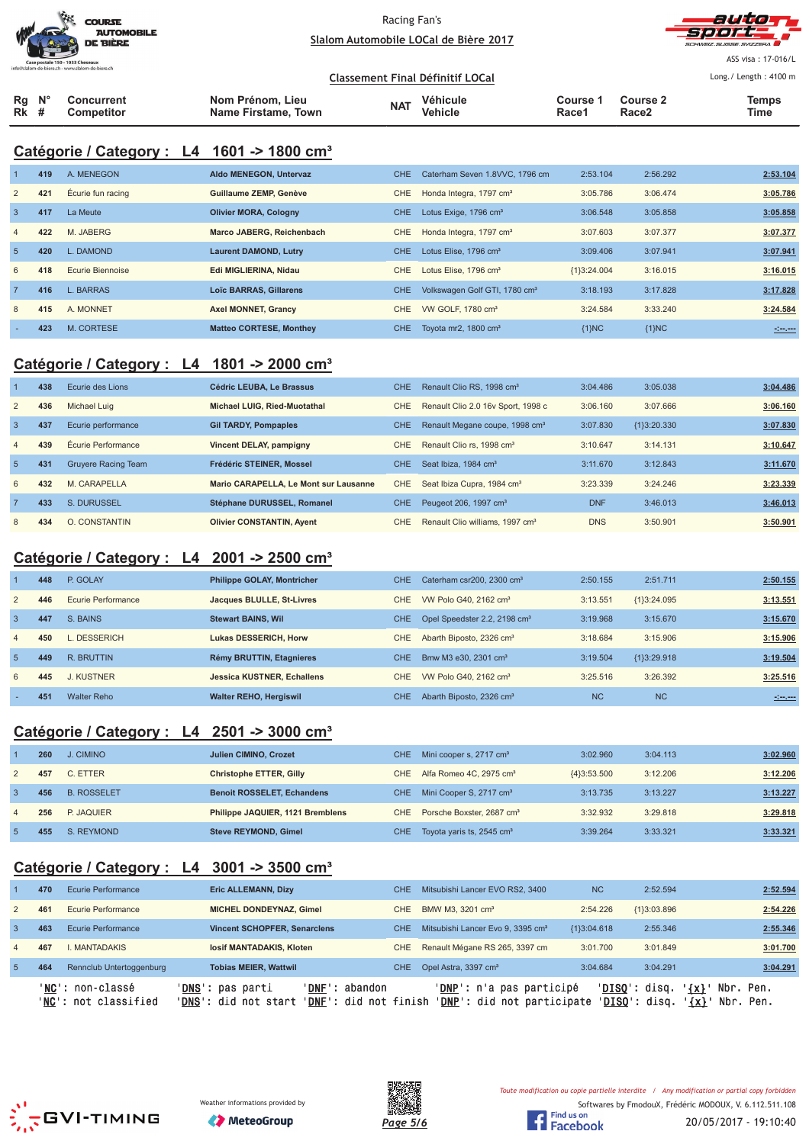|                                                 | <b>COURSE</b><br><b>AUTOMOBILE</b><br><b>DE BIÈRE</b> |
|-------------------------------------------------|-------------------------------------------------------|
| Case postale 150 - 1033 Cheseaux                |                                                       |
| nfo@slalom-de-biere.ch - www.slalom-de-biere.ch |                                                       |



ASS visa : 17-016/L Long./ Length: 4100 m

|                        |                                 |                                         |            | Classement Final Définitif LOCal |                   |                               | Long. / Length: $4100 \text{ m}$ |
|------------------------|---------------------------------|-----------------------------------------|------------|----------------------------------|-------------------|-------------------------------|----------------------------------|
| $Rq$ $N^{\circ}$<br>Rk | <b>Concurrent</b><br>Competitor | Nom Prénom. Lieu<br>Name Firstame, Town | <b>NAT</b> | Véhicule<br>Vehicle              | Course 1<br>Race1 | Course 2<br>Race <sub>2</sub> | Temps<br>Time                    |

# **Catégorie / Category : L4 1601 -> 1800 cm³**

|                | 419 | A. MENEGON              | Aldo MENEGON, Untervaz         | CHE.       | Caterham Seven 1.8VVC, 1796 cm            | 2:53.104      | 2:56.292 | 2:53.104             |
|----------------|-----|-------------------------|--------------------------------|------------|-------------------------------------------|---------------|----------|----------------------|
| 2              | 421 | Écurie fun racing       | Guillaume ZEMP, Genève         | CHE.       | Honda Integra, 1797 cm <sup>3</sup>       | 3:05.786      | 3:06.474 | 3:05.786             |
| $\overline{3}$ | 417 | La Meute                | <b>Olivier MORA, Cologny</b>   | <b>CHE</b> | Lotus Exige, 1796 cm <sup>3</sup>         | 3:06.548      | 3:05.858 | 3:05.858             |
| $\overline{4}$ | 422 | M. JABERG               | Marco JABERG, Reichenbach      | CHE        | Honda Integra, 1797 cm <sup>3</sup>       | 3:07.603      | 3:07.377 | 3:07.377             |
| 5              | 420 | L. DAMOND               | <b>Laurent DAMOND, Lutry</b>   | CHE.       | Lotus Elise, 1796 cm <sup>3</sup>         | 3:09.406      | 3:07.941 | 3:07.941             |
| 6              | 418 | <b>Ecurie Biennoise</b> | Edi MIGLIERINA, Nidau          | CHE.       | Lotus Elise, 1796 cm <sup>3</sup>         | ${1}3:24.004$ | 3:16.015 | 3:16.015             |
| 7              | 416 | L. BARRAS               | <b>Loïc BARRAS, Gillarens</b>  | CHE.       | Volkswagen Golf GTI, 1780 cm <sup>3</sup> | 3:18.193      | 3:17.828 | 3:17.828             |
| 8              | 415 | A. MONNET               | <b>Axel MONNET, Grancy</b>     | CHE        | VW GOLF, 1780 cm <sup>3</sup>             | 3:24.584      | 3:33.240 | 3:24.584             |
|                | 423 | M. CORTESE              | <b>Matteo CORTESE, Monthey</b> | CHE.       | Tovota mr2, 1800 cm <sup>3</sup>          | ${1}NC$       | ${1}NC$  | $-1 - 1 - 1 - 1 = 0$ |

# **Catégorie / Category : L4 1801 -> 2000 cm³**

|                 | 438 | Ecurie des Lions           | Cédric LEUBA. Le Brassus              | <b>CHE</b> | Renault Clio RS, 1998 cm <sup>3</sup>       | 3:04.486   | 3:05.038      | 3:04.486 |
|-----------------|-----|----------------------------|---------------------------------------|------------|---------------------------------------------|------------|---------------|----------|
| 2               | 436 | Michael Luig               | Michael LUIG. Ried-Muotathal          | CHE        | Renault Clio 2.0 16v Sport, 1998 c          | 3:06.160   | 3:07.666      | 3:06.160 |
| 3               | 437 | Ecurie performance         | <b>Gil TARDY, Pompaples</b>           | <b>CHE</b> | Renault Megane coupe, 1998 cm <sup>3</sup>  | 3:07.830   | ${13:20.330}$ | 3:07.830 |
| $\overline{4}$  | 439 | Écurie Performance         | Vincent DELAY, pampigny               | CHE.       | Renault Clio rs. 1998 cm <sup>3</sup>       | 3:10.647   | 3:14.131      | 3:10.647 |
| $5\overline{)}$ | 431 | <b>Gruyere Racing Team</b> | Frédéric STEINER, Mossel              | <b>CHE</b> | Seat Ibiza, 1984 cm <sup>3</sup>            | 3:11.670   | 3:12.843      | 3:11.670 |
| 6               | 432 | M. CARAPELLA               | Mario CARAPELLA. Le Mont sur Lausanne | CHE.       | Seat Ibiza Cupra, 1984 cm <sup>3</sup>      | 3:23.339   | 3:24.246      | 3:23.339 |
|                 | 433 | S. DURUSSEL                | Stéphane DURUSSEL, Romanel            | CHE.       | Peugeot 206, 1997 cm <sup>3</sup>           | <b>DNF</b> | 3:46.013      | 3:46.013 |
| 8               | 434 | O. CONSTANTIN              | <b>Olivier CONSTANTIN, Ayent</b>      | CHE        | Renault Clio williams, 1997 cm <sup>3</sup> | <b>DNS</b> | 3:50.901      | 3:50.901 |

# **Catégorie / Category : L4 2001 -> 2500 cm³**

|                | 448 | P. GOLAY           | <b>Philippe GOLAY, Montricher</b> | CHE.             | Caterham csr200, 2300 cm <sup>3</sup>    | 2:50.155  | 2:51.711      | 2:50.155       |
|----------------|-----|--------------------|-----------------------------------|------------------|------------------------------------------|-----------|---------------|----------------|
| 2              | 446 | Ecurie Performance | Jacques BLULLE, St-Livres         | CHE.             | VW Polo G40, 2162 cm <sup>3</sup>        | 3:13.551  | ${13:24.095}$ | 3:13.551       |
| $\overline{3}$ | 447 | S. BAINS           | <b>Stewart BAINS, Wil</b>         | <b>CHE</b>       | Opel Speedster 2.2, 2198 cm <sup>3</sup> | 3:19.968  | 3:15.670      | 3:15.670       |
| $\overline{4}$ | 450 | L. DESSERICH       | <b>Lukas DESSERICH, Horw</b>      | CHE.             | Abarth Biposto, 2326 cm <sup>3</sup>     | 3:18.684  | 3:15.906      | 3:15.906       |
| -5             | 449 | R. BRUTTIN         | Rémy BRUTTIN, Etagnieres          | CHE <sup>-</sup> | Bmw M3 e30, 2301 cm <sup>3</sup>         | 3:19.504  | ${13:29.918}$ | 3:19.504       |
| 6              | 445 | J. KUSTNER         | <b>Jessica KUSTNER, Echallens</b> | CHE.             | VW Polo G40, 2162 cm <sup>3</sup>        | 3:25.516  | 3:26.392      | 3:25.516       |
|                | 451 | <b>Walter Reho</b> | <b>Walter REHO, Hergiswil</b>     | <b>CHE</b>       | Abarth Biposto, 2326 cm <sup>3</sup>     | <b>NC</b> | <b>NC</b>     | <b>Simpson</b> |

# **Catégorie / Category : L4 2501 -> 3000 cm³**

|                | 260 | J. CIMINO          | Julien CIMINO, Crozet             | CHE. | Mini cooper s, 2717 cm <sup>3</sup>   | 3:02.960      | 3:04.113 | 3:02.960 |
|----------------|-----|--------------------|-----------------------------------|------|---------------------------------------|---------------|----------|----------|
| 2              | 457 | C. ETTER           | <b>Christophe ETTER, Gilly</b>    | CHE  | Alfa Romeo 4C, 2975 cm <sup>3</sup>   | ${4}3:53.500$ | 3:12.206 | 3:12.206 |
| 3              | 456 | <b>B. ROSSELET</b> | <b>Benoit ROSSELET, Echandens</b> | CHE. | Mini Cooper S, 2717 cm <sup>3</sup>   | 3:13.735      | 3:13.227 | 3:13.227 |
| $\overline{a}$ | 256 | P. JAQUIER         | Philippe JAQUIER, 1121 Bremblens  | CHE. | Porsche Boxster, 2687 cm <sup>3</sup> | 3:32.932      | 3:29.818 | 3:29.818 |
| -5             | 455 | S. REYMOND         | <b>Steve REYMOND, Gimel</b>       | CHE. | Toyota yaris ts, 2545 cm <sup>3</sup> | 3:39.264      | 3:33.321 | 3:33.321 |

# **Catégorie / Category : L4 3001 -> 3500 cm³**

|                |     | 'NC': non-classé<br>'NC': not classified | ' <b>DNS</b> ': pas parti<br>'DNS': did not start | 'DNF': abandon<br>' <b>DNF</b> ': did not finish | <b>'DNP':</b> n'a pas participé<br>' <b>DNP</b> ': did not participate |               | $'DISO':$ disq.<br>$\{x\}$<br>' <b>DISO</b> ': disq.<br>$\{x\}$ | Nbr. Pen.<br>Nbr. Pen. |
|----------------|-----|------------------------------------------|---------------------------------------------------|--------------------------------------------------|------------------------------------------------------------------------|---------------|-----------------------------------------------------------------|------------------------|
| -5             | 464 | Rennclub Untertoggenburg                 | <b>Tobias MEIER, Wattwil</b>                      | CHE.                                             | Opel Astra, 3397 cm <sup>3</sup>                                       | 3:04.684      | 3:04.291                                                        | 3:04.291               |
| $\overline{4}$ | 467 | . MANTADAKIS                             | losif MANTADAKIS, Kloten                          | CHE.                                             | Renault Mégane RS 265, 3397 cm                                         | 3:01.700      | 3:01.849                                                        | 3:01.700               |
| 3              | 463 | Ecurie Performance                       | <b>Vincent SCHOPFER, Senarclens</b>               | CHE.                                             | Mitsubishi Lancer Evo 9, 3395 cm <sup>3</sup>                          | ${13:04.618}$ | 2:55.346                                                        | 2:55.346               |
| $\overline{2}$ | 461 | Ecurie Performance                       | <b>MICHEL DONDEYNAZ, Gimel</b>                    | CHE.                                             | BMW M3, 3201 cm <sup>3</sup>                                           | 2:54.226      | ${13:03.896}$                                                   | 2:54.226               |
|                | 470 | <b>Ecurie Performance</b>                | <b>Eric ALLEMANN, Dizy</b>                        | CHE                                              | Mitsubishi Lancer EVO RS2, 3400                                        | <b>NC</b>     | 2:52.594                                                        | 2:52.594               |
|                |     |                                          |                                                   |                                                  |                                                                        |               |                                                                 |                        |







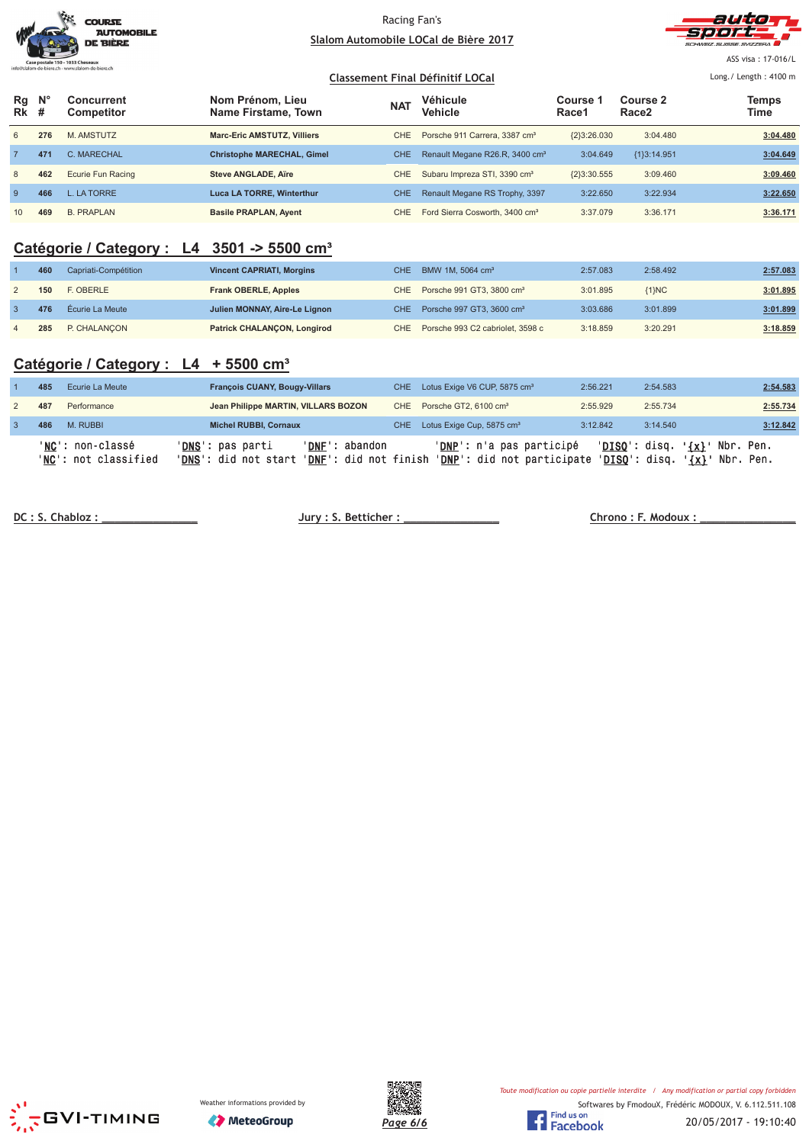|                                                  | <b>COURSE</b><br><b>AUTOMOBILE</b><br><b>DE BIÈRE</b> |
|--------------------------------------------------|-------------------------------------------------------|
| Case postale 150 - 1033 Cheseaux                 |                                                       |
| info@slalom-de-biere.ch - www.slalom-de-biere.ch |                                                       |
|                                                  |                                                       |



ASS visa : 17-016/L Long./ Length: 4100 m

#### **Classement Final Définitif LOCal**

| Rg<br><b>Rk</b> # | $\mathsf{N}^\circ$ | Concurrent<br><b>Competitor</b> | Nom Prénom, Lieu<br>Name Firstame, Town | <b>NAT</b> | Véhicule<br><b>Vehicle</b>                 | Course 1<br>Race1 | Course 2<br>Race <sub>2</sub> | Temps<br>Time |
|-------------------|--------------------|---------------------------------|-----------------------------------------|------------|--------------------------------------------|-------------------|-------------------------------|---------------|
| 6                 | 276                | M. AMSTUTZ                      | <b>Marc-Eric AMSTUTZ, Villiers</b>      | CHE.       | Porsche 911 Carrera, 3387 cm <sup>3</sup>  | ${2}3:26.030$     | 3:04.480                      | 3:04.480      |
|                   | 471                | C. MARECHAL                     | <b>Christophe MARECHAL, Gimel</b>       | <b>CHE</b> | Renault Megane R26.R, 3400 cm <sup>3</sup> | 3:04.649          | ${13:14.951}$                 | 3:04.649      |
| 8                 | 462                | Ecurie Fun Racing               | Steve ANGLADE, Aire                     | <b>CHE</b> | Subaru Impreza STI, 3390 cm <sup>3</sup>   | ${2}3:30.555$     | 3:09.460                      | 3:09.460      |
| -9                | 466                | L. LA TORRE                     | <b>Luca LA TORRE, Winterthur</b>        | <b>CHE</b> | Renault Megane RS Trophy, 3397             | 3:22.650          | 3:22.934                      | 3:22.650      |
| 10                | 469                | <b>B. PRAPLAN</b>               | <b>Basile PRAPLAN, Ayent</b>            | CHE.       | Ford Sierra Cosworth, 3400 cm <sup>3</sup> | 3:37.079          | 3:36.171                      | 3:36.171      |

### **Catégorie / Category : L4 3501 -> 5500 cm³**

| 460 | Capriati-Compétition | <b>Vincent CAPRIATI, Morgins</b> | CHE BMW 1M, 5064 cm <sup>3</sup>          | 2:57.083 | 2:58.492 | 2:57.083 |
|-----|----------------------|----------------------------------|-------------------------------------------|----------|----------|----------|
| 150 | F. OBERLE            | <b>Frank OBERLE, Apples</b>      | CHE Porsche 991 GT3, 3800 cm <sup>3</sup> | 3:01.895 | ${1}NC$  | 3:01.895 |
| 476 | Écurie La Meute      | Julien MONNAY, Aire-Le Lignon    | CHE Porsche 997 GT3, 3600 cm <sup>3</sup> | 3:03.686 | 3:01.899 | 3:01.899 |
| 285 | P. CHALANCON         | Patrick CHALANCON, Longirod      | CHE Porsche 993 C2 cabriolet, 3598 c      | 3:18.859 | 3:20.291 | 3:18.859 |

### **Catégorie / Category : L4 + 5500 cm³**

| 485 | Ecurie La Meute                          | <b>François CUANY, Bougy-Villars</b>              |                                                      | CHE Lotus Exige V6 CUP, 5875 cm <sup>3</sup>           | 2:56.221 | 2:54.583                         | 2:54.583                                |
|-----|------------------------------------------|---------------------------------------------------|------------------------------------------------------|--------------------------------------------------------|----------|----------------------------------|-----------------------------------------|
| 487 | Performance                              | Jean Philippe MARTIN, VILLARS BOZON               |                                                      | CHE Porsche GT2, 6100 cm <sup>3</sup>                  | 2:55.929 | 2:55.734                         | 2:55.734                                |
| 486 | M. RUBBI                                 | <b>Michel RUBBI, Cornaux</b>                      |                                                      | CHE Lotus Exige Cup, 5875 cm <sup>3</sup>              | 3:12.842 | 3:14.540                         | 3:12.842                                |
|     | 'NC': non-classé<br>'NC': not classified | ' <b>DNS</b> ': pas parti<br>'DNS': did not start | 'DNF' :<br>abandon<br>' <b>DNF</b> ': did not finish | 'DNP': n'a pas participé<br>'DNP': did not participate |          | 'DISO': disq.<br>$'DISO':$ disq. | Nbr. Pen.<br>$\{x\}$<br>'{x}' Nbr. Pen. |

<u>**DC : S. Chabl</u>**</u>

 $Jury : S. Better :   
 **Chrono : F. Modoux :**$ 





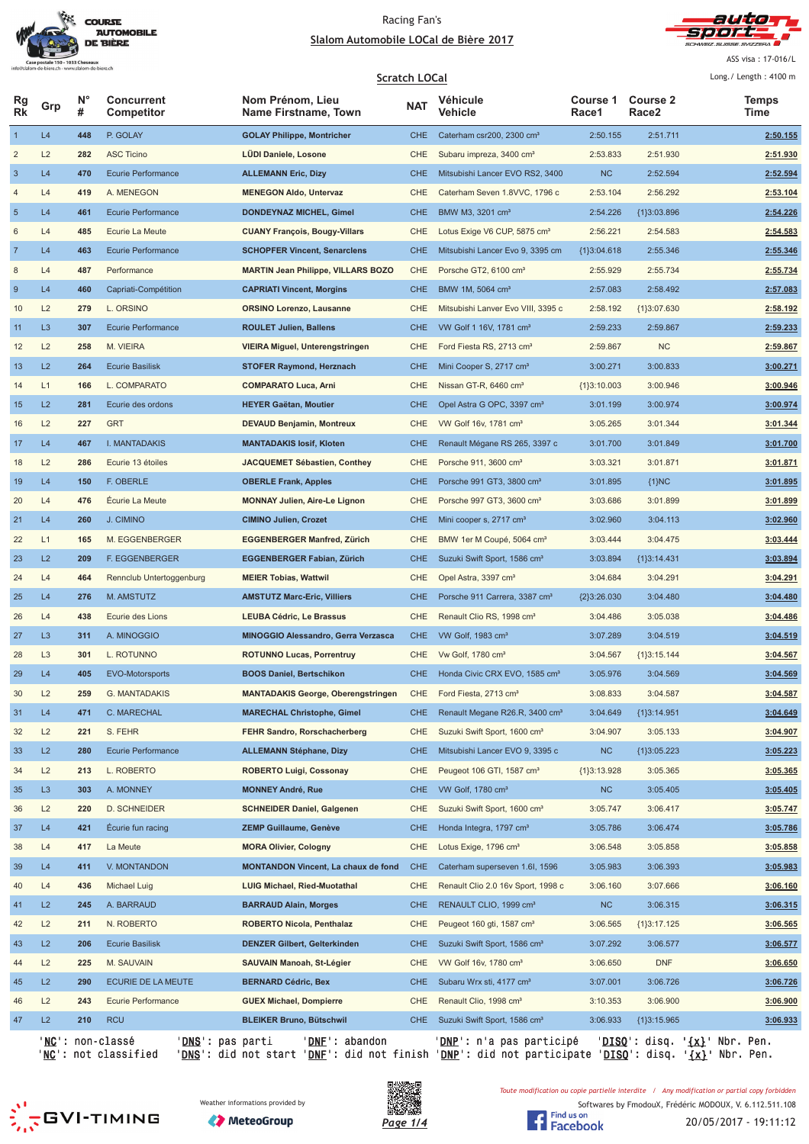



ASS visa : 17-016/L  $l$  ong  $l$  Longth  $: 4100 \text{ m}$ 

|                         |                |         | <b>Scratch LOCal</b>            |                                            |            |                                            |                   |                          |                      |
|-------------------------|----------------|---------|---------------------------------|--------------------------------------------|------------|--------------------------------------------|-------------------|--------------------------|----------------------|
| Rg<br><b>Rk</b>         | Grp            | N°<br># | <b>Concurrent</b><br>Competitor | Nom Prénom, Lieu<br>Name Firstname, Town   | <b>NAT</b> | Véhicule<br>Vehicle                        | Course 1<br>Race1 | <b>Course 2</b><br>Race2 | <b>Temps</b><br>Time |
| $\mathbf{1}$            | L4             | 448     | P. GOLAY                        | <b>GOLAY Philippe, Montricher</b>          | <b>CHE</b> | Caterham csr200, 2300 cm <sup>3</sup>      | 2:50.155          | 2:51.711                 | 2:50.155             |
| $\overline{\mathbf{c}}$ | L2             | 282     | <b>ASC Ticino</b>               | LÜDI Daniele, Losone                       | CHE        | Subaru impreza, 3400 cm <sup>3</sup>       | 2:53.833          | 2:51.930                 | 2:51.930             |
| $\sqrt{3}$              | L4             | 470     | Ecurie Performance              | <b>ALLEMANN Eric, Dizy</b>                 | <b>CHE</b> | Mitsubishi Lancer EVO RS2, 3400            | <b>NC</b>         | 2:52.594                 | 2:52.594             |
| 4                       | L4             | 419     | A. MENEGON                      | <b>MENEGON Aldo, Untervaz</b>              | CHE        | Caterham Seven 1.8VVC, 1796 c              | 2:53.104          | 2:56.292                 | 2:53.104             |
| 5                       | L4             | 461     | Ecurie Performance              | DONDEYNAZ MICHEL, Gimel                    | <b>CHE</b> | BMW M3, 3201 cm <sup>3</sup>               | 2:54.226          | {1}3:03.896              | 2:54.226             |
| 6                       | L4             | 485     | Ecurie La Meute                 | <b>CUANY François, Bougy-Villars</b>       | <b>CHE</b> | Lotus Exige V6 CUP, 5875 cm <sup>3</sup>   | 2:56.221          | 2:54.583                 | 2:54.583             |
| $\overline{7}$          | L4             | 463     | <b>Ecurie Performance</b>       | <b>SCHOPFER Vincent, Senarclens</b>        | <b>CHE</b> | Mitsubishi Lancer Evo 9, 3395 cm           | ${1}3:04.618$     | 2:55.346                 | 2:55.346             |
| 8                       | L4             | 487     | Performance                     | <b>MARTIN Jean Philippe, VILLARS BOZO</b>  | CHE        | Porsche GT2, 6100 cm <sup>3</sup>          | 2:55.929          | 2:55.734                 | 2:55.734             |
| $\boldsymbol{9}$        | L4             | 460     | Capriati-Compétition            | <b>CAPRIATI Vincent, Morgins</b>           | <b>CHE</b> | BMW 1M, 5064 cm <sup>3</sup>               | 2:57.083          | 2:58.492                 | 2:57.083             |
| 10                      | L2             | 279     | L. ORSINO                       | <b>ORSINO Lorenzo, Lausanne</b>            | CHE        | Mitsubishi Lanver Evo VIII, 3395 c         | 2:58.192          | {1}3:07.630              | 2:58.192             |
| 11                      | L <sub>3</sub> | 307     | Ecurie Performance              | <b>ROULET Julien, Ballens</b>              | <b>CHE</b> | VW Golf 1 16V, 1781 cm <sup>3</sup>        | 2:59.233          | 2:59.867                 | 2:59.233             |
| 12                      | L2             | 258     | M. VIEIRA                       | <b>VIEIRA Miguel, Unterengstringen</b>     | <b>CHE</b> | Ford Fiesta RS, 2713 cm <sup>3</sup>       | 2:59.867          | <b>NC</b>                | 2:59.867             |
| 13                      | L2             | 264     | <b>Ecurie Basilisk</b>          | <b>STOFER Raymond, Herznach</b>            | <b>CHE</b> | Mini Cooper S, 2717 cm <sup>3</sup>        | 3:00.271          | 3:00.833                 | 3:00.271             |
| 14                      | L1             | 166     | L. COMPARATO                    | <b>COMPARATO Luca, Arni</b>                | CHE        | Nissan GT-R, 6460 cm <sup>3</sup>          | ${1}3:10.003$     | 3:00.946                 | 3:00.946             |
| 15                      | L2             | 281     | Ecurie des ordons               | <b>HEYER Gaëtan, Moutier</b>               | <b>CHE</b> | Opel Astra G OPC, 3397 cm <sup>3</sup>     | 3:01.199          | 3:00.974                 | 3:00.974             |
| 16                      | L2             | 227     | <b>GRT</b>                      | <b>DEVAUD Benjamin, Montreux</b>           | CHE        | VW Golf 16v, 1781 cm <sup>3</sup>          | 3:05.265          | 3:01.344                 | 3:01.344             |
| 17                      | L4             | 467     | I. MANTADAKIS                   | <b>MANTADAKIS losif, Kloten</b>            | <b>CHE</b> | Renault Mégane RS 265, 3397 c              | 3:01.700          | 3:01.849                 | 3:01.700             |
| 18                      | L2             | 286     | Ecurie 13 étoiles               | JACQUEMET Sébastien, Conthey               | CHE        | Porsche 911, 3600 cm <sup>3</sup>          | 3:03.321          | 3:01.871                 | 3:01.871             |
| 19                      | L4             | 150     | F. OBERLE                       | <b>OBERLE Frank, Apples</b>                | <b>CHE</b> | Porsche 991 GT3, 3800 cm <sup>3</sup>      | 3:01.895          | ${1}NC$                  | 3:01.895             |
| 20                      | L4             | 476     | Écurie La Meute                 | <b>MONNAY Julien, Aire-Le Lignon</b>       | CHE        | Porsche 997 GT3, 3600 cm <sup>3</sup>      | 3:03.686          | 3:01.899                 | 3:01.899             |
| 21                      | L4             | 260     | J. CIMINO                       | <b>CIMINO Julien, Crozet</b>               | <b>CHE</b> | Mini cooper s, 2717 cm <sup>3</sup>        | 3:02.960          | 3:04.113                 | 3:02.960             |
| 22                      | L1             | 165     | M. EGGENBERGER                  | <b>EGGENBERGER Manfred, Zürich</b>         | CHE        | BMW 1er M Coupé, 5064 cm <sup>3</sup>      | 3:03.444          | 3:04.475                 | 3:03.444             |
| 23                      | L2             | 209     | F. EGGENBERGER                  | EGGENBERGER Fabian, Zürich                 | <b>CHE</b> | Suzuki Swift Sport, 1586 cm <sup>3</sup>   | 3:03.894          | {1}3:14.431              | 3:03.894             |
| 24                      | L4             | 464     | Rennclub Untertoggenburg        | <b>MEIER Tobias, Wattwil</b>               | CHE        | Opel Astra, 3397 cm <sup>3</sup>           | 3:04.684          | 3:04.291                 | 3:04.291             |
| 25                      | L4             | 276     | M. AMSTUTZ                      | <b>AMSTUTZ Marc-Eric, Villiers</b>         | <b>CHE</b> | Porsche 911 Carrera, 3387 cm <sup>3</sup>  | ${2}3:26.030$     | 3:04.480                 | 3:04.480             |
| 26                      | L4             | 438     | Ecurie des Lions                | <b>LEUBA Cédric, Le Brassus</b>            | <b>CHE</b> | Renault Clio RS, 1998 cm <sup>3</sup>      | 3:04.486          | 3:05.038                 | 3:04.486             |
| 27                      | L <sub>3</sub> | 311     | A. MINOGGIO                     | <b>MINOGGIO Alessandro, Gerra Verzasca</b> | <b>CHE</b> | VW Golf, 1983 cm <sup>3</sup>              | 3:07.289          | 3:04.519                 | 3:04.519             |
| 28                      | L <sub>3</sub> | 301     | L. ROTUNNO                      | <b>ROTUNNO Lucas, Porrentruy</b>           | <b>CHE</b> | Vw Golf, 1780 cm <sup>3</sup>              | 3:04.567          | ${1}3:15.144$            | 3:04.567             |
| 29                      | L4             | 405     | <b>EVO-Motorsports</b>          | <b>BOOS Daniel, Bertschikon</b>            | <b>CHE</b> | Honda Civic CRX EVO, 1585 cm <sup>3</sup>  | 3:05.976          | 3:04.569                 | 3:04.569             |
| 30                      | L2             | 259     | G. MANTADAKIS                   | <b>MANTADAKIS George, Oberengstringen</b>  | <b>CHE</b> | Ford Fiesta, 2713 cm <sup>3</sup>          | 3:08.833          | 3:04.587                 | 3:04.587             |
| 31                      | L4             | 471     | C. MARECHAL                     | <b>MARECHAL Christophe, Gimel</b>          | <b>CHE</b> | Renault Megane R26.R, 3400 cm <sup>3</sup> | 3:04.649          | ${1}3:14.951$            | 3:04.649             |
| 32                      | L2             | 221     | S. FEHR                         | FEHR Sandro, Rorschacherberg               | CHE        | Suzuki Swift Sport, 1600 cm <sup>3</sup>   | 3:04.907          | 3:05.133                 | 3:04.907             |
| 33                      | L2             | 280     | <b>Ecurie Performance</b>       | <b>ALLEMANN Stéphane, Dizy</b>             | <b>CHE</b> | Mitsubishi Lancer EVO 9, 3395 c            | <b>NC</b>         | ${1}3:05.223$            | 3:05.223             |
| 34                      | L2             | 213     | L. ROBERTO                      | <b>ROBERTO Luigi, Cossonay</b>             | CHE        | Peugeot 106 GTI, 1587 cm <sup>3</sup>      | ${1}3:13.928$     | 3:05.365                 | 3:05.365             |
| 35                      | L <sub>3</sub> | 303     | A. MONNEY                       | <b>MONNEY André, Rue</b>                   | <b>CHE</b> | VW Golf, 1780 cm <sup>3</sup>              | NC                | 3:05.405                 | 3:05.405             |
| 36                      | L2             | 220     | <b>D. SCHNEIDER</b>             | <b>SCHNEIDER Daniel, Galgenen</b>          | CHE        | Suzuki Swift Sport, 1600 cm <sup>3</sup>   | 3:05.747          | 3:06.417                 | 3:05.747             |
| 37                      | L4             | 421     | Ecurie fun racing               | <b>ZEMP Guillaume, Genève</b>              | <b>CHE</b> | Honda Integra, 1797 cm <sup>3</sup>        | 3:05.786          | 3:06.474                 | 3:05.786             |
| 38                      | L4             | 417     | La Meute                        | <b>MORA Olivier, Cologny</b>               | CHE        | Lotus Exige, 1796 cm <sup>3</sup>          | 3:06.548          | 3:05.858                 | 3:05.858             |
|                         | L4             |         |                                 |                                            | <b>CHE</b> |                                            |                   |                          |                      |
| 39                      |                | 411     | V. MONTANDON                    | <b>MONTANDON Vincent, La chaux de fond</b> |            | Caterham superseven 1.6I, 1596             | 3:05.983          | 3:06.393                 | 3:05.983             |
| 40                      | L4             | 436     | <b>Michael Luig</b>             | <b>LUIG Michael, Ried-Muotathal</b>        | CHE        | Renault Clio 2.0 16v Sport, 1998 c         | 3:06.160          | 3:07.666                 | 3:06.160             |
| 41                      | L2             | 245     | A. BARRAUD                      | <b>BARRAUD Alain, Morges</b>               | <b>CHE</b> | RENAULT CLIO, 1999 cm <sup>3</sup>         | <b>NC</b>         | 3:06.315                 | 3:06.315             |
| 42                      | L2             | 211     | N. ROBERTO                      | <b>ROBERTO Nicola, Penthalaz</b>           | CHE        | Peugeot 160 gti, 1587 cm <sup>3</sup>      | 3:06.565          | ${1}3:17.125$            | 3:06.565             |
| 43                      | L2             | 206     | <b>Ecurie Basilisk</b>          | DENZER Gilbert, Gelterkinden               | <b>CHE</b> | Suzuki Swift Sport, 1586 cm <sup>3</sup>   | 3:07.292          | 3:06.577                 | 3:06.577             |
| 44                      | L2             | 225     | M. SAUVAIN                      | SAUVAIN Manoah, St-Légier                  | CHE        | VW Golf 16v, 1780 cm <sup>3</sup>          | 3:06.650          | <b>DNF</b>               | 3:06.650             |
| 45                      | L2             | 290     | ECURIE DE LA MEUTE              | <b>BERNARD Cédric, Bex</b>                 | <b>CHE</b> | Subaru Wrx sti, 4177 cm <sup>3</sup>       | 3:07.001          | 3:06.726                 | 3:06.726             |
| 46                      | L2             | 243     | Ecurie Performance              | <b>GUEX Michael, Dompierre</b>             | CHE        | Renault Clio, 1998 cm <sup>3</sup>         | 3:10.353          | 3:06.900                 | 3:06.900             |
| 47                      | L2             | 210     | <b>RCU</b>                      | <b>BLEIKER Bruno, Bütschwil</b>            | <b>CHE</b> | Suzuki Swift Sport, 1586 cm <sup>3</sup>   | 3:06.933          | ${1}3:15.965$            | 3:06.933             |

'<u>NC</u>': non-classé '<u>DNS</u>': pas parti '<u>DNF</u>': abandon '<u>DNP</u>': n'a pas participé '<u>DISQ</u>': disq. '<u>{x}</u>' Nbr. Pen. '<u>NC</u>': not classified '<u>DNS</u>': did not start '<u>DNF</u>': did not finish '<u>DNP</u>': did not participate '<u>DISQ</u>': disq. '<u>{x}</u>' Nbr. Pen.





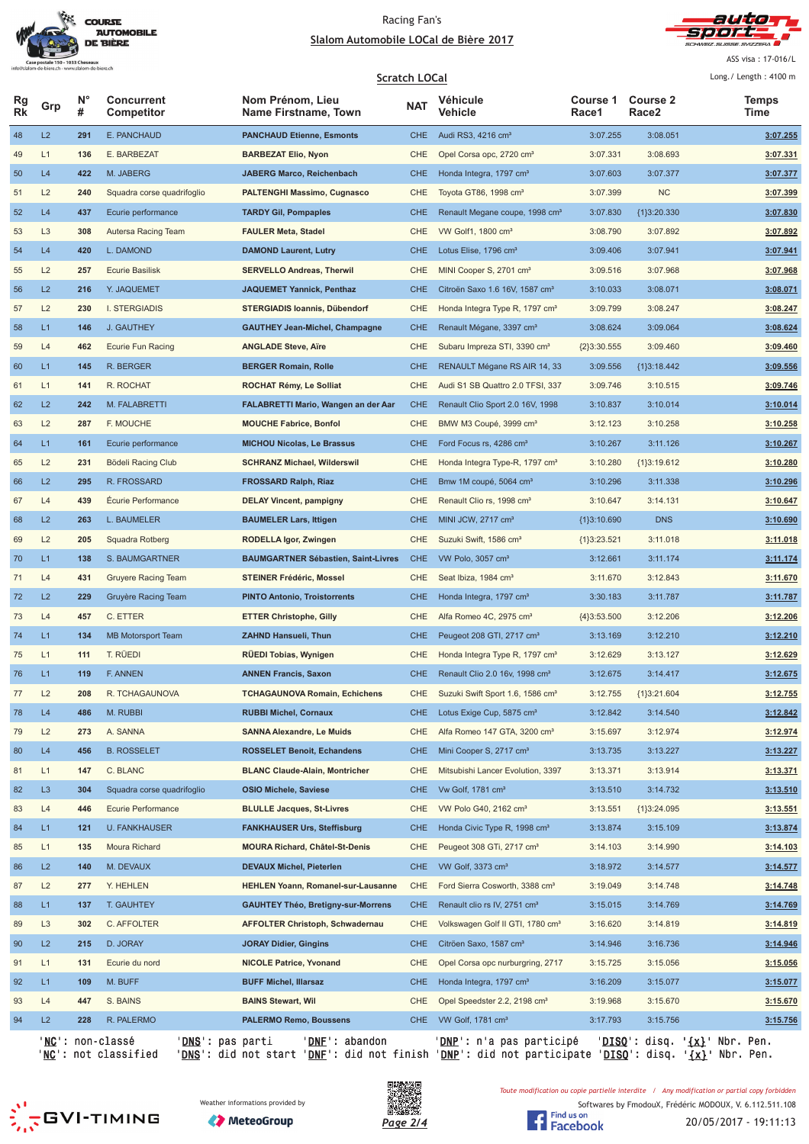



ASS visa : 17-016/L  $1 - 2 = 1 - 2 = 1$ 

|                 | <b>Scratch LOCal</b> |         |                                               |                                            |            |                                              |                   | Long./ Length: 4100 m    |                                                 |
|-----------------|----------------------|---------|-----------------------------------------------|--------------------------------------------|------------|----------------------------------------------|-------------------|--------------------------|-------------------------------------------------|
| Rg<br><b>Rk</b> | Grp                  | N°<br># | <b>Concurrent</b><br>Competitor               | Nom Prénom, Lieu<br>Name Firstname, Town   | <b>NAT</b> | Véhicule<br>Vehicle                          | Course 1<br>Race1 | <b>Course 2</b><br>Race2 | <b>Temps</b><br>Time                            |
| 48              | L2                   | 291     | E. PANCHAUD                                   | <b>PANCHAUD Etienne, Esmonts</b>           | <b>CHE</b> | Audi RS3, 4216 cm <sup>3</sup>               | 3:07.255          | 3:08.051                 | 3:07.255                                        |
| 49              | L1                   | 136     | E. BARBEZAT                                   | <b>BARBEZAT Elio, Nyon</b>                 | CHE        | Opel Corsa opc, 2720 cm <sup>3</sup>         | 3:07.331          | 3:08.693                 | 3:07.331                                        |
| 50              | L4                   | 422     | M. JABERG                                     | <b>JABERG Marco, Reichenbach</b>           | <b>CHE</b> | Honda Integra, 1797 cm <sup>3</sup>          | 3:07.603          | 3:07.377                 | 3:07.377                                        |
| 51              | L2                   | 240     | Squadra corse quadrifoglio                    | <b>PALTENGHI Massimo, Cugnasco</b>         | CHE        | Toyota GT86, 1998 cm <sup>3</sup>            | 3:07.399          | <b>NC</b>                | 3:07.399                                        |
| 52              | L4                   | 437     | Ecurie performance                            | <b>TARDY Gil, Pompaples</b>                | <b>CHE</b> | Renault Megane coupe, 1998 cm <sup>3</sup>   | 3:07.830          | ${1}3:20.330$            | 3:07.830                                        |
| 53              | L <sub>3</sub>       | 308     | Autersa Racing Team                           | <b>FAULER Meta, Stadel</b>                 | CHE        | VW Golf1, 1800 cm <sup>3</sup>               | 3:08.790          | 3:07.892                 | 3:07.892                                        |
| 54              | L4                   | 420     | L. DAMOND                                     | <b>DAMOND Laurent, Lutry</b>               | <b>CHE</b> | Lotus Elise, 1796 cm <sup>3</sup>            | 3:09.406          | 3:07.941                 | 3:07.941                                        |
| 55              | L2                   | 257     | <b>Ecurie Basilisk</b>                        | <b>SERVELLO Andreas, Therwil</b>           | CHE        | MINI Cooper S, 2701 cm <sup>3</sup>          | 3:09.516          | 3:07.968                 | 3:07.968                                        |
| 56              | L2                   | 216     | Y. JAQUEMET                                   | <b>JAQUEMET Yannick, Penthaz</b>           | <b>CHE</b> | Citroën Saxo 1.6 16V, 1587 cm <sup>3</sup>   | 3:10.033          | 3:08.071                 | 3:08.071                                        |
| 57              | L2                   | 230     | <b>I. STERGIADIS</b>                          | STERGIADIS Ioannis, Dübendorf              | CHE        | Honda Integra Type R, 1797 cm <sup>3</sup>   | 3:09.799          | 3:08.247                 | 3:08.247                                        |
| 58              | L1                   | 146     | J. GAUTHEY                                    | <b>GAUTHEY Jean-Michel, Champagne</b>      | <b>CHE</b> | Renault Mégane, 3397 cm <sup>3</sup>         | 3:08.624          | 3:09.064                 | 3:08.624                                        |
| 59              | L4                   | 462     | Ecurie Fun Racing                             | <b>ANGLADE Steve, Aïre</b>                 | CHE        | Subaru Impreza STI, 3390 cm <sup>3</sup>     | ${2}3:30.555$     | 3:09.460                 | 3:09.460                                        |
| 60              | L1                   | 145     | R. BERGER                                     | <b>BERGER Romain, Rolle</b>                | <b>CHE</b> | RENAULT Mégane RS AIR 14, 33                 | 3:09.556          | {1}3:18.442              | 3:09.556                                        |
| 61              | L1                   | 141     | R. ROCHAT                                     | ROCHAT Rémy, Le Solliat                    | CHE        | Audi S1 SB Quattro 2.0 TFSI, 337             | 3:09.746          | 3:10.515                 | 3:09.746                                        |
| 62              | L2                   | 242     | M. FALABRETTI                                 | <b>FALABRETTI Mario, Wangen an der Aar</b> | <b>CHE</b> | Renault Clio Sport 2.0 16V, 1998             | 3:10.837          | 3:10.014                 | 3:10.014                                        |
| 63              | L2                   | 287     | F. MOUCHE                                     | <b>MOUCHE Fabrice, Bonfol</b>              | CHE        | BMW M3 Coupé, 3999 cm <sup>3</sup>           | 3:12.123          | 3:10.258                 | 3:10.258                                        |
| 64              | L1                   | 161     | Ecurie performance                            | <b>MICHOU Nicolas, Le Brassus</b>          | <b>CHE</b> | Ford Focus rs, 4286 cm <sup>3</sup>          | 3:10.267          | 3:11.126                 | 3:10.267                                        |
| 65              | L2                   | 231     | Bödeli Racing Club                            | <b>SCHRANZ Michael, Wilderswil</b>         | CHE        | Honda Integra Type-R, 1797 cm <sup>3</sup>   | 3:10.280          | ${1}3:19.612$            | 3:10.280                                        |
| 66              | L2                   | 295     | R. FROSSARD                                   | <b>FROSSARD Ralph, Riaz</b>                | <b>CHE</b> | Bmw 1M coupé, 5064 cm <sup>3</sup>           | 3:10.296          | 3:11.338                 | 3:10.296                                        |
| 67              | L4                   | 439     | Écurie Performance                            | <b>DELAY Vincent, pampigny</b>             | CHE        | Renault Clio rs, 1998 cm <sup>3</sup>        | 3:10.647          | 3:14.131                 | 3:10.647                                        |
| 68              | L2                   | 263     | L. BAUMELER                                   | <b>BAUMELER Lars, Ittigen</b>              | <b>CHE</b> | MINI JCW, 2717 cm <sup>3</sup>               | {1}3:10.690       | <b>DNS</b>               | 3:10.690                                        |
| 69              | L2                   | 205     | Squadra Rotberg                               | RODELLA Igor, Zwingen                      | CHE        | Suzuki Swift, 1586 cm <sup>3</sup>           | ${1}3:23.521$     | 3:11.018                 | 3:11.018                                        |
| 70              | L1                   | 138     | S. BAUMGARTNER                                | <b>BAUMGARTNER Sébastien, Saint-Livres</b> | <b>CHE</b> | VW Polo, 3057 cm <sup>3</sup>                | 3:12.661          | 3:11.174                 | 3:11.174                                        |
| 71              | L4                   | 431     | <b>Gruyere Racing Team</b>                    | <b>STEINER Frédéric, Mossel</b>            | <b>CHE</b> | Seat Ibiza, 1984 cm <sup>3</sup>             | 3:11.670          | 3:12.843                 | 3:11.670                                        |
| 72              | L2                   | 229     | Gruyère Racing Team                           | <b>PINTO Antonio, Troistorrents</b>        | <b>CHE</b> | Honda Integra, 1797 cm <sup>3</sup>          | 3:30.183          | 3:11.787                 | 3:11.787                                        |
| 73              | L4                   | 457     | C. ETTER                                      | <b>ETTER Christophe, Gilly</b>             | <b>CHE</b> | Alfa Romeo 4C, 2975 cm <sup>3</sup>          | ${4}3:53.500$     | 3:12.206                 | 3:12.206                                        |
| 74              | L1                   | 134     | <b>MB Motorsport Team</b>                     | <b>ZAHND Hansueli, Thun</b>                | <b>CHE</b> | Peugeot 208 GTI, 2717 cm <sup>3</sup>        | 3:13.169          | 3:12.210                 | 3:12.210                                        |
| 75              | L1                   | 111     | T. RÜEDI                                      | <b>RUEDI Tobias, Wynigen</b>               | CHE        | Honda Integra Type R, 1797 cm <sup>3</sup>   | 3:12.629          | 3:13.127                 | 3:12.629                                        |
| 76              | L1                   | 119     | F. ANNEN                                      | <b>ANNEN Francis, Saxon</b>                | <b>CHE</b> | Renault Clio 2.0 16v, 1998 cm <sup>3</sup>   | 3:12.675          | 3:14.417                 | 3:12.675                                        |
| 77              | L2                   | 208     | R. TCHAGAUNOVA                                | <b>TCHAGAUNOVA Romain, Echichens</b>       | <b>CHE</b> | Suzuki Swift Sport 1.6, 1586 cm <sup>3</sup> | 3:12.755          | ${1}3:21.604$            | 3:12.755                                        |
| 78              | L4                   | 486     | M. RUBBI                                      | <b>RUBBI Michel, Cornaux</b>               | <b>CHE</b> | Lotus Exige Cup, 5875 cm <sup>3</sup>        | 3:12.842          | 3:14.540                 | 3:12.842                                        |
| 79              | L2                   | 273     | A. SANNA                                      | <b>SANNA Alexandre, Le Muids</b>           | CHE        | Alfa Romeo 147 GTA, 3200 cm <sup>3</sup>     | 3:15.697          | 3:12.974                 | 3:12.974                                        |
| 80              | L4                   | 456     | <b>B. ROSSELET</b>                            | <b>ROSSELET Benoit, Echandens</b>          | <b>CHE</b> | Mini Cooper S, 2717 cm <sup>3</sup>          | 3:13.735          | 3:13.227                 | 3:13.227                                        |
| 81              | L1                   | 147     | C. BLANC                                      | <b>BLANC Claude-Alain, Montricher</b>      | CHE        | Mitsubishi Lancer Evolution, 3397            | 3:13.371          | 3:13.914                 | 3:13.371                                        |
| 82              | L <sub>3</sub>       | 304     | Squadra corse quadrifoglio                    | <b>OSIO Michele, Saviese</b>               | <b>CHE</b> | Vw Golf, 1781 cm <sup>3</sup>                | 3:13.510          | 3:14.732                 | 3:13.510                                        |
| 83              | L4                   | 446     | Ecurie Performance                            | <b>BLULLE Jacques, St-Livres</b>           | CHE        | VW Polo G40, 2162 cm <sup>3</sup>            | 3:13.551          | ${1}3:24.095$            | 3:13.551                                        |
| 84              | L1                   | $121$   | <b>U. FANKHAUSER</b>                          | <b>FANKHAUSER Urs, Steffisburg</b>         | <b>CHE</b> | Honda Civic Type R, 1998 cm <sup>3</sup>     | 3:13.874          | 3:15.109                 | 3:13.874                                        |
| 85              | L1                   | 135     | Moura Richard                                 | <b>MOURA Richard, Châtel-St-Denis</b>      | CHE        | Peugeot 308 GTi, 2717 cm <sup>3</sup>        | 3:14.103          | 3:14.990                 | 3:14.103                                        |
| 86              | L2                   | 140     | M. DEVAUX                                     | DEVAUX Michel, Pieterlen                   | <b>CHE</b> | VW Golf, 3373 cm <sup>3</sup>                | 3:18.972          | 3:14.577                 | 3:14.577                                        |
| 87              | L2                   | 277     | Y. HEHLEN                                     | <b>HEHLEN Yoann, Romanel-sur-Lausanne</b>  | CHE        | Ford Sierra Cosworth, 3388 cm <sup>3</sup>   | 3:19.049          | 3:14.748                 | 3:14.748                                        |
| 88              | L1                   | 137     | <b>T. GAUHTEY</b>                             | <b>GAUHTEY Théo, Bretigny-sur-Morrens</b>  | <b>CHE</b> | Renault clio rs IV, 2751 cm <sup>3</sup>     | 3:15.015          | 3:14.769                 | 3:14.769                                        |
| 89              | L <sub>3</sub>       | 302     | C. AFFOLTER                                   | <b>AFFOLTER Christoph, Schwadernau</b>     | CHE        | Volkswagen Golf II GTI, 1780 cm <sup>3</sup> | 3:16.620          | 3:14.819                 | 3:14.819                                        |
| 90              | L2                   | 215     | D. JORAY                                      | <b>JORAY Didier, Gingins</b>               | <b>CHE</b> | Citröen Saxo, 1587 cm <sup>3</sup>           | 3:14.946          | 3:16.736                 | 3:14.946                                        |
| 91              | L1                   | 131     | Ecurie du nord                                | <b>NICOLE Patrice, Yvonand</b>             | CHE        | Opel Corsa opc nurburgring, 2717             | 3:15.725          | 3:15.056                 | 3:15.056                                        |
| 92              | L1                   | 109     | M. BUFF                                       | <b>BUFF Michel, Illarsaz</b>               | <b>CHE</b> | Honda Integra, 1797 cm <sup>3</sup>          | 3:16.209          | 3:15.077                 | 3:15.077                                        |
| 93              | L4                   | 447     | S. BAINS                                      | <b>BAINS Stewart, Wil</b>                  | CHE        | Opel Speedster 2.2, 2198 cm <sup>3</sup>     | 3:19.968          | 3:15.670                 | 3:15.670                                        |
| 94              | L2                   | 228     | R. PALERMO                                    | PALERMO Remo, Boussens                     | <b>CHE</b> | VW Golf, 1781 cm <sup>3</sup>                | 3:17.793          | 3:15.756                 | 3:15.756                                        |
|                 |                      |         | ' <u>NC</u> ': non-classé<br>'DNS': pas parti | 'DNE': abandon                             |            | ' <u>DNP</u> ': n'a pas participé            |                   |                          | ' <u>DISQ</u> ': disq. ' <u>{x}</u> ' Nbr. Pen. |

'<u>NC</u>': not classified '<u>DNS</u>': did not start '<u>DNF</u>': did not finish '<u>DNP</u>': did not participate '<u>DISQ</u>': disq. '<u>{x}</u>' Nbr. Pen.





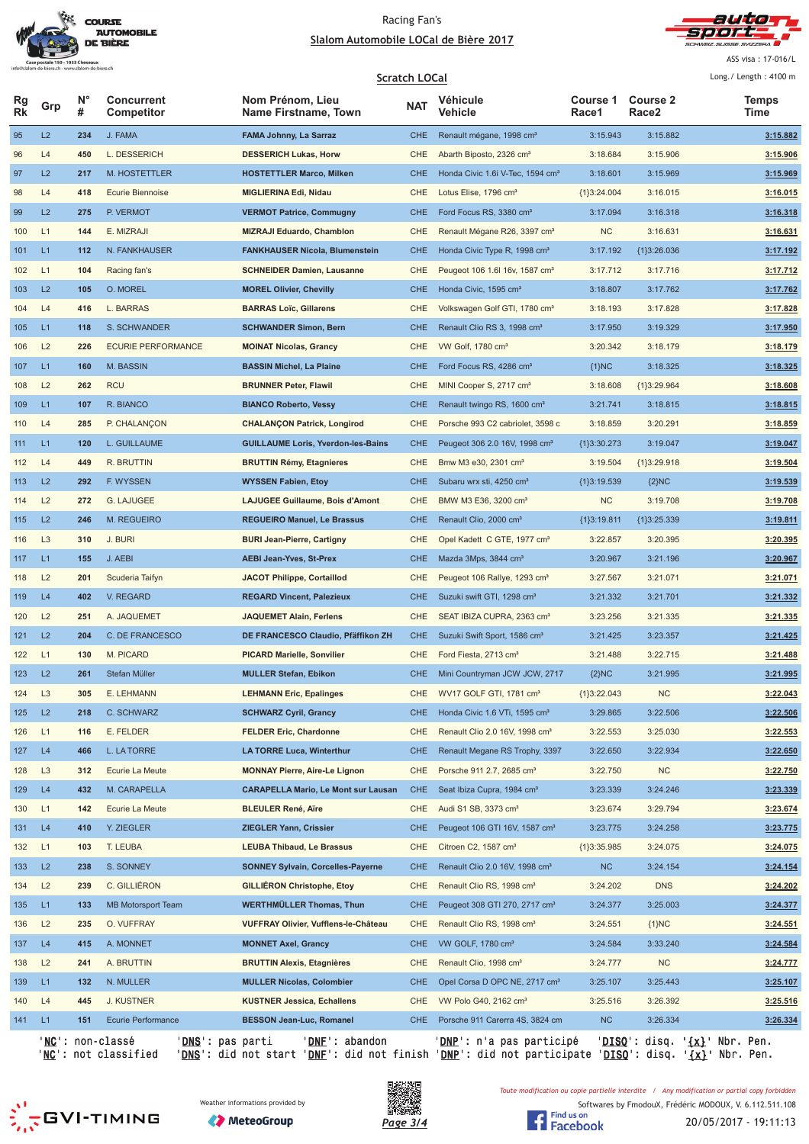



ASS visa : 17-016/L  $l$  ong  $l$  Longth  $: 4100 \text{ m}$ 

|          |                |         |                                 |                                            | <b>Scratch LOCal</b> |                                              |                   |                          | Long./ Length: 4100 m |
|----------|----------------|---------|---------------------------------|--------------------------------------------|----------------------|----------------------------------------------|-------------------|--------------------------|-----------------------|
| Rg<br>Rk | Grp            | N°<br># | <b>Concurrent</b><br>Competitor | Nom Prénom, Lieu<br>Name Firstname, Town   | <b>NAT</b>           | Véhicule<br>Vehicle                          | Course 1<br>Race1 | <b>Course 2</b><br>Race2 | Temps<br>Time         |
| 95       | L2             | 234     | J. FAMA                         | <b>FAMA Johnny, La Sarraz</b>              | <b>CHE</b>           | Renault mégane, 1998 cm <sup>3</sup>         | 3:15.943          | 3:15.882                 | 3:15.882              |
| 96       | L4             | 450     | L. DESSERICH                    | <b>DESSERICH Lukas, Horw</b>               | CHE                  | Abarth Biposto, 2326 cm <sup>3</sup>         | 3:18.684          | 3:15.906                 | 3:15.906              |
| 97       | L2             | 217     | M. HOSTETTLER                   | <b>HOSTETTLER Marco, Milken</b>            | <b>CHE</b>           | Honda Civic 1.6i V-Tec, 1594 cm <sup>3</sup> | 3:18.601          | 3:15.969                 | 3:15.969              |
| 98       | L4             | 418     | <b>Ecurie Biennoise</b>         | <b>MIGLIERINA Edi, Nidau</b>               | CHE                  | Lotus Elise, 1796 cm <sup>3</sup>            | ${1}3:24.004$     | 3:16.015                 | 3:16.015              |
| 99       | L2             | 275     | P. VERMOT                       | <b>VERMOT Patrice, Commugny</b>            | CHE                  | Ford Focus RS, 3380 cm <sup>3</sup>          | 3:17.094          | 3:16.318                 | 3:16.318              |
| 100      | L1             | 144     | E. MIZRAJI                      | <b>MIZRAJI Eduardo, Chamblon</b>           | CHE                  | Renault Mégane R26, 3397 cm <sup>3</sup>     | <b>NC</b>         | 3:16.631                 | 3:16.631              |
| 101      | L1             | 112     | N. FANKHAUSER                   | <b>FANKHAUSER Nicola, Blumenstein</b>      | <b>CHE</b>           | Honda Civic Type R, 1998 cm <sup>3</sup>     | 3:17.192          | ${1}3:26.036$            | 3:17.192              |
| 102      | L1             | 104     | Racing fan's                    | <b>SCHNEIDER Damien, Lausanne</b>          | CHE                  | Peugeot 106 1.6l 16v, 1587 cm <sup>3</sup>   | 3:17.712          | 3:17.716                 | 3:17.712              |
| 103      | L2             | 105     | O. MOREL                        | <b>MOREL Olivier, Chevilly</b>             | <b>CHE</b>           | Honda Civic, 1595 cm <sup>3</sup>            | 3:18.807          | 3:17.762                 | 3:17.762              |
| 104      | L4             | 416     | L. BARRAS                       | <b>BARRAS Loïc, Gillarens</b>              | CHE                  | Volkswagen Golf GTI, 1780 cm <sup>3</sup>    | 3:18.193          | 3:17.828                 | 3:17.828              |
| 105      | L1             | 118     | S. SCHWANDER                    | <b>SCHWANDER Simon, Bern</b>               | CHE                  | Renault Clio RS 3, 1998 cm <sup>3</sup>      | 3:17.950          | 3:19.329                 | 3:17.950              |
| 106      | L2             | 226     | <b>ECURIE PERFORMANCE</b>       | <b>MOINAT Nicolas, Grancy</b>              | CHE                  | VW Golf, 1780 cm <sup>3</sup>                | 3:20.342          | 3:18.179                 | 3:18.179              |
| 107      | L1             | 160     | M. BASSIN                       | <b>BASSIN Michel, La Plaine</b>            | <b>CHE</b>           | Ford Focus RS, 4286 cm <sup>3</sup>          | ${1}NC$           | 3:18.325                 | 3:18.325              |
| 108      | L2             | 262     | <b>RCU</b>                      | <b>BRUNNER Peter, Flawil</b>               | CHE                  | MINI Cooper S, 2717 cm <sup>3</sup>          | 3:18.608          | ${1}3:29.964$            | 3:18.608              |
| 109      | L1             | 107     | R. BIANCO                       | <b>BIANCO Roberto, Vessy</b>               | <b>CHE</b>           | Renault twingo RS, 1600 cm <sup>3</sup>      | 3:21.741          | 3:18.815                 | 3:18.815              |
| 110      | L4             | 285     | P. CHALANÇON                    | <b>CHALANÇON Patrick, Longirod</b>         | CHE                  | Porsche 993 C2 cabriolet, 3598 c             | 3:18.859          | 3:20.291                 | 3:18.859              |
| 111      | L1             | 120     | L. GUILLAUME                    | <b>GUILLAUME Loris, Yverdon-les-Bains</b>  | <b>CHE</b>           | Peugeot 306 2.0 16V, 1998 cm <sup>3</sup>    | ${1}3:30.273$     | 3:19.047                 | 3:19.047              |
| 112      | L4             | 449     | R. BRUTTIN                      | <b>BRUTTIN Rémy, Etagnieres</b>            | CHE                  | Bmw M3 e30, 2301 cm <sup>3</sup>             | 3:19.504          | ${1}3:29.918$            | 3:19.504              |
| 113      | L2             | 292     | F. WYSSEN                       | <b>WYSSEN Fabien, Etoy</b>                 | <b>CHE</b>           | Subaru wrx sti, 4250 cm <sup>3</sup>         | ${1}3:19.539$     | ${2}NC$                  | 3:19.539              |
| 114      | L2             | 272     | G. LAJUGEE                      | <b>LAJUGEE Guillaume, Bois d'Amont</b>     | CHE                  | BMW M3 E36, 3200 cm <sup>3</sup>             | NC                | 3:19.708                 | 3:19.708              |
| 115      | L2             | 246     | M. REGUEIRO                     | <b>REGUEIRO Manuel, Le Brassus</b>         | <b>CHE</b>           | Renault Clio, 2000 cm <sup>3</sup>           | ${1}3:19.811$     | ${1}3:25.339$            | 3:19.811              |
| 116      | L <sub>3</sub> | 310     | J. BURI                         | <b>BURI Jean-Pierre, Cartigny</b>          | CHE                  | Opel Kadett C GTE, 1977 cm <sup>3</sup>      | 3:22.857          | 3:20.395                 | 3:20.395              |
| 117      | L1             | 155     | J. AEBI                         | <b>AEBI Jean-Yves, St-Prex</b>             | <b>CHE</b>           | Mazda 3Mps, 3844 cm <sup>3</sup>             | 3:20.967          | 3:21.196                 | 3:20.967              |
| 118      | L2             | 201     | Scuderia Taifyn                 | JACOT Philippe, Cortaillod                 | CHE                  | Peugeot 106 Rallye, 1293 cm <sup>3</sup>     | 3:27.567          | 3:21.071                 | 3:21.071              |
| 119      | L4             | 402     | V. REGARD                       | <b>REGARD Vincent, Palezieux</b>           | CHE                  | Suzuki swift GTI, 1298 cm <sup>3</sup>       | 3:21.332          | 3:21.701                 | 3:21.332              |
| 120      | L2             | 251     | A. JAQUEMET                     | <b>JAQUEMET Alain, Ferlens</b>             | <b>CHE</b>           | SEAT IBIZA CUPRA, 2363 cm <sup>3</sup>       | 3:23.256          | 3:21.335                 | 3:21.335              |
| 121      | L2             | 204     | C. DE FRANCESCO                 | DE FRANCESCO Claudio, Pfäffikon ZH         | <b>CHE</b>           | Suzuki Swift Sport, 1586 cm <sup>3</sup>     | 3:21.425          | 3:23.357                 | 3:21.425              |
| 122      | L1             | 130     | M. PICARD                       | <b>PICARD Marielle, Sonvilier</b>          | CHE                  | Ford Fiesta, 2713 cm <sup>3</sup>            | 3:21.488          | 3:22.715                 | 3:21.488              |
| 123      | L2             | 261     | Stefan Müller                   | <b>MULLER Stefan, Ebikon</b>               | <b>CHE</b>           | Mini Countryman JCW JCW, 2717                | ${2}NC$           | 3:21.995                 | 3:21.995              |
| 124      | L <sub>3</sub> | 305     | E. LEHMANN                      | <b>LEHMANN Eric, Epalinges</b>             | <b>CHE</b>           | WV17 GOLF GTI, 1781 cm <sup>3</sup>          | ${1}3:22.043$     | <b>NC</b>                | 3:22.043              |
| 125      | L2             | 218     | C. SCHWARZ                      | <b>SCHWARZ Cyril, Grancy</b>               | <b>CHE</b>           | Honda Civic 1.6 VTi, 1595 cm <sup>3</sup>    | 3:29.865          | 3:22.506                 | 3:22.506              |
| 126      | L1             | 116     | E. FELDER                       | <b>FELDER Eric, Chardonne</b>              | CHE                  | Renault Clio 2.0 16V, 1998 cm <sup>3</sup>   | 3:22.553          | 3:25.030                 | 3:22.553              |
| 127      | L4             | 466     | L. LA TORRE                     | <b>LA TORRE Luca, Winterthur</b>           | <b>CHE</b>           | Renault Megane RS Trophy, 3397               | 3:22.650          | 3:22.934                 | 3:22.650              |
| 128      | L <sub>3</sub> | 312     | Ecurie La Meute                 | <b>MONNAY Pierre, Aire-Le Lignon</b>       | CHE                  | Porsche 911 2.7, 2685 cm <sup>3</sup>        | 3:22.750          | NC                       | 3:22.750              |
| 129      | L4             | 432     | M. CARAPELLA                    | <b>CARAPELLA Mario, Le Mont sur Lausan</b> | <b>CHE</b>           | Seat Ibiza Cupra, 1984 cm <sup>3</sup>       | 3:23.339          | 3:24.246                 | 3:23.339              |
| 130      | L1             | 142     | Ecurie La Meute                 | <b>BLEULER René, Aïre</b>                  | CHE                  | Audi S1 SB, 3373 cm <sup>3</sup>             | 3:23.674          | 3:29.794                 | 3:23.674              |
| 131      | L4             | 410     | Y. ZIEGLER                      | ZIEGLER Yann, Crissier                     | CHE                  | Peugeot 106 GTI 16V, 1587 cm <sup>3</sup>    | 3:23.775          | 3:24.258                 | 3:23.775              |
| 132      | L1             | 103     | T. LEUBA                        | <b>LEUBA Thibaud, Le Brassus</b>           | CHE                  | Citroen C2, 1587 cm <sup>3</sup>             | ${1}3:35.985$     | 3:24.075                 | 3:24.075              |
|          | L2             |         |                                 |                                            |                      |                                              |                   |                          |                       |
| 133      |                | 238     | S. SONNEY                       | <b>SONNEY Sylvain, Corcelles-Payerne</b>   | <b>CHE</b>           | Renault Clio 2.0 16V, 1998 cm <sup>3</sup>   | NC                | 3:24.154                 | 3:24.154              |
| 134      | L2             | 239     | C. GILLIÉRON                    | GILLIERON Christophe, Etoy                 | CHE                  | Renault Clio RS, 1998 cm <sup>3</sup>        | 3:24.202          | <b>DNS</b>               | 3:24.202              |
| 135      | L1             | 133     | <b>MB Motorsport Team</b>       | WERTHMÜLLER Thomas, Thun                   | CHE                  | Peugeot 308 GTI 270, 2717 cm <sup>3</sup>    | 3:24.377          | 3:25.003                 | 3:24.377              |
| 136      | L2             | 235     | O. VUFFRAY                      | VUFFRAY Olivier, Vufflens-le-Château       | CHE                  | Renault Clio RS, 1998 cm <sup>3</sup>        | 3:24.551          | ${1}NC$                  | 3:24.551              |
| 137      | L4             | 415     | A. MONNET                       | <b>MONNET Axel, Grancy</b>                 | <b>CHE</b>           | VW GOLF, 1780 cm <sup>3</sup>                | 3:24.584          | 3:33.240                 | 3:24.584              |
| 138      | L2             | 241     | A. BRUTTIN                      | <b>BRUTTIN Alexis, Etagnières</b>          | CHE                  | Renault Clio, 1998 cm <sup>3</sup>           | 3:24.777          | NC                       | 3:24.777              |
| 139      | L1             | 132     | N. MULLER                       | <b>MULLER Nicolas, Colombier</b>           | CHE                  | Opel Corsa D OPC NE, 2717 cm <sup>3</sup>    | 3:25.107          | 3:25.443                 | 3:25.107              |
| 140      | L4             | 445     | J. KUSTNER                      | <b>KUSTNER Jessica, Echallens</b>          | <b>CHE</b>           | VW Polo G40, 2162 cm <sup>3</sup>            | 3:25.516          | 3:26.392                 | 3:25.516              |
| 141      | L1             | 151     | Ecurie Performance              | <b>BESSON Jean-Luc, Romanel</b>            | CHE                  | Porsche 911 Carerra 4S, 3824 cm              | NC                | 3:26.334                 | 3:26.334              |

'<u>NC</u>': non-classé '<u>DNS</u>': pas parti '<u>DNF</u>': abandon '<u>DNP</u>': n'a pas participé '<u>DISQ</u>': disq. '<u>{x}</u>' Nbr. Pen. '<u>NC</u>': not classified '<u>DNS</u>': did not start '<u>DNF</u>': did not finish '<u>DNP</u>': did not participate '<u>DISQ</u>': disq. '<u>{x}</u>' Nbr. Pen.





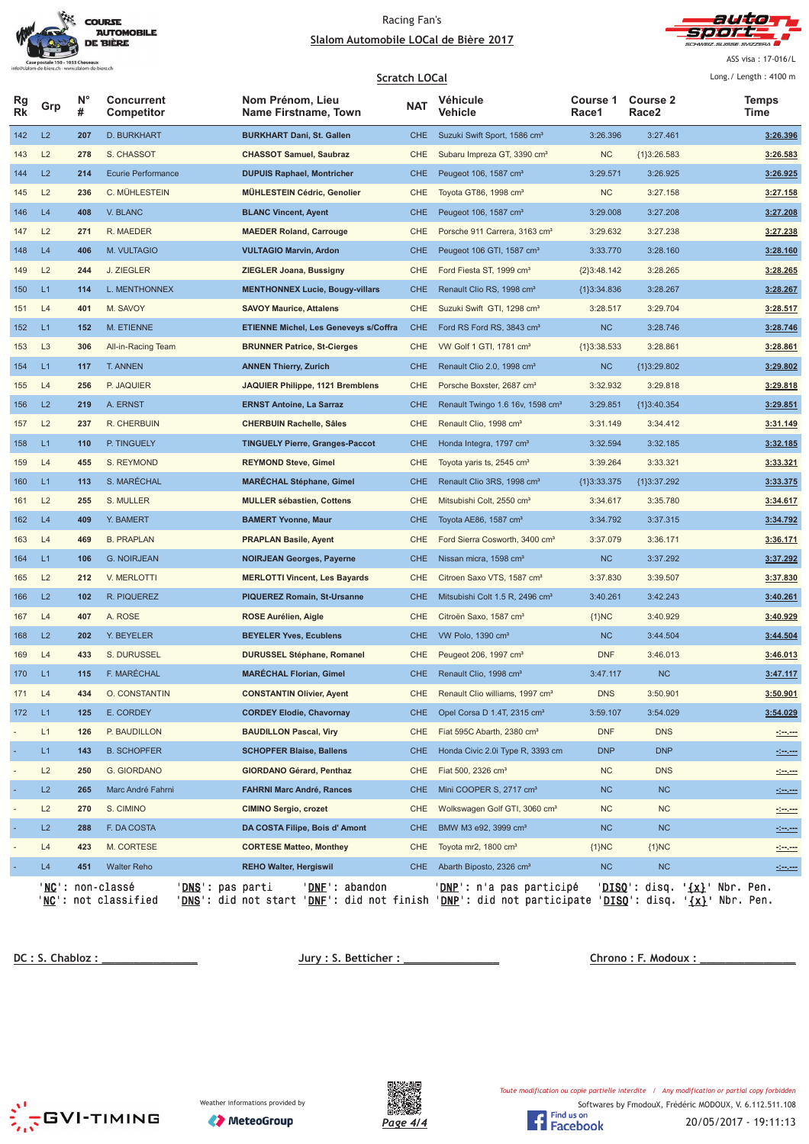



ASS visa : 17-016/L  $100<sup>1</sup>$ 

|                              | Scratch LOCal  |                  |                                                                          |                                                                                                                                                                          |            |                                              | Long. / Length: $4100$ m |                                                 |                      |
|------------------------------|----------------|------------------|--------------------------------------------------------------------------|--------------------------------------------------------------------------------------------------------------------------------------------------------------------------|------------|----------------------------------------------|--------------------------|-------------------------------------------------|----------------------|
| Rg<br><b>Rk</b>              | Grp            | $N^{\circ}$<br># | <b>Concurrent</b><br>Competitor                                          | Nom Prénom, Lieu<br>Name Firstname, Town                                                                                                                                 | <b>NAT</b> | Véhicule<br>Vehicle                          | Course 1<br>Race1        | <b>Course 2</b><br>Race2                        | <b>Temps</b><br>Time |
| 142                          | L2             | 207              | <b>D. BURKHART</b>                                                       | <b>BURKHART Dani, St. Gallen</b>                                                                                                                                         | <b>CHE</b> | Suzuki Swift Sport, 1586 cm <sup>3</sup>     | 3:26.396                 | 3:27.461                                        | 3:26.396             |
| 143                          | L2             | 278              | S. CHASSOT                                                               | <b>CHASSOT Samuel, Saubraz</b>                                                                                                                                           | CHE        | Subaru Impreza GT, 3390 cm <sup>3</sup>      | NC                       | ${1}3:26.583$                                   | 3:26.583             |
| 144                          | L2             | 214              | Ecurie Performance                                                       | <b>DUPUIS Raphael, Montricher</b>                                                                                                                                        | <b>CHE</b> | Peugeot 106, 1587 cm <sup>3</sup>            | 3:29.571                 | 3:26.925                                        | 3:26.925             |
| 145                          | L2             | 236              | C. MÜHLESTEIN                                                            | <b>MÜHLESTEIN Cédric, Genolier</b>                                                                                                                                       | CHE        | Toyota GT86, 1998 cm <sup>3</sup>            | <b>NC</b>                | 3:27.158                                        | 3:27.158             |
| 146                          | L4             | 408              | V. BLANC                                                                 | <b>BLANC Vincent, Ayent</b>                                                                                                                                              | <b>CHE</b> | Peugeot 106, 1587 cm <sup>3</sup>            | 3:29.008                 | 3:27.208                                        | 3:27.208             |
| 147                          | L2             | 271              | R. MAEDER                                                                | <b>MAEDER Roland, Carrouge</b>                                                                                                                                           | <b>CHE</b> | Porsche 911 Carrera, 3163 cm <sup>3</sup>    | 3:29.632                 | 3:27.238                                        | 3:27.238             |
| 148                          | L4             | 406              | M. VULTAGIO                                                              | <b>VULTAGIO Marvin, Ardon</b>                                                                                                                                            | <b>CHE</b> | Peugeot 106 GTI, 1587 cm <sup>3</sup>        | 3:33.770                 | 3:28.160                                        | 3:28.160             |
| 149                          | L2             | 244              | J. ZIEGLER                                                               | <b>ZIEGLER Joana, Bussigny</b>                                                                                                                                           | <b>CHE</b> | Ford Fiesta ST, 1999 cm <sup>3</sup>         | ${2}3:48.142$            | 3:28.265                                        | 3:28.265             |
| 150                          | L1             | 114              | L. MENTHONNEX                                                            | <b>MENTHONNEX Lucie, Bougy-villars</b>                                                                                                                                   | <b>CHE</b> | Renault Clio RS, 1998 cm <sup>3</sup>        | ${1}3:34.836$            | 3:28.267                                        | 3:28.267             |
| 151                          | L4             | 401              | M. SAVOY                                                                 | <b>SAVOY Maurice, Attalens</b>                                                                                                                                           | <b>CHE</b> | Suzuki Swift GTI, 1298 cm <sup>3</sup>       | 3:28.517                 | 3:29.704                                        | 3:28.517             |
| 152                          | L1             | 152              | M. ETIENNE                                                               | <b>ETIENNE Michel, Les Geneveys s/Coffra</b>                                                                                                                             | <b>CHE</b> | Ford RS Ford RS, 3843 cm <sup>3</sup>        | <b>NC</b>                | 3:28.746                                        | 3:28.746             |
| 153                          | L <sub>3</sub> | 306              | All-in-Racing Team                                                       | <b>BRUNNER Patrice, St-Cierges</b>                                                                                                                                       | <b>CHE</b> | VW Golf 1 GTI, 1781 cm <sup>3</sup>          | ${1}3:38.533$            | 3:28.861                                        | 3:28.861             |
| 154                          | L1             | 117              | <b>T. ANNEN</b>                                                          | <b>ANNEN Thierry, Zurich</b>                                                                                                                                             | <b>CHE</b> | Renault Clio 2.0, 1998 cm <sup>3</sup>       | <b>NC</b>                | {1}3:29.802                                     | 3:29.802             |
| 155                          | L4             | 256              | P. JAQUIER                                                               | JAQUIER Philippe, 1121 Bremblens                                                                                                                                         | <b>CHE</b> | Porsche Boxster, 2687 cm <sup>3</sup>        | 3:32.932                 | 3:29.818                                        | 3:29.818             |
| 156                          | L2             | 219              | A. ERNST                                                                 | <b>ERNST Antoine, La Sarraz</b>                                                                                                                                          | <b>CHE</b> | Renault Twingo 1.6 16v, 1598 cm <sup>3</sup> | 3:29.851                 | {1}3:40.354                                     | 3:29.851             |
| 157                          | L2             | 237              | R. CHERBUIN                                                              | <b>CHERBUIN Rachelle, Sâles</b>                                                                                                                                          | <b>CHE</b> | Renault Clio, 1998 cm <sup>3</sup>           | 3:31.149                 | 3:34.412                                        | 3:31.149             |
| 158                          | L1             | 110              | P. TINGUELY                                                              | <b>TINGUELY Pierre, Granges-Paccot</b>                                                                                                                                   | <b>CHE</b> | Honda Integra, 1797 cm <sup>3</sup>          | 3:32.594                 | 3:32.185                                        | 3:32.185             |
| 159                          | L4             | 455              | S. REYMOND                                                               | <b>REYMOND Steve, Gimel</b>                                                                                                                                              | <b>CHE</b> | Toyota yaris ts, 2545 cm <sup>3</sup>        | 3:39.264                 | 3:33.321                                        | 3:33.321             |
| 160                          | L1             | 113              | S. MARÉCHAL                                                              | <b>MARÉCHAL Stéphane, Gimel</b>                                                                                                                                          | <b>CHE</b> | Renault Clio 3RS, 1998 cm <sup>3</sup>       | ${1}3:33.375$            | ${1}3:37.292$                                   | 3:33.375             |
| 161                          | L2             | 255              | S. MULLER                                                                | <b>MULLER sébastien, Cottens</b>                                                                                                                                         | CHE        | Mitsubishi Colt, 2550 cm <sup>3</sup>        | 3:34.617                 | 3:35.780                                        | 3:34.617             |
| 162                          | L4             | 409              | Y. BAMERT                                                                | <b>BAMERT Yvonne, Maur</b>                                                                                                                                               | <b>CHE</b> | Toyota AE86, 1587 cm <sup>3</sup>            | 3:34.792                 | 3:37.315                                        | 3:34.792             |
| 163                          | L4             | 469              | <b>B. PRAPLAN</b>                                                        | <b>PRAPLAN Basile, Ayent</b>                                                                                                                                             | <b>CHE</b> | Ford Sierra Cosworth, 3400 cm <sup>3</sup>   | 3:37.079                 | 3:36.171                                        | 3:36.171             |
| 164                          | L1             | 106              | <b>G. NOIRJEAN</b>                                                       | <b>NOIRJEAN Georges, Payerne</b>                                                                                                                                         | <b>CHE</b> | Nissan micra, 1598 cm <sup>3</sup>           | NC                       | 3:37.292                                        | 3:37.292             |
| 165                          | L2             | 212              | V. MERLOTTI                                                              | <b>MERLOTTI Vincent, Les Bayards</b>                                                                                                                                     | CHE        | Citroen Saxo VTS, 1587 cm <sup>3</sup>       | 3:37.830                 | 3:39.507                                        | 3:37.830             |
| 166                          | L2             | 102              | R. PIQUEREZ                                                              | <b>PIQUEREZ Romain, St-Ursanne</b>                                                                                                                                       | <b>CHE</b> | Mitsubishi Colt 1.5 R, 2496 cm <sup>3</sup>  | 3:40.261                 | 3:42.243                                        | 3:40.261             |
| 167                          | L4             | 407              | A. ROSE                                                                  | ROSE Aurélien, Aigle                                                                                                                                                     | CHE        | Citroën Saxo, 1587 cm <sup>3</sup>           | ${1}NC$                  | 3:40.929                                        | 3:40.929             |
| 168                          | L2             | 202              | Y. BEYELER                                                               | <b>BEYELER Yves, Ecublens</b>                                                                                                                                            | <b>CHE</b> | VW Polo, 1390 cm <sup>3</sup>                | NC                       | 3:44.504                                        | 3:44.504             |
| 169                          | L4             | 433              | S. DURUSSEL                                                              | <b>DURUSSEL Stéphane, Romanel</b>                                                                                                                                        | <b>CHE</b> | Peugeot 206, 1997 cm <sup>3</sup>            | <b>DNF</b>               | 3:46.013                                        | 3:46.013             |
| 170                          | L1             | 115              | F. MARÉCHAL                                                              | <b>MARECHAL Florian, Gimel</b>                                                                                                                                           | <b>CHE</b> | Renault Clio, 1998 cm <sup>3</sup>           | 3:47.117                 | <b>NC</b>                                       | 3:47.117             |
| 171                          | L4             | 434              | O. CONSTANTIN                                                            | <b>CONSTANTIN Olivier, Ayent</b>                                                                                                                                         | CHE        | Renault Clio williams, 1997 cm <sup>3</sup>  | <b>DNS</b>               | 3:50.901                                        | 3:50.901             |
| 172                          | L1             | 125              | E. CORDEY                                                                | <b>CORDEY Elodie, Chavornay</b>                                                                                                                                          | <b>CHE</b> | Opel Corsa D 1.4T, 2315 cm <sup>3</sup>      | 3:59.107                 | 3:54.029                                        | 3:54.029             |
|                              | L1             | 126              | P. BAUDILLON                                                             | <b>BAUDILLON Pascal, Viry</b>                                                                                                                                            | <b>CHE</b> | Fiat 595C Abarth, 2380 cm <sup>3</sup>       | <b>DNF</b>               | <b>DNS</b>                                      |                      |
| ٠                            | L1             | 143              | <b>B. SCHOPFER</b>                                                       | <b>SCHOPFER Blaise, Ballens</b>                                                                                                                                          | <b>CHE</b> | Honda Civic 2.0i Type R, 3393 cm             | <b>DNP</b>               | <b>DNP</b>                                      | <u>desem</u>         |
| $\qquad \qquad \blacksquare$ | L2             | 250              | G. GIORDANO                                                              | GIORDANO Gérard, Penthaz                                                                                                                                                 | <b>CHE</b> | Fiat 500, 2326 cm <sup>3</sup>               | NC                       | <b>DNS</b>                                      | $\frac{1}{2}$        |
| ٠                            | L2             | 265              | Marc André Fahrni                                                        | <b>FAHRNI Marc André, Rances</b>                                                                                                                                         | <b>CHE</b> | Mini COOPER S, 2717 cm <sup>3</sup>          | <b>NC</b>                | NC                                              | <u>desem</u>         |
|                              | L2             | 270              | S. CIMINO                                                                | <b>CIMINO Sergio, crozet</b>                                                                                                                                             | <b>CHE</b> | Wolkswagen Golf GTI, 3060 cm <sup>3</sup>    | <b>NC</b>                | <b>NC</b>                                       | $200 - 200$          |
| ٠                            | L2             | 288              | F. DA COSTA                                                              | DA COSTA Filipe, Bois d'Amont                                                                                                                                            | <b>CHE</b> | BMW M3 e92, 3999 cm <sup>3</sup>             | NC                       | NC                                              | ككت                  |
|                              | L4             | 423              | M. CORTESE                                                               | <b>CORTESE Matteo, Monthey</b>                                                                                                                                           | <b>CHE</b> | Toyota mr2, $1800 \text{ cm}^3$              | ${1}NC$                  | ${1}NC$                                         | <u> 1999 - 199</u>   |
|                              | L4             | 451              | <b>Walter Reho</b>                                                       | <b>REHO Walter, Hergiswil</b>                                                                                                                                            | CHE        | Abarth Biposto, 2326 cm <sup>3</sup>         | NC                       | <b>NC</b>                                       | <u>desem</u>         |
|                              | 'NC' :         |                  | ' <b>NC</b> ': non-classé<br>' <u>DNS</u> ': pas parti<br>not classified | 'DNF': abandon<br>' <mark>DNS</mark> ': did not start ' <u>DNF</u> ': did not finish ' <u>DNP</u> ': did not participate ' <u>DISQ</u> ': disq. ' <u>{x}</u> ' Nbr. Pen. |            | <u>DNP</u> ': n'a pas participé              |                          | ' <u>DISQ</u> ': disq. ' <u>{x}</u> ' Nbr. Pen. |                      |

<u> **DC : S. Chabl**</u>

 **!"#\$**





Softwares by FmodouX, Frédéric MODOUX, V. 6.112.511.108 Toute modification ou copie partielle interdite / Any modification or partial copy forbidden

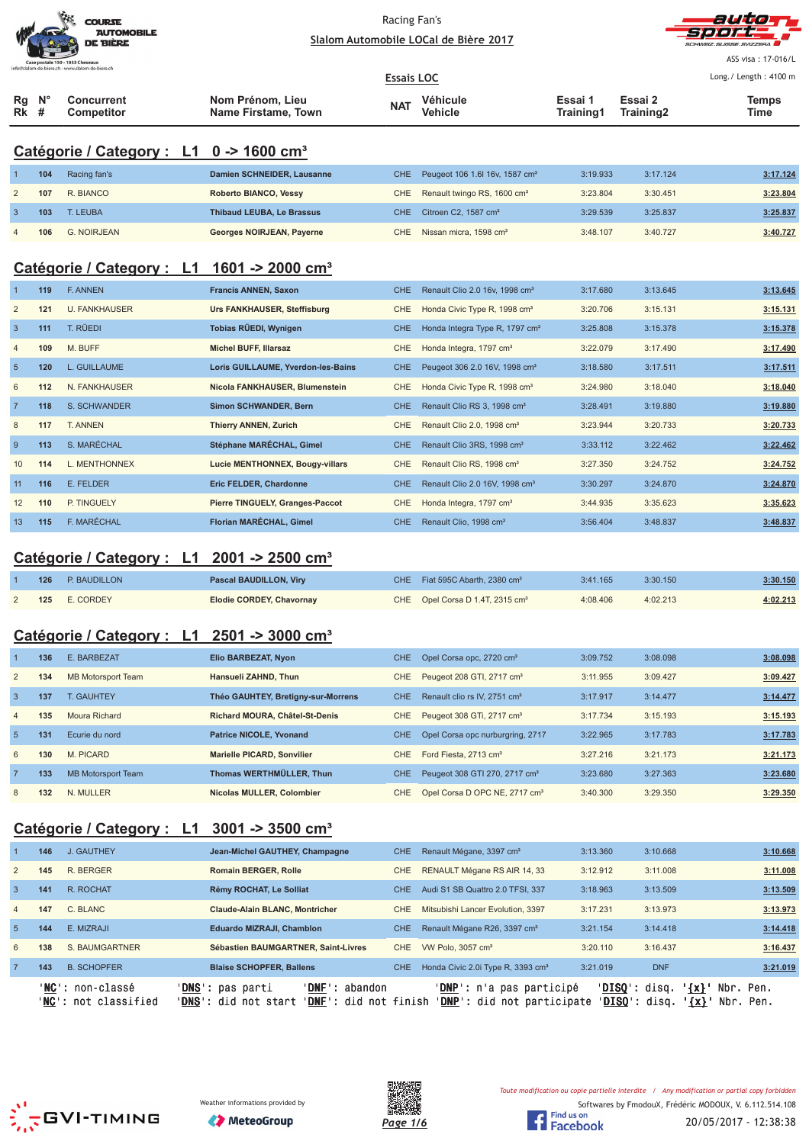

Racing Fan's



|                |         | <b>AUTOMOBILE</b><br><b>DE BIÈRE</b>                                                 |                                                |                   | Slalom Automobile LOCal de Bière 2017      |                      |                      | SCHWEIZ SUISSE SVIZZERA |
|----------------|---------|--------------------------------------------------------------------------------------|------------------------------------------------|-------------------|--------------------------------------------|----------------------|----------------------|-------------------------|
|                |         | Case postale 150 - 1033 Cheseaux<br>info@slalom-de-biere.ch - www.slalom-de-biere.ch |                                                |                   |                                            |                      |                      | ASS visa: 17-016/L      |
|                |         |                                                                                      |                                                | <b>Essais LOC</b> |                                            |                      |                      | Long./ Length: 4100 m   |
| Rg<br>Rk       | N°<br># | <b>Concurrent</b><br>Competitor                                                      | Nom Prénom, Lieu<br><b>Name Firstame, Town</b> | <b>NAT</b>        | Véhicule<br><b>Vehicle</b>                 | Essai 1<br>Training1 | Essai 2<br>Training2 | <b>Temps</b><br>Time    |
|                |         | Catégorie / Category : L1 0 -> 1600 cm <sup>3</sup>                                  |                                                |                   |                                            |                      |                      |                         |
|                | 104     | Racing fan's                                                                         | Damien SCHNEIDER, Lausanne                     | <b>CHE</b>        | Peugeot 106 1.6l 16v, 1587 cm <sup>3</sup> | 3:19.933             | 3:17.124             | 3:17.124                |
| $\overline{2}$ | 107     | R. BIANCO                                                                            | Roberto BIANCO, Vessy                          | CHE               | Renault twingo RS, 1600 cm <sup>3</sup>    | 3:23.804             | 3:30.451             | 3:23.804                |
| 3              | 103     | T. LEUBA                                                                             | <b>Thibaud LEUBA, Le Brassus</b>               | <b>CHE</b>        | Citroen C2, 1587 cm <sup>3</sup>           | 3:29.539             | 3:25.837             | 3:25.837                |
|                | 106     | <b>G. NOIRJEAN</b>                                                                   | Georges NOIRJEAN, Payerne                      | <b>CHE</b>        | Nissan micra, 1598 cm <sup>3</sup>         | 3:48.107             | 3:40.727             | 3:40.727                |
|                |         | Catégorie / Category : L1                                                            | 1601 -> 2000 cm <sup>3</sup>                   |                   |                                            |                      |                      |                         |
|                | 119     | F. ANNEN                                                                             | <b>Francis ANNEN, Saxon</b>                    | <b>CHE</b>        | Renault Clio 2.0 16v, 1998 cm <sup>3</sup> | 3:17.680             | 3:13.645             | 3:13.645                |
| $\overline{2}$ | 121     | <b>U. FANKHAUSER</b>                                                                 | Urs FANKHAUSER, Steffisburg                    | CHE               | Honda Civic Type R, 1998 cm <sup>3</sup>   | 3:20.706             | 3:15.131             | 3:15.131                |
| 3              | 111     | T. RÜEDI                                                                             | Tobias RÜEDI, Wynigen                          | <b>CHE</b>        | Honda Integra Type R, 1797 cm <sup>3</sup> | 3:25.808             | 3:15.378             | 3:15.378                |
| $\overline{4}$ | 109     | M. BUFF                                                                              | <b>Michel BUFF, Illarsaz</b>                   | <b>CHE</b>        | Honda Integra, 1797 cm <sup>3</sup>        | 3:22.079             | 3:17.490             | 3:17.490                |
| $\sqrt{5}$     | 120     | L. GUILLAUME                                                                         | Loris GUILLAUME, Yverdon-les-Bains             | CHE               | Peugeot 306 2.0 16V, 1998 cm <sup>3</sup>  | 3:18.580             | 3:17.511             | 3:17.511                |
| 6              | 112     | N. FANKHAUSER                                                                        | Nicola FANKHAUSER, Blumenstein                 | CHE               | Honda Civic Type R, 1998 cm <sup>3</sup>   | 3:24.980             | 3:18.040             | 3:18.040                |
| $\overline{7}$ | 118     | S. SCHWANDER                                                                         | Simon SCHWANDER, Bern                          | <b>CHE</b>        | Renault Clio RS 3, 1998 cm <sup>3</sup>    | 3:28.491             | 3:19.880             | 3:19.880                |
| 8              | 117     | T. ANNEN                                                                             | <b>Thierry ANNEN, Zurich</b>                   | CHE               | Renault Clio 2.0, 1998 cm <sup>3</sup>     | 3:23.944             | 3:20.733             | 3:20.733                |
| 9              | 113     | S. MARÉCHAL                                                                          | Stéphane MARÉCHAL, Gimel                       | <b>CHE</b>        | Renault Clio 3RS, 1998 cm <sup>3</sup>     | 3:33.112             | 3:22.462             | 3:22.462                |
| 10             | 114     | L. MENTHONNEX                                                                        | Lucie MENTHONNEX, Bougy-villars                | CHE               | Renault Clio RS, 1998 cm <sup>3</sup>      | 3:27.350             | 3:24.752             | 3:24.752                |
| 11             | 116     | E. FELDER                                                                            | Eric FELDER, Chardonne                         | <b>CHE</b>        | Renault Clio 2.0 16V, 1998 cm <sup>3</sup> | 3:30.297             | 3:24.870             | 3:24.870                |
| 12             | 110     | P. TINGUELY                                                                          | Pierre TINGUELY, Granges-Paccot                | CHE               | Honda Integra, 1797 cm <sup>3</sup>        | 3:44.935             | 3:35.623             | 3:35.623                |
| 13             | 115     | F. MARÉCHAL                                                                          | Florian MARÉCHAL, Gimel                        | CHE               | Renault Clio, 1998 cm <sup>3</sup>         | 3:56.404             | 3:48.837             | 3:48.837                |
|                |         | Catégorie / Category : L1                                                            | $2001 - 2500$ cm <sup>3</sup>                  |                   |                                            |                      |                      |                         |
|                | 126     | P. BAUDILLON                                                                         | <b>Pascal BAUDILLON, Viry</b>                  | <b>CHE</b>        | Fiat 595C Abarth, 2380 cm <sup>3</sup>     | 3:41.165             | 3:30.150             | 3:30.150                |
| $\overline{2}$ | 125     | E. CORDEY                                                                            | Elodie CORDEY, Chavornay                       | CHE               | Opel Corsa D 1.4T, 2315 cm <sup>3</sup>    | 4:08.406             | 4:02.213             | 4:02.213                |
|                |         | Catégorie / Category:<br>L1.                                                         | $2501 - 3000$ cm <sup>3</sup>                  |                   |                                            |                      |                      |                         |
|                | 136     | E. BARBEZAT                                                                          | Elio BARBEZAT, Nyon                            | CHE               | Opel Corsa opc, 2720 cm <sup>3</sup>       | 3:09.752             | 3:08.098             | 3:08.098                |
| $\overline{2}$ | 134     | <b>MB Motorsport Team</b>                                                            | Hansueli ZAHND, Thun                           | CHE               | Peugeot 208 GTI, 2717 cm <sup>3</sup>      | 3:11.955             | 3:09.427             | 3:09.427                |
| 3              | 137     | T. GAUHTEY                                                                           | Théo GAUHTEY, Bretigny-sur-Morrens             | <b>CHE</b>        | Renault clio rs IV, 2751 cm <sup>3</sup>   | 3:17.917             | 3:14.477             | 3:14.477                |
| 4              | 135     | Moura Richard                                                                        | Richard MOURA, Châtel-St-Denis                 | CHE               | Peugeot 308 GTi, 2717 cm <sup>3</sup>      | 3:17.734             | 3:15.193             | 3:15.193                |
| $\sqrt{5}$     | 131     | Ecurie du nord                                                                       | <b>Patrice NICOLE, Yvonand</b>                 | CHE               | Opel Corsa opc nurburgring, 2717           | 3:22.965             | 3:17.783             | 3:17.783                |
| 6              | 130     | M. PICARD                                                                            | Marielle PICARD, Sonvilier                     |                   | CHE Ford Fiesta, 2713 cm <sup>3</sup>      | 3:27.216             | 3:21.173             | 3:21.173                |

# **Catégorie / Category : L1 3001 -> 3500 cm³**

|                |     | ' <b>NC':</b> non-classé<br>' <b>NC':</b> not classified | ' <b>DNS</b> ': pas parti<br>'DNF': abandon<br>' <b>DNS</b> ': did not start<br>' <b>DNF</b> ': did not finish |            | ' <b>DNP</b> ': n'a pas participé<br>'DNP': did not participate | ' <b>DISO</b> ': disq. | $'$ {x} $'$<br>' <b>DISO</b> ': disq.<br>$\lceil x \rceil$ | Nbr. Pen.<br>Nbr. Pen. |
|----------------|-----|----------------------------------------------------------|----------------------------------------------------------------------------------------------------------------|------------|-----------------------------------------------------------------|------------------------|------------------------------------------------------------|------------------------|
| $\overline{7}$ | 143 | <b>B. SCHOPFER</b>                                       | <b>Blaise SCHOPFER, Ballens</b>                                                                                | <b>CHE</b> | Honda Civic 2.0i Type R, 3393 cm <sup>3</sup>                   | 3:21.019               | <b>DNF</b>                                                 | 3:21.019               |
| 6              | 138 | S. BAUMGARTNER                                           | Sébastien BAUMGARTNER, Saint-Livres                                                                            | CHE        | VW Polo, $3057 \text{ cm}^3$                                    | 3:20.110               | 3:16.437                                                   | 3:16.437               |
| 5              | 144 | E. MIZRAJI                                               | <b>Eduardo MIZRAJI, Chamblon</b>                                                                               | <b>CHE</b> | Renault Mégane R26, 3397 cm <sup>3</sup>                        | 3:21.154               | 3:14.418                                                   | 3:14.418               |
| $\overline{4}$ | 147 | C. BLANC                                                 | Claude-Alain BLANC, Montricher                                                                                 | CHE.       | Mitsubishi Lancer Evolution, 3397                               | 3:17.231               | 3:13.973                                                   | 3:13.973               |
| $\overline{3}$ | 141 | R. ROCHAT                                                | Rémy ROCHAT, Le Solliat                                                                                        | <b>CHE</b> | Audi S1 SB Quattro 2.0 TFSI, 337                                | 3:18.963               | 3:13.509                                                   | 3:13.509               |
| $\overline{2}$ | 145 | R. BERGER                                                | <b>Romain BERGER, Rolle</b>                                                                                    | CHE.       | RENAULT Mégane RS AIR 14, 33                                    | 3:12.912               | 3:11.008                                                   | 3:11.008               |
|                | 146 | J. GAUTHEY                                               | Jean-Michel GAUTHEY, Champagne                                                                                 | <b>CHE</b> | Renault Mégane, 3397 cm <sup>3</sup>                            | 3:13.360               | 3:10.668                                                   | 3:10.668               |
|                |     |                                                          |                                                                                                                |            |                                                                 |                        |                                                            |                        |

7 **133** MB Motorsport Team **Thomas WERTHMÜLLER, Thun** CHE Peugeot 308 GTI 270, 2717 cm³ 3:23.680 3:27.363 **3:23.680** 8 **132** N. MULLER **Nicolas MULLER, Colombier** CHE Opel Corsa D OPC NE, 2717 cm³ 3:40.300 3:29.350 **3:29.350**





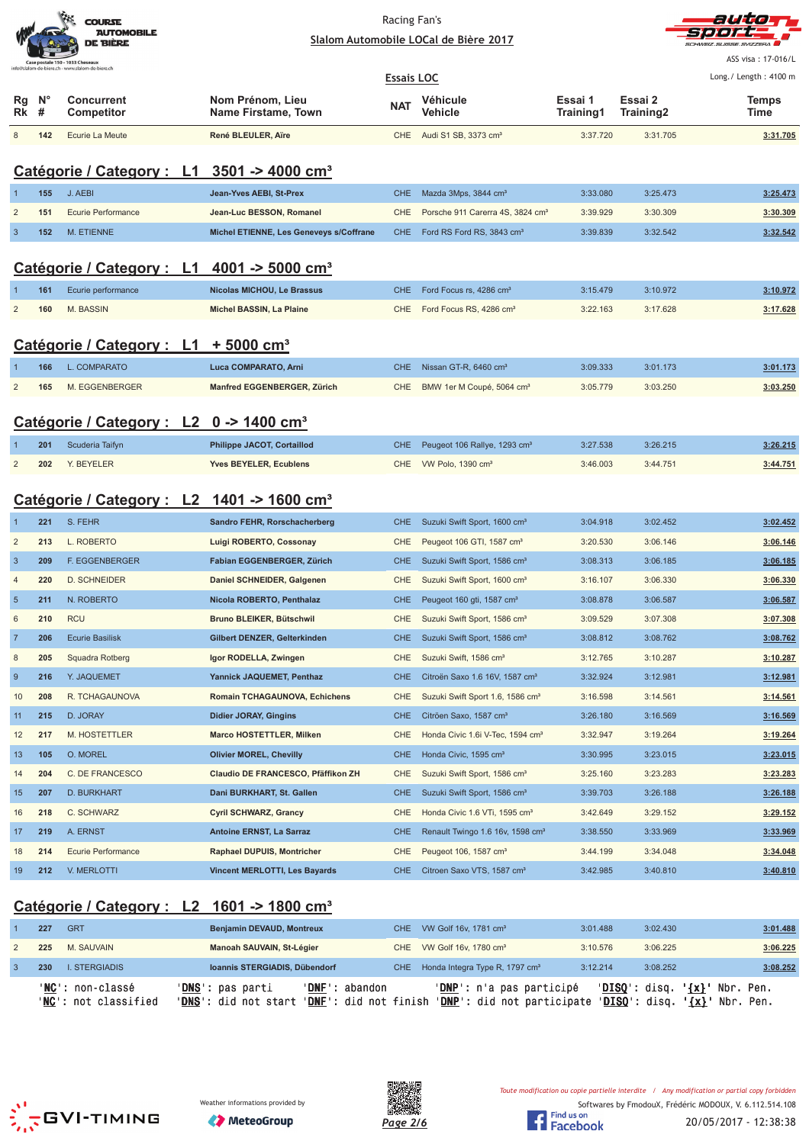|                                                                                     | <b>COURSE</b><br><b>AUTOMOBILE</b><br><b>DE BIÈRE</b> |
|-------------------------------------------------------------------------------------|-------------------------------------------------------|
| Case postale 150 - 1033 Cheseaux<br>nfo@slalom-de-biere.ch - www.slalom-de-biere.ch |                                                       |



ASS visa : 17-016/L Long./ Length: 4100 m

| <b>Essais LOC</b> |                  |                                 |                                         |            |                                      |                      |                                  | Long./ Length: 4100 m |
|-------------------|------------------|---------------------------------|-----------------------------------------|------------|--------------------------------------|----------------------|----------------------------------|-----------------------|
| Rq<br>Rk          | $N^{\circ}$<br>Ħ | Concurrent<br><b>Competitor</b> | Nom Prénom, Lieu<br>Name Firstame, Town | <b>NAT</b> | Véhicule<br>Vehicle                  | Essai 1<br>Training1 | Essai 2<br>Training <sub>2</sub> | Temps<br>Time         |
|                   | 142              | Ecurie La Meute                 | René BLEULER, Aïre                      |            | CHE Audi S1 SB, 3373 cm <sup>3</sup> | 3:37.720             | 3:31.705                         | 3:31.705              |

# **Catégorie / Category : L1 3501 -> 4000 cm³**

| 155 | J. AEBI            | Jean-Yves AEBI, St-Prex                 | CHE Mazda 3Mps, 3844 cm <sup>3</sup>             | 3:33.080 | 3:25.473 | 3:25.473 |
|-----|--------------------|-----------------------------------------|--------------------------------------------------|----------|----------|----------|
| 151 | Ecurie Performance | Jean-Luc BESSON, Romanel                | CHE Porsche 911 Carerra 4S, 3824 cm <sup>3</sup> | 3:39.929 | 3:30.309 | 3:30.309 |
| 152 | M. ETIENNE         | Michel ETIENNE, Les Geneveys s/Coffrane | CHE Ford RS Ford RS, 3843 cm <sup>3</sup>        | 3:39.839 | 3:32.542 | 3:32.542 |

### **Catégorie / Category : L1 4001 -> 5000 cm³**

| 161 | Ecurie performance | Nicolas MICHOU, Le Brassus | CHE Ford Focus rs. 4286 cm <sup>3</sup> | 3:15.479 | 3:10.972 | 3:10.972 |
|-----|--------------------|----------------------------|-----------------------------------------|----------|----------|----------|
|     | 160 M. BASSIN      | Michel BASSIN, La Plaine   | CHE Ford Focus RS, 4286 cm <sup>3</sup> | 3:22.163 | 3:17.628 | 3:17.628 |
|     |                    |                            |                                         |          |          |          |

# **Catégorie / Category : L1 + 5000 cm³**

| 166 | L. COMPARATO   | Luca COMPARATO, Arni        | CHE Nissan GT-R, 6460 cm <sup>3</sup>     | 3:09.333 | 3:01.173 | 3:01.173 |
|-----|----------------|-----------------------------|-------------------------------------------|----------|----------|----------|
| 165 | M. EGGENBERGER | Manfred EGGENBERGER, Zürich | CHE BMW 1er M Coupé, 5064 cm <sup>3</sup> | 3:05.779 | 3:03.250 | 3:03.250 |

### **Catégorie / Category : L2 0 -> 1400 cm³**

| 201 | Scuderia Taifyn | <b>Philippe JACOT, Cortaillod</b> | CHE Peugeot 106 Rallye, 1293 cm <sup>3</sup> | 3:27.538 | 3:26.215 | 3:26.215 |
|-----|-----------------|-----------------------------------|----------------------------------------------|----------|----------|----------|
|     | 202 Y. BEYELER  | <b>Yves BEYELER, Ecublens</b>     | CHE VW Polo, 1390 cm <sup>3</sup>            | 3:46.003 | 3:44.751 | 3:44.751 |

# **Catégorie / Category : L2 1401 -> 1600 cm³**

|                | 221 | S. FEHR                | Sandro FEHR, Rorschacherberg         | <b>CHE</b> | Suzuki Swift Sport, 1600 cm <sup>3</sup>     | 3:04.918 | 3:02.452 | 3:02.452 |
|----------------|-----|------------------------|--------------------------------------|------------|----------------------------------------------|----------|----------|----------|
| $\overline{2}$ | 213 | L. ROBERTO             | Luigi ROBERTO, Cossonay              | <b>CHE</b> | Peugeot 106 GTI, 1587 cm <sup>3</sup>        | 3:20.530 | 3:06.146 | 3:06.146 |
| $\overline{3}$ | 209 | <b>F. EGGENBERGER</b>  | Fabian EGGENBERGER, Zürich           | CHE.       | Suzuki Swift Sport, 1586 cm <sup>3</sup>     | 3:08.313 | 3:06.185 | 3:06.185 |
| $\overline{4}$ | 220 | <b>D. SCHNEIDER</b>    | Daniel SCHNEIDER, Galgenen           | <b>CHE</b> | Suzuki Swift Sport, 1600 cm <sup>3</sup>     | 3:16.107 | 3:06.330 | 3:06.330 |
| $5\phantom{1}$ | 211 | N. ROBERTO             | Nicola ROBERTO, Penthalaz            | <b>CHE</b> | Peugeot 160 gti, 1587 cm <sup>3</sup>        | 3:08.878 | 3:06.587 | 3:06.587 |
| 6              | 210 | <b>RCU</b>             | Bruno BLEIKER, Bütschwil             | <b>CHE</b> | Suzuki Swift Sport, 1586 cm <sup>3</sup>     | 3:09.529 | 3:07.308 | 3:07.308 |
| $\overline{7}$ | 206 | <b>Ecurie Basilisk</b> | Gilbert DENZER, Gelterkinden         | <b>CHE</b> | Suzuki Swift Sport, 1586 cm <sup>3</sup>     | 3:08.812 | 3:08.762 | 3:08.762 |
| 8              | 205 | Squadra Rotberg        | Igor RODELLA, Zwingen                | <b>CHE</b> | Suzuki Swift, 1586 cm <sup>3</sup>           | 3:12.765 | 3:10.287 | 3:10.287 |
| 9              | 216 | Y. JAQUEMET            | Yannick JAQUEMET, Penthaz            | <b>CHE</b> | Citroën Saxo 1.6 16V, 1587 cm <sup>3</sup>   | 3:32.924 | 3:12.981 | 3:12.981 |
| 10             | 208 | R. TCHAGAUNOVA         | Romain TCHAGAUNOVA, Echichens        | <b>CHE</b> | Suzuki Swift Sport 1.6, 1586 cm <sup>3</sup> | 3:16.598 | 3:14.561 | 3:14.561 |
| 11             | 215 | D. JORAY               | <b>Didier JORAY, Gingins</b>         | <b>CHE</b> | Citröen Saxo, 1587 cm <sup>3</sup>           | 3:26.180 | 3:16.569 | 3:16.569 |
| 12             | 217 | M. HOSTETTLER          | <b>Marco HOSTETTLER, Milken</b>      | <b>CHE</b> | Honda Civic 1.6i V-Tec, 1594 cm <sup>3</sup> | 3:32.947 | 3:19.264 | 3:19.264 |
| 13             | 105 | O. MOREL               | <b>Olivier MOREL, Chevilly</b>       | <b>CHE</b> | Honda Civic, 1595 cm <sup>3</sup>            | 3:30.995 | 3:23.015 | 3:23.015 |
| 14             | 204 | C. DE FRANCESCO        | Claudio DE FRANCESCO, Pfäffikon ZH   | <b>CHE</b> | Suzuki Swift Sport, 1586 cm <sup>3</sup>     | 3:25.160 | 3:23.283 | 3:23.283 |
| 15             | 207 | <b>D. BURKHART</b>     | Dani BURKHART, St. Gallen            | <b>CHE</b> | Suzuki Swift Sport, 1586 cm <sup>3</sup>     | 3:39.703 | 3:26.188 | 3:26.188 |
| 16             | 218 | C. SCHWARZ             | <b>Cyril SCHWARZ, Grancy</b>         | CHE        | Honda Civic 1.6 VTi, 1595 cm <sup>3</sup>    | 3:42.649 | 3:29.152 | 3:29.152 |
| 17             | 219 | A. ERNST               | Antoine ERNST, La Sarraz             | <b>CHE</b> | Renault Twingo 1.6 16v, 1598 cm <sup>3</sup> | 3:38.550 | 3:33.969 | 3:33.969 |
| 18             | 214 | Ecurie Performance     | Raphael DUPUIS, Montricher           | <b>CHE</b> | Peugeot 106, 1587 cm <sup>3</sup>            | 3:44.199 | 3:34.048 | 3:34.048 |
| 19             | 212 | V. MERLOTTI            | <b>Vincent MERLOTTI, Les Bayards</b> | <b>CHE</b> | Citroen Saxo VTS, 1587 cm <sup>3</sup>       | 3:42.985 | 3:40.810 | 3:40.810 |

# **Catégorie / Category : L2 1601 -> 1800 cm³**

| 227 | <b>GRT</b>                                        | <b>Benjamin DEVAUD, Montreux</b>                                                          | CHE VW Golf 16v. 1781 cm <sup>3</sup>                  | 3:01.488 | 3:02.430                                                                   | 3:01.488 |
|-----|---------------------------------------------------|-------------------------------------------------------------------------------------------|--------------------------------------------------------|----------|----------------------------------------------------------------------------|----------|
| 225 | M. SAUVAIN                                        | Manoah SAUVAIN, St-Légier                                                                 | CHE VW Golf 16v, 1780 cm <sup>3</sup>                  | 3:10.576 | 3:06.225                                                                   | 3:06.225 |
| 230 | <b>L. STERGIADIS</b>                              | Ioannis STERGIADIS, Dübendorf                                                             | CHE Honda Integra Type R, 1797 cm <sup>3</sup>         | 3:12.214 | 3:08.252                                                                   | 3:08.252 |
|     | ' <b>NC</b> ': non-classé<br>'NC': not classified | 'DNF': abandon<br>' <b>DNS</b> ': pas parti<br>'DNS': did not start 'DNF': did not finish | 'DNP': n'a pas participé<br>'DNP': did not participate |          | $'DISO':$ disq. $\{x\}'$ Nbr. Pen.<br>$'DISO': disq. '\{x}':$<br>Nbr. Pen. |          |







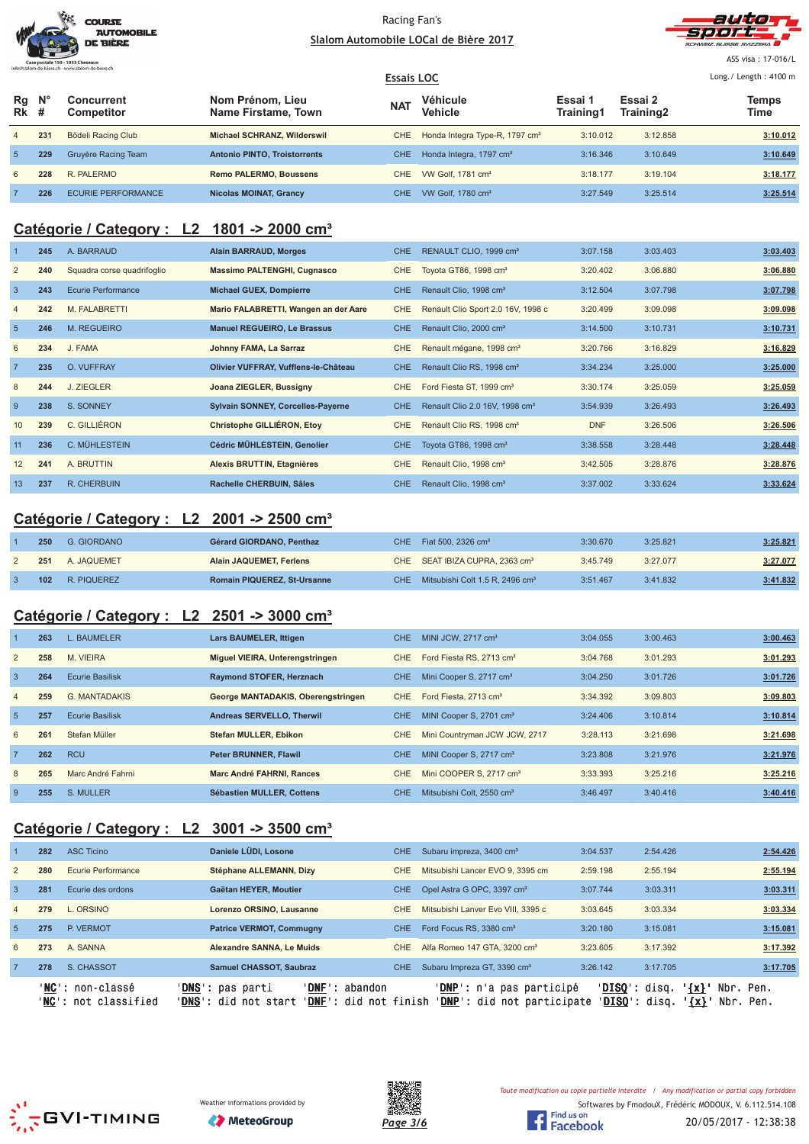|                                  | <b>COURSE</b><br><b>AUTOMOBILE</b><br><b>DE BIÈRE</b> |
|----------------------------------|-------------------------------------------------------|
| Case postale 150 - 1033 Cheseaux |                                                       |



ASS visa : 17-016/L

|                   |                    |                           |                                         | <b>Essais LOC</b> |                                            |                      |                      | Long. / Length: $4100$ m |
|-------------------|--------------------|---------------------------|-----------------------------------------|-------------------|--------------------------------------------|----------------------|----------------------|--------------------------|
| Rg<br><b>Rk</b> # | $\mathsf{N}^\circ$ | Concurrent<br>Competitor  | Nom Prénom. Lieu<br>Name Firstame, Town | <b>NAT</b>        | Véhicule<br><b>Vehicle</b>                 | Essai 1<br>Training1 | Essai 2<br>Training2 | <b>Temps</b><br>Time     |
| $\overline{4}$    | 231                | Bödeli Racing Club        | Michael SCHRANZ, Wilderswil             | CHE.              | Honda Integra Type-R, 1797 cm <sup>3</sup> | 3:10.012             | 3:12.858             | 3:10.012                 |
| 5 <sup>5</sup>    | 229                | Gruyère Racing Team       | <b>Antonio PINTO. Troistorrents</b>     | CHE.              | Honda Integra, 1797 cm <sup>3</sup>        | 3:16.346             | 3:10.649             | 3:10.649                 |
| 6                 | 228                | R. PALERMO                | <b>Remo PALERMO, Boussens</b>           | CHE.              | VW Golf, 1781 cm <sup>3</sup>              | 3:18.177             | 3:19.104             | 3:18.177                 |
|                   | 226                | <b>ECURIE PERFORMANCE</b> | <b>Nicolas MOINAT, Grancy</b>           | CHE.              | VW Golf, 1780 cm <sup>3</sup>              | 3:27.549             | 3:25.514             | 3:25.514                 |

### **Catégorie / Category : L2 1801 -> 2000 cm³**

|                 | 245 | A. BARRAUD                 | <b>Alain BARRAUD, Morges</b>             | CHE.       | RENAULT CLIO, 1999 cm <sup>3</sup>         | 3:07.158   | 3:03.403 | 3:03.403 |
|-----------------|-----|----------------------------|------------------------------------------|------------|--------------------------------------------|------------|----------|----------|
| $\overline{2}$  | 240 | Squadra corse quadrifoglio | <b>Massimo PALTENGHI, Cugnasco</b>       | CHE.       | Toyota GT86, 1998 cm <sup>3</sup>          | 3:20.402   | 3:06.880 | 3:06.880 |
| $\overline{3}$  | 243 | Ecurie Performance         | <b>Michael GUEX, Dompierre</b>           | CHE.       | Renault Clio, 1998 cm <sup>3</sup>         | 3:12.504   | 3:07.798 | 3:07.798 |
| $\overline{4}$  | 242 | M. FALABRETTI              | Mario FALABRETTI, Wangen an der Aare     | CHE        | Renault Clio Sport 2.0 16V, 1998 c         | 3:20.499   | 3:09.098 | 3:09.098 |
| $5\overline{5}$ | 246 | <b>M. REGUEIRO</b>         | <b>Manuel REGUEIRO, Le Brassus</b>       | CHE.       | Renault Clio, 2000 cm <sup>3</sup>         | 3:14.500   | 3:10.731 | 3:10.731 |
| 6               | 234 | J. FAMA                    | Johnny FAMA, La Sarraz                   | CHE.       | Renault mégane, 1998 cm <sup>3</sup>       | 3:20.766   | 3:16.829 | 3:16.829 |
| $\overline{7}$  | 235 | O. VUFFRAY                 | Olivier VUFFRAY, Vufflens-le-Château     | CHE        | Renault Clio RS, 1998 cm <sup>3</sup>      | 3:34.234   | 3:25.000 | 3:25.000 |
| 8               | 244 | J. ZIEGLER                 | Joana ZIEGLER, Bussigny                  | CHE        | Ford Fiesta ST, 1999 cm <sup>3</sup>       | 3:30.174   | 3:25.059 | 3:25.059 |
| 9               | 238 | S. SONNEY                  | <b>Sylvain SONNEY, Corcelles-Payerne</b> | CHE.       | Renault Clio 2.0 16V, 1998 cm <sup>3</sup> | 3:54.939   | 3:26.493 | 3:26.493 |
| 10              | 239 | C. GILLIÉRON               | Christophe GILLIÉRON, Etoy               | CHE.       | Renault Clio RS, 1998 cm <sup>3</sup>      | <b>DNF</b> | 3:26.506 | 3:26.506 |
| 11              | 236 | C. MÜHLESTEIN              | Cédric MÜHLESTEIN, Genolier              | CHE        | Toyota GT86, 1998 cm <sup>3</sup>          | 3:38.558   | 3:28.448 | 3:28.448 |
| 12              | 241 | A. BRUTTIN                 | Alexis BRUTTIN, Etagnières               | <b>CHE</b> | Renault Clio, 1998 cm <sup>3</sup>         | 3:42.505   | 3:28.876 | 3:28.876 |
| 13              | 237 | R. CHERBUIN                | Rachelle CHERBUIN, Sâles                 | CHE.       | Renault Clio, 1998 cm <sup>3</sup>         | 3:37.002   | 3:33.624 | 3:33.624 |
|                 |     |                            |                                          |            |                                            |            |          |          |

### **Catégorie / Category : L2 2001 -> 2500 cm³**

| 250 | G. GIORDANO | <b>Gérard GIORDANO, Penthaz</b> | CHE. | Fiat 500, 2326 cm <sup>3</sup>                  | 3:30.670 | 3:25.821 | 3:25.821 |
|-----|-------------|---------------------------------|------|-------------------------------------------------|----------|----------|----------|
| 251 | A. JAQUEMET | <b>Alain JAQUEMET, Ferlens</b>  |      | CHE SEAT IBIZA CUPRA, 2363 cm <sup>3</sup>      | 3:45.749 | 3:27.077 | 3:27.077 |
| 102 | R. PIQUEREZ | Romain PIQUEREZ, St-Ursanne     |      | CHE Mitsubishi Colt 1.5 R, 2496 cm <sup>3</sup> | 3:51.467 | 3:41.832 | 3:41.832 |

# **Catégorie / Category : L2 2501 -> 3000 cm³**

|                 | 263 | L. BAUMELER            | Lars BAUMELER, Ittigen             | <b>CHE</b> | MINI JCW, $2717 \text{ cm}^3$         | 3:04.055 | 3:00.463 | 3:00.463 |
|-----------------|-----|------------------------|------------------------------------|------------|---------------------------------------|----------|----------|----------|
| $\overline{2}$  | 258 | M. VIEIRA              | Miguel VIEIRA, Unterengstringen    | CHE        | Ford Fiesta RS, 2713 cm <sup>3</sup>  | 3:04.768 | 3:01.293 | 3:01.293 |
| 3               | 264 | <b>Ecurie Basilisk</b> | Raymond STOFER, Herznach           | CHE.       | Mini Cooper S, 2717 cm <sup>3</sup>   | 3:04.250 | 3:01.726 | 3:01.726 |
| $\overline{4}$  | 259 | <b>G. MANTADAKIS</b>   | George MANTADAKIS, Oberengstringen | CHE        | Ford Fiesta, 2713 cm <sup>3</sup>     | 3:34.392 | 3:09.803 | 3:09.803 |
| $5\overline{5}$ | 257 | <b>Ecurie Basilisk</b> | Andreas SERVELLO, Therwil          | <b>CHE</b> | MINI Cooper S, 2701 cm <sup>3</sup>   | 3:24.406 | 3:10.814 | 3:10.814 |
| 6               | 261 | Stefan Müller          | Stefan MULLER, Ebikon              | CHE        | Mini Countryman JCW JCW, 2717         | 3:28.113 | 3:21.698 | 3:21.698 |
|                 | 262 | <b>RCU</b>             | <b>Peter BRUNNER, Flawil</b>       | <b>CHE</b> | MINI Cooper S, 2717 cm <sup>3</sup>   | 3:23.808 | 3:21.976 | 3:21.976 |
| 8               | 265 | Marc André Fahrni      | Marc André FAHRNI, Rances          | <b>CHE</b> | Mini COOPER S, 2717 cm <sup>3</sup>   | 3:33.393 | 3:25.216 | 3:25.216 |
| 9               | 255 | S. MULLER              | Sébastien MULLER, Cottens          | <b>CHE</b> | Mitsubishi Colt. 2550 cm <sup>3</sup> | 3:46.497 | 3:40.416 | 3:40.416 |

# **Catégorie / Category : L2 3001 -> 3500 cm³**

|                 |     | ' <b>NC</b> ': non-classé<br>' <b>NC':</b> not classified | ' <b>DNS</b> ': pas parti<br>' <b>DNF</b> ': abandon<br>' <b>DNS</b> ': did not start<br>' <b>DNF':</b> did not finish |      | <b>'DNP':</b> n'a pas participé<br>' <b>DNP</b> ': did not participate | $'DISO':$ disq.<br>' <b>DISO</b> ': disq. | $'$ {x} $'$<br>Nbr. Pen.<br>$\left\{ x\right\}$<br>Nbr. Pen. |          |
|-----------------|-----|-----------------------------------------------------------|------------------------------------------------------------------------------------------------------------------------|------|------------------------------------------------------------------------|-------------------------------------------|--------------------------------------------------------------|----------|
|                 | 278 | S. CHASSOT                                                | <b>Samuel CHASSOT, Saubraz</b>                                                                                         | CHE. | Subaru Impreza GT, 3390 cm <sup>3</sup>                                | 3:26.142                                  | 3:17.705                                                     | 3:17.705 |
| 6               | 273 | A. SANNA                                                  | Alexandre SANNA, Le Muids                                                                                              | CHE. | Alfa Romeo 147 GTA, 3200 cm <sup>3</sup>                               | 3:23.605                                  | 3:17.392                                                     | 3:17.392 |
| $5\overline{5}$ | 275 | P. VERMOT                                                 | <b>Patrice VERMOT, Commugny</b>                                                                                        | CHE. | Ford Focus RS, 3380 cm <sup>3</sup>                                    | 3:20.180                                  | 3:15.081                                                     | 3:15.081 |
| $\overline{4}$  | 279 | L. ORSINO                                                 | Lorenzo ORSINO, Lausanne                                                                                               | CHE. | Mitsubishi Lanver Evo VIII, 3395 c                                     | 3:03.645                                  | 3:03.334                                                     | 3:03.334 |
| $\mathbf{3}$    | 281 | Ecurie des ordons                                         | Gaëtan HEYER, Moutier                                                                                                  | CHE. | Opel Astra G OPC, 3397 cm <sup>3</sup>                                 | 3:07.744                                  | 3:03.311                                                     | 3:03.311 |
| $\overline{2}$  | 280 | Ecurie Performance                                        | Stéphane ALLEMANN, Dizy                                                                                                | CHE. | Mitsubishi Lancer EVO 9, 3395 cm                                       | 2:59.198                                  | 2:55.194                                                     | 2:55.194 |
|                 | 282 | <b>ASC Ticino</b>                                         | Daniele LÜDI, Losone                                                                                                   | CHE. | Subaru impreza, 3400 cm <sup>3</sup>                                   | 3:04.537                                  | 2:54.426                                                     | 2:54.426 |
|                 |     |                                                           |                                                                                                                        |      |                                                                        |                                           |                                                              |          |







Softwares by FmodouX, Frédéric MODOUX, V. 6.112.514.108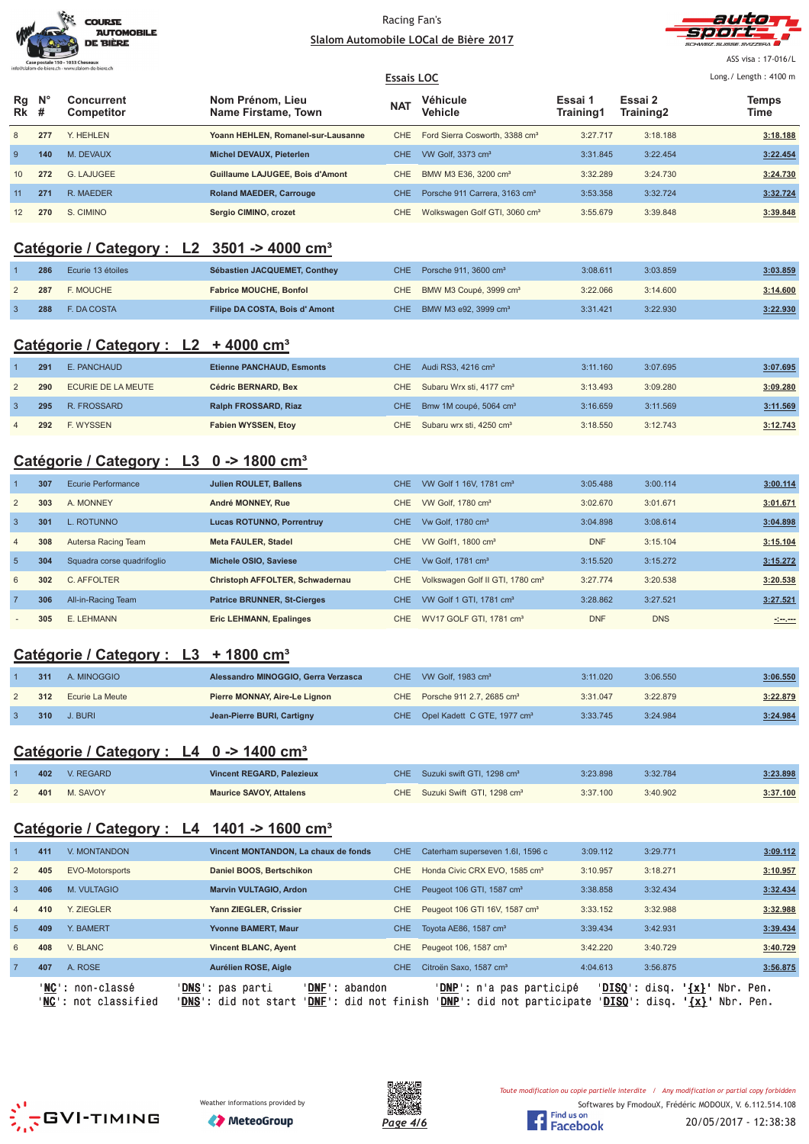



ASS visa : 17-016/L

|                   |             | THREE STRIP IT REPORTS A 11 ° WWW.Strip IT REPORTS A 11 |                                         | <b>Essais LOC</b> |                                            |                      |                      | Long./ Length: 4100 m |
|-------------------|-------------|---------------------------------------------------------|-----------------------------------------|-------------------|--------------------------------------------|----------------------|----------------------|-----------------------|
| Rg<br><b>Rk</b> # | $N^{\circ}$ | Concurrent<br>Competitor                                | Nom Prénom, Lieu<br>Name Firstame, Town | N <sub>A</sub>    | Véhicule<br>Vehicle                        | Essai 1<br>Training1 | Essai 2<br>Training2 | <b>Temps</b><br>Time  |
| 8                 | 277         | Y. HEHLEN                                               | Yoann HEHLEN, Romanel-sur-Lausanne      | CHE               | Ford Sierra Cosworth, 3388 cm <sup>3</sup> | 3:27.717             | 3:18.188             | 3:18.188              |
| 9                 | 140         | M. DEVAUX                                               | Michel DEVAUX, Pieterlen                | CHE.              | VW Golf, 3373 cm <sup>3</sup>              | 3:31.845             | 3:22.454             | 3:22.454              |
| 10                | 272         | G. LAJUGEE                                              | Guillaume LAJUGEE, Bois d'Amont         | CHE               | BMW M3 E36, 3200 cm <sup>3</sup>           | 3:32.289             | 3:24.730             | 3:24.730              |
| 11                | 271         | R. MAEDER                                               | <b>Roland MAEDER, Carrouge</b>          | <b>CHE</b>        | Porsche 911 Carrera, 3163 cm <sup>3</sup>  | 3:53.358             | 3:32.724             | 3:32.724              |
| 12                | 270         | S. CIMINO                                               | Sergio CIMINO, crozet                   | CHE               | Wolkswagen Golf GTI, 3060 cm <sup>3</sup>  | 3:55.679             | 3:39.848             | 3:39.848              |

# **Catégorie / Category : L2 3501 -> 4000 cm³**

| 286 | Ecurie 13 étoiles  | Sébastien JACQUEMET, Conthey  | CHE Porsche 911, 3600 $cm3$            | 3:08.611 | 3:03.859 | 3:03.859 |
|-----|--------------------|-------------------------------|----------------------------------------|----------|----------|----------|
| 287 | F. MOUCHE          | <b>Fabrice MOUCHE, Bonfol</b> | CHE BMW M3 Coupé, 3999 cm <sup>3</sup> | 3:22.066 | 3:14.600 | 3:14.600 |
| 288 | <b>E. DA COSTA</b> | Filipe DA COSTA, Bois d'Amont | CHE BMW M3 e92, 3999 cm <sup>3</sup>   | 3:31.421 | 3:22.930 | 3:22.930 |

### **Catégorie / Category : L2 + 4000 cm³**

| 291 | E. PANCHAUD        | <b>Etienne PANCHAUD, Esmonts</b> | CHE Audi RS3, 4216 cm <sup>3</sup>       | 3:11.160 | 3:07.695 | 3:07.695 |
|-----|--------------------|----------------------------------|------------------------------------------|----------|----------|----------|
| 290 | ECURIE DE LA MEUTE | Cédric BERNARD, Bex              | CHE Subaru Wrx sti, 4177 cm <sup>3</sup> | 3:13.493 | 3:09.280 | 3:09.280 |
| 295 | R. FROSSARD        | Ralph FROSSARD, Riaz             | CHE Bmw 1M coupé, 5064 cm <sup>3</sup>   | 3:16.659 | 3:11.569 | 3:11.569 |
| 292 | F. WYSSEN          | <b>Fabien WYSSEN, Etoy</b>       | CHE Subaru wrx sti, 4250 cm <sup>3</sup> | 3:18.550 | 3:12.743 | 3:12.743 |

# **Catégorie / Category : L3 0 -> 1800 cm³**

|                | 307 | Ecurie Performance         | <b>Julien ROULET, Ballens</b>      | <b>CHE</b> | VW Golf 1 16V, 1781 cm <sup>3</sup>          | 3:05.488   | 3:00.114   | 3:00.114 |
|----------------|-----|----------------------------|------------------------------------|------------|----------------------------------------------|------------|------------|----------|
| 2              | 303 | A. MONNEY                  | André MONNEY, Rue                  | CHE.       | VW Golf, 1780 cm <sup>3</sup>                | 3:02.670   | 3:01.671   | 3:01.671 |
| $\overline{3}$ | 301 | L. ROTUNNO                 | <b>Lucas ROTUNNO, Porrentruy</b>   | CHE.       | Vw Golf, 1780 cm <sup>3</sup>                | 3:04.898   | 3:08.614   | 3:04.898 |
| $\overline{4}$ | 308 | Autersa Racing Team        | <b>Meta FAULER, Stadel</b>         | CHE.       | VW Golf1, 1800 cm <sup>3</sup>               | <b>DNF</b> | 3:15.104   | 3:15.104 |
| 5              | 304 | Squadra corse quadrifoglio | Michele OSIO, Saviese              | CHE.       | Vw Golf, 1781 cm <sup>3</sup>                | 3:15.520   | 3:15.272   | 3:15.272 |
| 6              | 302 | C. AFFOLTER                | Christoph AFFOLTER, Schwadernau    | CHE.       | Volkswagen Golf II GTI, 1780 cm <sup>3</sup> | 3:27.774   | 3:20.538   | 3:20.538 |
| $\overline{7}$ | 306 | All-in-Racing Team         | <b>Patrice BRUNNER, St-Cierges</b> | <b>CHE</b> | VW Golf 1 GTI, 1781 cm <sup>3</sup>          | 3:28.862   | 3:27.521   | 3:27.521 |
|                | 305 | E. LEHMANN                 | <b>Eric LEHMANN, Epalinges</b>     | CHE.       | WV17 GOLF GTI, 1781 cm <sup>3</sup>          | <b>DNF</b> | <b>DNS</b> |          |

# **Catégorie / Category : L3 + 1800 cm³**

| 311 | A. MINOGGIO     | Alessandro MINOGGIO, Gerra Verzasca | CHE VW Golf, 1983 cm <sup>3</sup>           | 3:11.020 | 3:06.550 | 3:06.550 |
|-----|-----------------|-------------------------------------|---------------------------------------------|----------|----------|----------|
| 312 | Ecurie La Meute | Pierre MONNAY, Aire-Le Lignon       | CHE Porsche 911 2.7, 2685 cm <sup>3</sup>   | 3:31.047 | 3:22.879 | 3:22.879 |
| 310 | J. BURI         | Jean-Pierre BURI, Cartigny          | CHE Opel Kadett C GTE, 1977 cm <sup>3</sup> | 3:33.745 | 3:24.984 | 3:24.984 |

# **Catégorie / Category : L4 0 -> 1400 cm³**

| 402 | V. REGARD | Vincent REGARD, Palezieux      | CHE Suzuki swift GTI, 1298 cm <sup>3</sup> | 3:23.898 | 3:32.784 | 3:23.898 |
|-----|-----------|--------------------------------|--------------------------------------------|----------|----------|----------|
| 401 | M. SAVOY  | <b>Maurice SAVOY, Attalens</b> | CHE Suzuki Swift GTI, 1298 cm <sup>3</sup> | 3:37.100 | 3:40.902 | 3:37.100 |

# **Catégorie / Category : L4 1401 -> 1600 cm³**

|                | ' NC ' | ' <b>NC':</b> non-classé<br>not classified | ' <b>DNF</b> ': abandon<br>' <b>DNS':</b> pas parti<br>'DNS': did not start<br>' <b>DNF</b> ': did not finish |            | <b>'DNP':</b> n'a pas participé<br>' <b>DNP</b> ': did not participate | ' <b>DISO</b> ': disq.<br>$'DISO':$ disq. | $\{x\}$<br>Nbr. Pen.<br>$\left\{ x\right\}$<br>Nbr. Pen. |          |
|----------------|--------|--------------------------------------------|---------------------------------------------------------------------------------------------------------------|------------|------------------------------------------------------------------------|-------------------------------------------|----------------------------------------------------------|----------|
|                | 407    | A. ROSE                                    | Aurélien ROSE, Aigle                                                                                          | <b>CHE</b> | Citroën Saxo, 1587 cm <sup>3</sup>                                     | 4:04.613                                  | 3:56.875                                                 | 3:56.875 |
| 6              | 408    | V. BLANC                                   | <b>Vincent BLANC, Ayent</b>                                                                                   | CHE.       | Peugeot 106, 1587 cm <sup>3</sup>                                      | 3:42.220                                  | 3:40.729                                                 | 3:40.729 |
| 5 <sup>5</sup> | 409    | Y. BAMERT                                  | <b>Yvonne BAMERT, Maur</b>                                                                                    | <b>CHE</b> | Toyota AE86, 1587 cm <sup>3</sup>                                      | 3:39.434                                  | 3:42.931                                                 | 3:39.434 |
| $\overline{4}$ | 410    | <b>Y. ZIEGLER</b>                          | Yann ZIEGLER, Crissier                                                                                        | CHE.       | Peugeot 106 GTI 16V, 1587 cm <sup>3</sup>                              | 3:33.152                                  | 3:32.988                                                 | 3:32.988 |
| 3              | 406    | <b>M. VULTAGIO</b>                         | <b>Marvin VULTAGIO, Ardon</b>                                                                                 | <b>CHE</b> | Peugeot 106 GTI, 1587 cm <sup>3</sup>                                  | 3:38.858                                  | 3:32.434                                                 | 3:32.434 |
| $\overline{2}$ | 405    | EVO-Motorsports                            | Daniel BOOS, Bertschikon                                                                                      | CHE        | Honda Civic CRX EVO, 1585 cm <sup>3</sup>                              | 3:10.957                                  | 3:18.271                                                 | 3:10.957 |
|                | 411    | V. MONTANDON                               | Vincent MONTANDON, La chaux de fonds                                                                          | CHE.       | Caterham superseven 1.6I, 1596 c                                       | 3:09.112                                  | 3:29.771                                                 | 3:09.112 |
|                |        |                                            |                                                                                                               |            |                                                                        |                                           |                                                          |          |







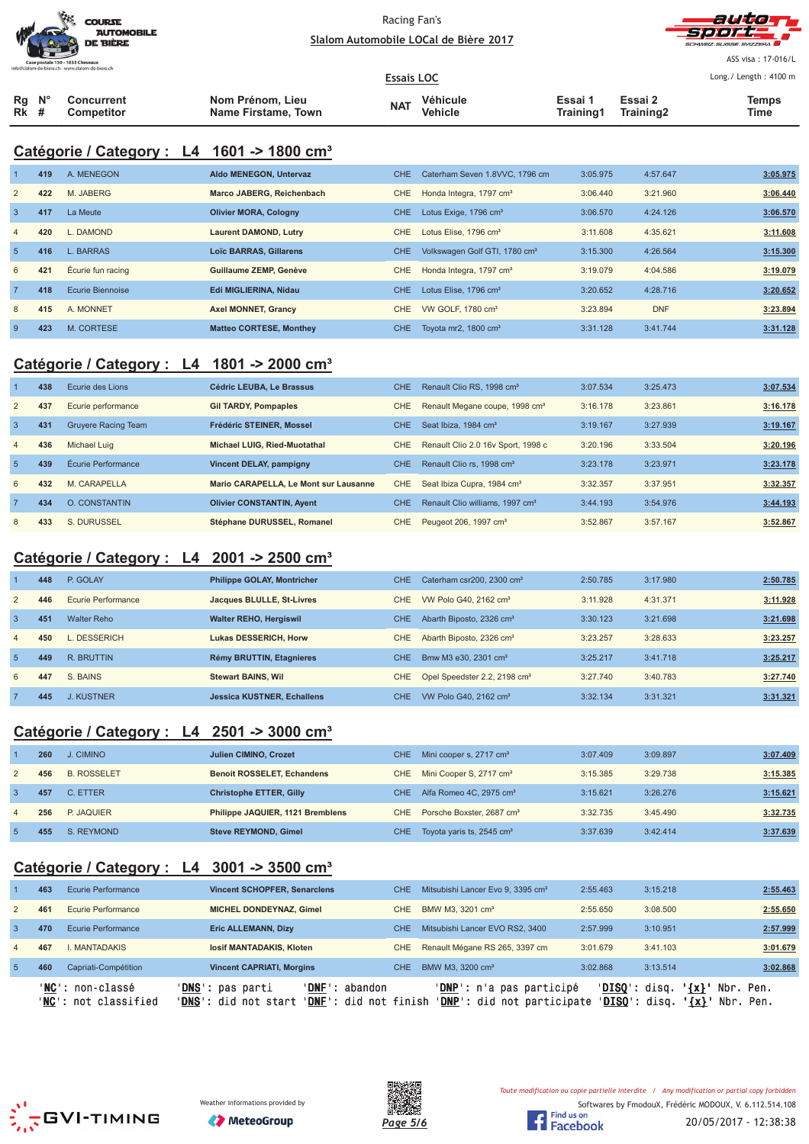



ASS visa : 17-016/L  $1.222 \times 1.222$ 

|                                 |                          |                                         | <b>Essais LOC</b> |                     |                      |                      | Long./ Length: 4100 m |
|---------------------------------|--------------------------|-----------------------------------------|-------------------|---------------------|----------------------|----------------------|-----------------------|
| $Rq$ $N^{\circ}$<br><b>Rk</b> # | Concurrent<br>Competitor | Nom Prénom, Lieu<br>Name Firstame, Town | <b>NAT</b>        | Véhicule<br>Vehicle | Essai 1<br>Training1 | Essai 2<br>Training2 | <b>Temps</b><br>Time  |

# **Catégorie / Category : L4 1601 -> 1800 cm³**

|                | 419 | A. MENEGON        | Aldo MENEGON, Untervaz         | CHE.       | Caterham Seven 1.8VVC, 1796 cm            | 3:05.975 | 4:57.647   | 3:05.975 |
|----------------|-----|-------------------|--------------------------------|------------|-------------------------------------------|----------|------------|----------|
| $\overline{2}$ | 422 | M. JABERG         | Marco JABERG, Reichenbach      | CHE        | Honda Integra, 1797 cm <sup>3</sup>       | 3:06.440 | 3:21.960   | 3:06.440 |
| $\overline{3}$ | 417 | La Meute          | <b>Olivier MORA, Cologny</b>   | CHE.       | Lotus Exige, 1796 cm <sup>3</sup>         | 3:06.570 | 4:24.126   | 3:06.570 |
| $\overline{4}$ | 420 | DAMOND            | <b>Laurent DAMOND, Lutry</b>   | CHE        | Lotus Elise, 1796 cm <sup>3</sup>         | 3:11.608 | 4:35.621   | 3:11.608 |
| 5              | 416 | <b>L. BARRAS</b>  | <b>Loïc BARRAS, Gillarens</b>  | CHE.       | Volkswagen Golf GTI, 1780 cm <sup>3</sup> | 3:15.300 | 4:26.564   | 3:15.300 |
| 6              | 421 | Écurie fun racing | Guillaume ZEMP, Genève         | CHE        | Honda Integra, 1797 cm <sup>3</sup>       | 3:19.079 | 4:04.586   | 3:19.079 |
| $7^{\circ}$    | 418 | Ecurie Biennoise  | Edi MIGLIERINA, Nidau          | <b>CHE</b> | Lotus Elise, 1796 cm <sup>3</sup>         | 3:20.652 | 4:28.716   | 3:20.652 |
| 8              | 415 | A. MONNET         | <b>Axel MONNET, Grancy</b>     | CHE        | VW GOLF, 1780 cm <sup>3</sup>             | 3:23.894 | <b>DNF</b> | 3:23.894 |
| -9             | 423 | M. CORTESE        | <b>Matteo CORTESE, Monthey</b> | CHE.       | Tovota mr2, 1800 cm <sup>3</sup>          | 3:31.128 | 3:41.744   | 3:31.128 |

# **Catégorie / Category : L4 1801 -> 2000 cm³**

|                | 438 | Ecurie des Lions           | Cédric LEUBA. Le Brassus              | <b>CHE</b> | Renault Clio RS, 1998 cm <sup>3</sup>       | 3:07.534 | 3:25.473 | 3:07.534 |
|----------------|-----|----------------------------|---------------------------------------|------------|---------------------------------------------|----------|----------|----------|
| $\overline{2}$ | 437 | Ecurie performance         | <b>Gil TARDY, Pompaples</b>           | CHE        | Renault Megane coupe, 1998 cm <sup>3</sup>  | 3:16.178 | 3:23.861 | 3:16.178 |
| 3              | 431 | <b>Gruyere Racing Team</b> | Frédéric STEINER, Mossel              | CHE.       | Seat Ibiza, 1984 cm <sup>3</sup>            | 3:19.167 | 3:27.939 | 3:19.167 |
| $\overline{4}$ | 436 | Michael Luig               | Michael LUIG. Ried-Muotathal          | CHE.       | Renault Clio 2.0 16y Sport, 1998 c          | 3:20.196 | 3:33.504 | 3:20.196 |
| 5 <sub>5</sub> | 439 | Écurie Performance         | Vincent DELAY, pampigny               | <b>CHE</b> | Renault Clio rs. 1998 cm <sup>3</sup>       | 3:23.178 | 3:23.971 | 3:23.178 |
| 6              | 432 | M. CARAPELLA               | Mario CARAPELLA. Le Mont sur Lausanne | CHE.       | Seat Ibiza Cupra, 1984 cm <sup>3</sup>      | 3:32.357 | 3:37.951 | 3:32.357 |
|                | 434 | <b>O. CONSTANTIN</b>       | <b>Olivier CONSTANTIN, Avent</b>      | <b>CHE</b> | Renault Clio williams, 1997 cm <sup>3</sup> | 3:44.193 | 3:54.976 | 3:44.193 |
| 8              | 433 | S. DURUSSEL                | Stéphane DURUSSEL, Romanel            | CHE.       | Peugeot 206, 1997 cm <sup>3</sup>           | 3:52.867 | 3:57.167 | 3:52.867 |

# **Catégorie / Category : L4 2001 -> 2500 cm³**

|                | 448 | P. GOLAY           | <b>Philippe GOLAY, Montricher</b> | <b>CHE</b>       | Caterham csr200, 2300 cm <sup>3</sup>    | 2:50.785 | 3:17.980 | 2:50.785 |
|----------------|-----|--------------------|-----------------------------------|------------------|------------------------------------------|----------|----------|----------|
| 2              | 446 | Ecurie Performance | Jacques BLULLE, St-Livres         | CHE.             | VW Polo G40, 2162 cm <sup>3</sup>        | 3:11.928 | 4:31.371 | 3:11.928 |
| $\overline{3}$ | 451 | Walter Reho        | <b>Walter REHO, Hergiswil</b>     | <b>CHE</b>       | Abarth Biposto, 2326 cm <sup>3</sup>     | 3:30.123 | 3:21.698 | 3:21.698 |
| $\overline{4}$ | 450 | DESSERICH          | <b>Lukas DESSERICH, Horw</b>      | CHE              | Abarth Biposto, 2326 cm <sup>3</sup>     | 3:23.257 | 3:28.633 | 3:23.257 |
| -5             | 449 | R. BRUTTIN         | Rémy BRUTTIN, Etagnieres          | <b>CHE</b>       | Bmw M3 e30, 2301 cm <sup>3</sup>         | 3:25.217 | 3:41.718 | 3:25.217 |
| 6              | 447 | S. BAINS           | <b>Stewart BAINS, Wil</b>         | CHE              | Opel Speedster 2.2, 2198 cm <sup>3</sup> | 3:27.740 | 3:40.783 | 3:27.740 |
|                | 445 | <b>J. KUSTNER</b>  | <b>Jessica KUSTNER, Echallens</b> | CHE <sup>1</sup> | VW Polo G40, 2162 cm <sup>3</sup>        | 3:32.134 | 3:31.321 | 3:31.321 |

# **Catégorie / Category : L4 2501 -> 3000 cm³**

|                | 260 | J. CIMINO          | <b>Julien CIMINO, Crozet</b>      | CHE. | Mini cooper s, 2717 cm <sup>3</sup>   | 3:07.409 | 3:09.897 | 3:07.409 |
|----------------|-----|--------------------|-----------------------------------|------|---------------------------------------|----------|----------|----------|
| $\overline{2}$ | 456 | <b>B. ROSSELET</b> | <b>Benoit ROSSELET, Echandens</b> | CHE. | Mini Cooper S, 2717 cm <sup>3</sup>   | 3:15.385 | 3:29.738 | 3:15.385 |
|                | 457 | C. ETTER           | <b>Christophe ETTER, Gilly</b>    | CHE  | Alfa Romeo 4C, 2975 cm <sup>3</sup>   | 3:15.621 | 3:26.276 | 3:15.621 |
| $\overline{4}$ | 256 | P. JAQUIER         | Philippe JAQUIER, 1121 Bremblens  | CHE  | Porsche Boxster, 2687 cm <sup>3</sup> | 3:32.735 | 3:45.490 | 3:32.735 |
|                | 455 | S. REYMOND         | <b>Steve REYMOND, Gimel</b>       | CHE. | Toyota yaris ts, 2545 cm <sup>3</sup> | 3:37.639 | 3:42.414 | 3:37.639 |

# **Catégorie / Category : L4 3001 -> 3500 cm³**

|                 |     | ' <b>NC':</b> non-classé<br>'NC': not classified | 'DNF': abandon<br>' <b>DNS</b> ': pas parti<br>'DNS': did not start<br>' <b>DNF</b> ': did not finish |            | <b>'DNP':</b> n'a pas participé<br>' <b>DNP</b> ': did not participate | $'DISO':$ disq.<br>'DISO': disq. | $\{x\}$<br>$\lceil x \rceil$ | Nbr. Pen.<br>Nbr. Pen. |
|-----------------|-----|--------------------------------------------------|-------------------------------------------------------------------------------------------------------|------------|------------------------------------------------------------------------|----------------------------------|------------------------------|------------------------|
| $5\overline{5}$ | 460 | Capriati-Compétition                             | <b>Vincent CAPRIATI, Morgins</b>                                                                      | <b>CHE</b> | BMW M3, 3200 cm <sup>3</sup>                                           | 3:02.868                         | 3:13.514                     | 3:02.868               |
| $\overline{4}$  | 467 | . MANTADAKIS                                     | losif MANTADAKIS, Kloten                                                                              | CHE.       | Renault Mégane RS 265, 3397 cm                                         | 3:01.679                         | 3:41.103                     | 3:01.679               |
| 3               | 470 | Ecurie Performance                               | <b>Eric ALLEMANN, Dizy</b>                                                                            | <b>CHE</b> | Mitsubishi Lancer EVO RS2, 3400                                        | 2:57.999                         | 3:10.951                     | 2:57.999               |
| 2               | 461 | Ecurie Performance                               | <b>MICHEL DONDEYNAZ, Gimel</b>                                                                        | CHE.       | BMW M3, 3201 cm <sup>3</sup>                                           | 2:55.650                         | 3:08.500                     | 2:55.650               |
|                 | 463 | Ecurie Performance                               | <b>Vincent SCHOPFER, Senarclens</b>                                                                   | <b>CHE</b> | Mitsubishi Lancer Evo 9, 3395 cm <sup>3</sup>                          | 2:55.463                         | 3:15.218                     | 2:55.463               |
|                 |     |                                                  |                                                                                                       |            |                                                                        |                                  |                              |                        |